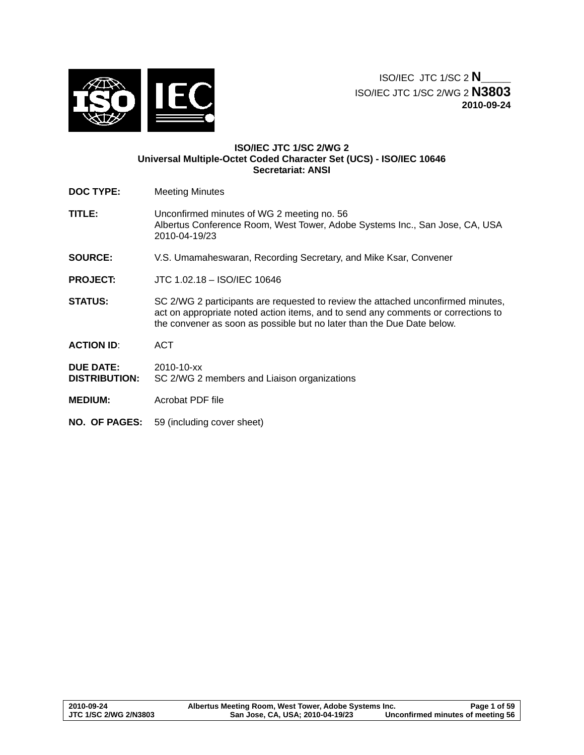

ISO/IEC JTC 1/SC 2 **N\_\_\_\_** ISO/IEC JTC 1/SC 2/WG 2 **N3803 2010-09-24**

## **ISO/IEC JTC 1/SC 2/WG 2 Universal Multiple-Octet Coded Character Set (UCS) - ISO/IEC 10646 Secretariat: ANSI**

- **DOC TYPE:** Meeting Minutes
- **TITLE:** Unconfirmed minutes of WG 2 meeting no. 56 Albertus Conference Room, West Tower, Adobe Systems Inc., San Jose, CA, USA 2010-04-19/23
- **SOURCE:** V.S. Umamaheswaran, Recording Secretary, and Mike Ksar, Convener
- **PROJECT:** JTC 1.02.18 ISO/IEC 10646
- **STATUS:** SC 2/WG 2 participants are requested to review the attached unconfirmed minutes, act on appropriate noted action items, and to send any comments or corrections to the convener as soon as possible but no later than the Due Date below.

**ACTION ID**: ACT

**DUE DATE:** 2010-10-xx **DISTRIBUTION:** SC 2/WG 2 members and Liaison organizations

- **MEDIUM:** Acrobat PDF file
- **NO. OF PAGES:** 59 (including cover sheet)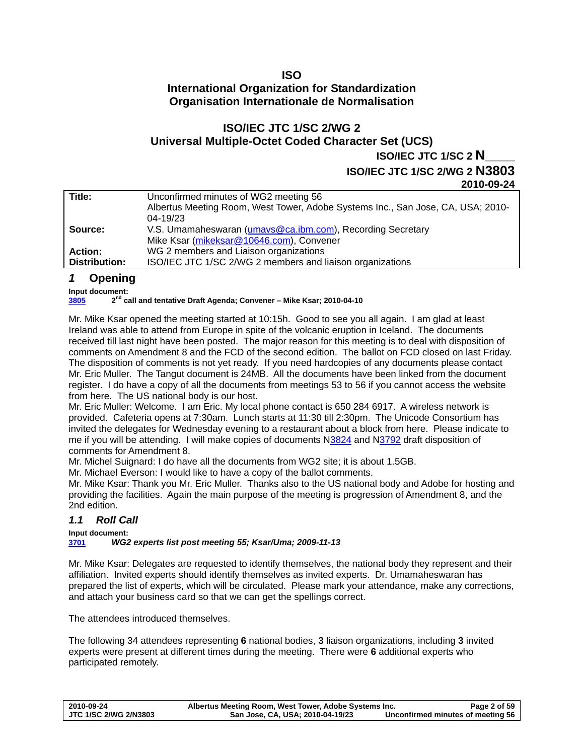# <span id="page-1-0"></span>**ISO International Organization for Standardization Organisation Internationale de Normalisation**

# **ISO/IEC JTC 1/SC 2/WG 2 Universal Multiple-Octet Coded Character Set (UCS) ISO/IEC JTC 1/SC 2 N\_\_\_\_**

**ISO/IEC JTC 1/SC 2/WG 2 N3803**

**2010-09-24** 

|                | 2010-03-24                                                                      |
|----------------|---------------------------------------------------------------------------------|
| Title:         | Unconfirmed minutes of WG2 meeting 56                                           |
|                | Albertus Meeting Room, West Tower, Adobe Systems Inc., San Jose, CA, USA; 2010- |
|                | $04 - 19/23$                                                                    |
| Source:        | V.S. Umamaheswaran (umavs@ca.ibm.com), Recording Secretary                      |
|                | Mike Ksar (mikeksar@10646.com), Convener                                        |
| <b>Action:</b> | WG 2 members and Liaison organizations                                          |
| Distribution:  | ISO/IEC JTC 1/SC 2/WG 2 members and liaison organizations                       |
|                |                                                                                 |

# *1* **Opening**

**Input document:** 

**[3805](http://www.dkuug.dk/JTC1/SC2/WG2/docs/N3805.doc) 2nd call and tentative Draft Agenda; Convener – Mike Ksar; 2010-04-10** 

Mr. Mike Ksar opened the meeting started at 10:15h. Good to see you all again. I am glad at least Ireland was able to attend from Europe in spite of the volcanic eruption in Iceland. The documents received till last night have been posted. The major reason for this meeting is to deal with disposition of comments on Amendment 8 and the FCD of the second edition. The ballot on FCD closed on last Friday. The disposition of comments is not yet ready. If you need hardcopies of any documents please contact Mr. Eric Muller. The Tangut document is 24MB. All the documents have been linked from the document register. I do have a copy of all the documents from meetings 53 to 56 if you cannot access the website from here. The US national body is our host.

Mr. Eric Muller: Welcome. I am Eric. My local phone contact is 650 284 6917. A wireless network is provided. Cafeteria opens at 7:30am. Lunch starts at 11:30 till 2:30pm. The Unicode Consortium has invited the delegates for Wednesday evening to a restaurant about a block from here. Please indicate to me if you will be attending. I will make copies of documents [N3824](http://www.dkuug.dk/jtc1/sc2/wg2/docs/N3824.pdf) and [N3792](http://www.dkuug.dk/jtc1/sc2/wg2/docs/N3792.pdf) draft disposition of comments for Amendment 8.

Mr. Michel Suignard: I do have all the documents from WG2 site; it is about 1.5GB.

Mr. Michael Everson: I would like to have a copy of the ballot comments.

Mr. Mike Ksar: Thank you Mr. Eric Muller. Thanks also to the US national body and Adobe for hosting and providing the facilities. Again the main purpose of the meeting is progression of Amendment 8, and the 2nd edition.

# *1.1 Roll Call*

**Input document:** 

**[3701](http://std.dkuug.dk/jtc1/sc2/wg2/docs/n3701.xls)** *WG2 experts list post meeting 55; Ksar/Uma; 2009-11-13* 

Mr. Mike Ksar: Delegates are requested to identify themselves, the national body they represent and their affiliation. Invited experts should identify themselves as invited experts. Dr. Umamaheswaran has prepared the list of experts, which will be circulated. Please mark your attendance, make any corrections, and attach your business card so that we can get the spellings correct.

The attendees introduced themselves.

The following 34 attendees representing **6** national bodies, **3** liaison organizations, including **3** invited experts were present at different times during the meeting. There were **6** additional experts who participated remotely.

| 2010-09-24            | Albertus Meeting Room, West Tower, Adobe Systems Inc. | Page 2 of 59                      |
|-----------------------|-------------------------------------------------------|-----------------------------------|
| JTC 1/SC 2/WG 2/N3803 | San Jose, CA, USA; 2010-04-19/23                      | Unconfirmed minutes of meeting 56 |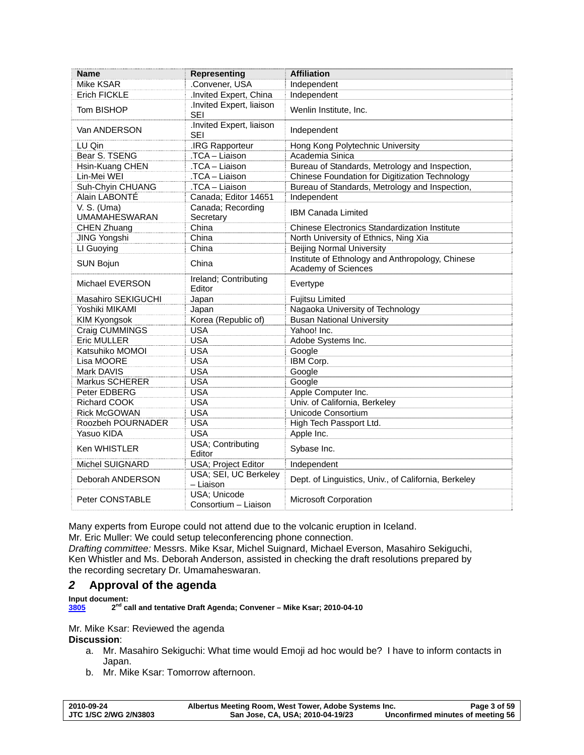<span id="page-2-0"></span>

| Name                                | <b>Representing</b>                   | <b>Affiliation</b>                                                      |
|-------------------------------------|---------------------------------------|-------------------------------------------------------------------------|
| Mike KSAR                           | .Convener, USA                        | Independent                                                             |
| <b>Erich FICKLE</b>                 | .Invited Expert, China                | Independent                                                             |
| Tom BISHOP                          | Invited Expert, liaison<br>SEI        | Wenlin Institute, Inc.                                                  |
| Van ANDERSON                        | Invited Expert, liaison<br><b>SEI</b> | Independent                                                             |
| LU Qin                              | .IRG Rapporteur                       | Hong Kong Polytechnic University                                        |
| Bear S. TSENG                       | .TCA - Liaison                        | Academia Sinica                                                         |
| Hsin-Kuang CHEN                     | .TCA - Liaison                        | Bureau of Standards, Metrology and Inspection,                          |
| Lin-Mei WEI                         | .TCA - Liaison                        | Chinese Foundation for Digitization Technology                          |
| Suh-Chyin CHUANG                    | .TCA - Liaison                        | Bureau of Standards, Metrology and Inspection,                          |
| Alain LABONTÉ                       | Canada; Editor 14651                  | Independent                                                             |
| V. S. (Uma)<br><b>UMAMAHESWARAN</b> | Canada; Recording<br>Secretary        | <b>IBM Canada Limited</b>                                               |
| CHEN Zhuang                         | China                                 | <b>Chinese Electronics Standardization Institute</b>                    |
| <b>JING Yongshi</b>                 | China                                 | North University of Ethnics, Ning Xia                                   |
| LI Guoying                          | China                                 | <b>Beijing Normal University</b>                                        |
| <b>SUN Bojun</b>                    | China                                 | Institute of Ethnology and Anthropology, Chinese<br>Academy of Sciences |
| <b>Michael EVERSON</b>              | Ireland; Contributing<br>Editor       | Evertype                                                                |
| Masahiro SEKIGUCHI                  | Japan                                 | <b>Fujitsu Limited</b>                                                  |
| Yoshiki MIKAMI                      | Japan                                 | Nagaoka University of Technology                                        |
| <b>KIM Kyongsok</b>                 | Korea (Republic of)                   | <b>Busan National University</b>                                        |
| Craig CUMMINGS                      | <b>USA</b>                            | Yahoo! Inc.                                                             |
| <b>Eric MULLER</b>                  | <b>USA</b>                            | Adobe Systems Inc.                                                      |
| Katsuhiko MOMOI                     | <b>USA</b>                            | Google                                                                  |
| Lisa MOORE                          | <b>USA</b>                            | IBM Corp.                                                               |
| Mark DAVIS                          | <b>USA</b>                            | Google                                                                  |
| Markus SCHERER                      | <b>USA</b>                            | Google                                                                  |
| Peter EDBERG                        | <b>USA</b>                            | Apple Computer Inc.                                                     |
| Richard COOK                        | <b>USA</b>                            | Univ. of California, Berkeley                                           |
| <b>Rick McGOWAN</b>                 | <b>USA</b>                            | Unicode Consortium                                                      |
| Roozbeh POURNADER                   | <b>USA</b>                            | High Tech Passport Ltd.                                                 |
| Yasuo KIDA                          | <b>USA</b>                            | Apple Inc.                                                              |
| Ken WHISTLER                        | USA; Contributing<br>Editor           | Sybase Inc.                                                             |
| Michel SUIGNARD                     | USA; Project Editor                   | Independent                                                             |
| Deborah ANDERSON                    | USA; SEI, UC Berkeley<br>- Liaison    | Dept. of Linguistics, Univ., of California, Berkeley                    |
| Peter CONSTABLE                     | USA; Unicode<br>Consortium - Liaison  | Microsoft Corporation                                                   |

Many experts from Europe could not attend due to the volcanic eruption in Iceland.

Mr. Eric Muller: We could setup teleconferencing phone connection.

*Drafting committee:* Messrs. Mike Ksar, Michel Suignard, Michael Everson, Masahiro Sekiguchi, Ken Whistler and Ms. Deborah Anderson, assisted in checking the draft resolutions prepared by the recording secretary Dr. Umamaheswaran.

# *2* **Approval of the agenda**

**Input document:** 

**[3805](http://www.dkuug.dk/JTC1/SC2/WG2/docs/N3805.doc) 2nd call and tentative Draft Agenda; Convener – Mike Ksar; 2010-04-10** 

Mr. Mike Ksar: Reviewed the agenda

**Discussion**:

- a. Mr. Masahiro Sekiguchi: What time would Emoji ad hoc would be? I have to inform contacts in Japan.
- b. Mr. Mike Ksar: Tomorrow afternoon.

| 2010-09-24            | Albertus Meeting Room, West Tower, Adobe Systems Inc. | Page 3 of 59                      |
|-----------------------|-------------------------------------------------------|-----------------------------------|
| JTC 1/SC 2/WG 2/N3803 | San Jose, CA, USA; 2010-04-19/23                      | Unconfirmed minutes of meeting 56 |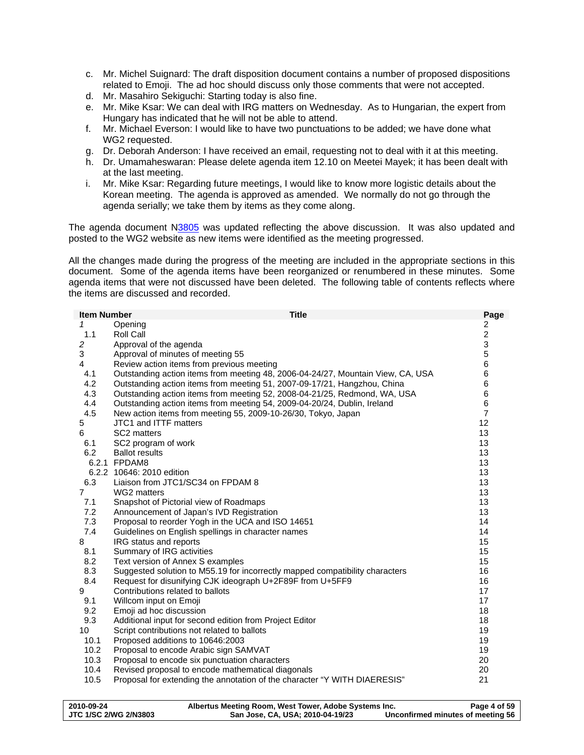- c. Mr. Michel Suignard: The draft disposition document contains a number of proposed dispositions related to Emoji. The ad hoc should discuss only those comments that were not accepted.
- d. Mr. Masahiro Sekiguchi: Starting today is also fine.
- e. Mr. Mike Ksar: We can deal with IRG matters on Wednesday. As to Hungarian, the expert from Hungary has indicated that he will not be able to attend.
- f. Mr. Michael Everson: I would like to have two punctuations to be added; we have done what WG2 requested.
- g. Dr. Deborah Anderson: I have received an email, requesting not to deal with it at this meeting.
- h. Dr. Umamaheswaran: Please delete agenda item 12.10 on Meetei Mayek; it has been dealt with at the last meeting.
- i. Mr. Mike Ksar: Regarding future meetings, I would like to know more logistic details about the Korean meeting. The agenda is approved as amended. We normally do not go through the agenda serially; we take them by items as they come along.

The agenda document N[3805](http://std.dkuug.dk/jtc1/sc2/wg2/docs/N3805.doc) was updated reflecting the above discussion. It was also updated and posted to the WG2 website as new items were identified as the meeting progressed.

All the changes made during the progress of the meeting are included in the appropriate sections in this document. Some of the agenda items have been reorganized or renumbered in these minutes. Some agenda items that were not discussed have been deleted. The following table of contents reflects where the items are discussed and recorded.

| <b>Item Number</b> | <b>Title</b>                                                                    | Page                      |
|--------------------|---------------------------------------------------------------------------------|---------------------------|
| 1                  | Opening                                                                         | 2                         |
| 1.1                | Roll Call                                                                       | $\overline{c}$            |
| 2                  | Approval of the agenda                                                          | $\ensuremath{\mathsf{3}}$ |
| 3                  | Approval of minutes of meeting 55                                               | $\mathbf 5$               |
| 4                  | Review action items from previous meeting                                       | 6                         |
| 4.1                | Outstanding action items from meeting 48, 2006-04-24/27, Mountain View, CA, USA | 6                         |
| 4.2                | Outstanding action items from meeting 51, 2007-09-17/21, Hangzhou, China        | 6                         |
| 4.3                | Outstanding action items from meeting 52, 2008-04-21/25, Redmond, WA, USA       | 6                         |
| 4.4                | Outstanding action items from meeting 54, 2009-04-20/24, Dublin, Ireland        | 6                         |
| 4.5                | New action items from meeting 55, 2009-10-26/30, Tokyo, Japan                   | $\overline{7}$            |
| 5                  | JTC1 and ITTF matters                                                           | 12                        |
| 6                  | SC2 matters                                                                     | 13                        |
| 6.1                | SC2 program of work                                                             | 13                        |
| 6.2                | <b>Ballot results</b>                                                           | 13                        |
|                    | 6.2.1 FPDAM8                                                                    | 13                        |
|                    | 6.2.2 10646: 2010 edition                                                       | 13                        |
| 6.3                | Liaison from JTC1/SC34 on FPDAM 8                                               | 13                        |
| $\overline{7}$     | WG2 matters                                                                     | 13                        |
| 7.1                | Snapshot of Pictorial view of Roadmaps                                          | 13                        |
| 7.2                | Announcement of Japan's IVD Registration                                        | 13                        |
| 7.3                | Proposal to reorder Yogh in the UCA and ISO 14651                               | 14                        |
| 7.4                | Guidelines on English spellings in character names                              | 14                        |
| 8                  | IRG status and reports                                                          | 15                        |
| 8.1                | Summary of IRG activities                                                       | 15                        |
| 8.2                | Text version of Annex S examples                                                | 15                        |
| 8.3                | Suggested solution to M55.19 for incorrectly mapped compatibility characters    | 16                        |
| 8.4                | Request for disunifying CJK ideograph U+2F89F from U+5FF9                       | 16                        |
| 9                  | Contributions related to ballots                                                | 17                        |
| 9.1                | Willcom input on Emoji                                                          | 17                        |
| 9.2                | Emoji ad hoc discussion                                                         | 18                        |
| 9.3                | Additional input for second edition from Project Editor                         | 18                        |
| 10                 | Script contributions not related to ballots                                     | 19                        |
| 10.1               | Proposed additions to 10646:2003                                                | 19                        |
| 10.2               | Proposal to encode Arabic sign SAMVAT                                           | 19                        |
| 10.3               | Proposal to encode six punctuation characters                                   | 20                        |
| 10.4               | Revised proposal to encode mathematical diagonals                               | 20                        |
| 10.5               | Proposal for extending the annotation of the character "Y WITH DIAERESIS"       | 21                        |
|                    |                                                                                 |                           |

| 2010-09-24            | Albertus Meeting Room, West Tower, Adobe Systems Inc. | Page 4 of 59                      |
|-----------------------|-------------------------------------------------------|-----------------------------------|
| JTC 1/SC 2/WG 2/N3803 | San Jose, CA, USA; 2010-04-19/23                      | Unconfirmed minutes of meeting 56 |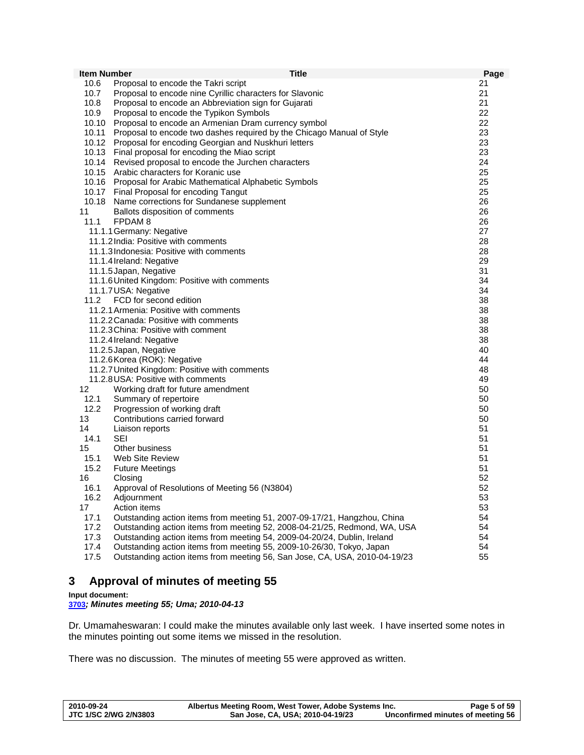<span id="page-4-0"></span>

| <b>Item Number</b> | <b>Title</b>                                                               | Page     |
|--------------------|----------------------------------------------------------------------------|----------|
| 10.6               | Proposal to encode the Takri script                                        | 21       |
| 10.7               | Proposal to encode nine Cyrillic characters for Slavonic                   | 21       |
| 10.8               | Proposal to encode an Abbreviation sign for Gujarati                       | 21       |
| 10.9               | Proposal to encode the Typikon Symbols                                     | 22       |
| 10.10              | Proposal to encode an Armenian Dram currency symbol                        | 22       |
| 10.11              | Proposal to encode two dashes required by the Chicago Manual of Style      | 23       |
| 10.12              | Proposal for encoding Georgian and Nuskhuri letters                        | 23       |
|                    | 10.13 Final proposal for encoding the Miao script                          | 23       |
| 10.14              | Revised proposal to encode the Jurchen characters                          | 24       |
|                    | 10.15 Arabic characters for Koranic use                                    | 25       |
|                    | 10.16 Proposal for Arabic Mathematical Alphabetic Symbols                  | 25       |
|                    | 10.17 Final Proposal for encoding Tangut                                   | 25       |
|                    | 10.18 Name corrections for Sundanese supplement                            | 26       |
| 11                 | Ballots disposition of comments                                            | 26       |
| 11.1               | FPDAM <sub>8</sub>                                                         | 26       |
|                    | 11.1.1 Germany: Negative                                                   | 27       |
|                    | 11.1.2 India: Positive with comments                                       | 28       |
|                    | 11.1.3 Indonesia: Positive with comments                                   | 28       |
|                    | 11.1.4 Ireland: Negative                                                   | 29       |
|                    | 11.1.5 Japan, Negative                                                     | 31       |
|                    | 11.1.6 United Kingdom: Positive with comments                              | 34       |
|                    | 11.1.7 USA: Negative                                                       | 34       |
| 11.2               | FCD for second edition                                                     | 38       |
|                    | 11.2.1 Armenia: Positive with comments                                     | 38       |
|                    | 11.2.2 Canada: Positive with comments                                      | 38       |
|                    | 11.2.3 China: Positive with comment                                        | 38       |
|                    | 11.2.4 Ireland: Negative                                                   | 38       |
|                    | 11.2.5 Japan, Negative                                                     | 40       |
|                    | 11.2.6 Korea (ROK): Negative                                               | 44       |
|                    | 11.2.7 United Kingdom: Positive with comments                              | 48       |
|                    | 11.2.8 USA: Positive with comments                                         | 49       |
| 12                 | Working draft for future amendment                                         | 50       |
| 12.1<br>12.2       | Summary of repertoire                                                      | 50       |
| 13                 | Progression of working draft                                               | 50<br>50 |
| 14                 | Contributions carried forward                                              | 51       |
| 14.1               | Liaison reports<br>SEI                                                     | 51       |
| 15                 | Other business                                                             | 51       |
| 15.1               | <b>Web Site Review</b>                                                     | 51       |
| 15.2               | <b>Future Meetings</b>                                                     | 51       |
| 16                 | Closing                                                                    | 52       |
| 16.1               | Approval of Resolutions of Meeting 56 (N3804)                              | 52       |
| 16.2               | Adjournment                                                                | 53       |
| 17                 | Action items                                                               | 53       |
| 17.1               | Outstanding action items from meeting 51, 2007-09-17/21, Hangzhou, China   | 54       |
| 17.2               | Outstanding action items from meeting 52, 2008-04-21/25, Redmond, WA, USA  | 54       |
| 17.3               | Outstanding action items from meeting 54, 2009-04-20/24, Dublin, Ireland   | 54       |
| 17.4               | Outstanding action items from meeting 55, 2009-10-26/30, Tokyo, Japan      | 54       |
| 17.5               | Outstanding action items from meeting 56, San Jose, CA, USA, 2010-04-19/23 | 55       |

# **3 Approval of minutes of meeting 55**

## **Input document:**

**[3703](http://www.dkuug.dk/jtc1/sc2/wg2/docs/n3703.pdf)***; Minutes meeting 55; Uma; 2010-04-13* 

Dr. Umamaheswaran: I could make the minutes available only last week. I have inserted some notes in the minutes pointing out some items we missed in the resolution.

There was no discussion. The minutes of meeting 55 were approved as written.

| 2010-09-24            | Albertus Meeting Room, West Tower, Adobe Systems Inc. | Page 5 of 59                      |
|-----------------------|-------------------------------------------------------|-----------------------------------|
| JTC 1/SC 2/WG 2/N3803 | San Jose, CA, USA; 2010-04-19/23                      | Unconfirmed minutes of meeting 56 |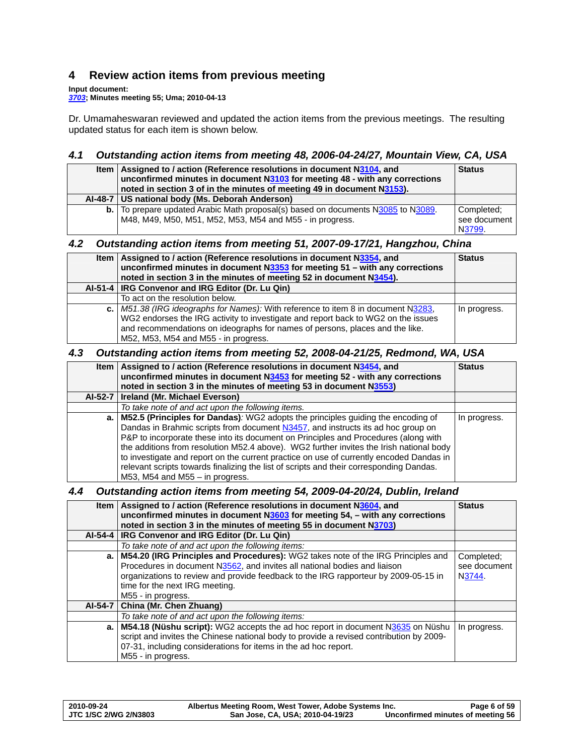# <span id="page-5-0"></span>**4 Review action items from previous meeting**

**Input document:** 

*[3703](http://www.dkuug.dk/jtc1/sc2/wg2/docs/n3703.pdf)***; Minutes meeting 55; Uma; 2010-04-13** 

Dr. Umamaheswaran reviewed and updated the action items from the previous meetings. The resulting updated status for each item is shown below.

# *4.1 Outstanding action items from meeting 48, 2006-04-24/27, Mountain View, CA, USA*

| ltem I | Assigned to / action (Reference resolutions in document N3104, and<br>unconfirmed minutes in document N3103 for meeting 48 - with any corrections<br>noted in section 3 of in the minutes of meeting 49 in document N3153). | <b>Status</b> |
|--------|-----------------------------------------------------------------------------------------------------------------------------------------------------------------------------------------------------------------------------|---------------|
|        | Al-48-7   US national body (Ms. Deborah Anderson)                                                                                                                                                                           |               |
|        | <b>b.</b> To prepare updated Arabic Math proposal(s) based on documents N3085 to N3089.                                                                                                                                     | Completed:    |
|        | M48, M49, M50, M51, M52, M53, M54 and M55 - in progress.                                                                                                                                                                    | see document  |
|        |                                                                                                                                                                                                                             | N3799.        |

# *4.2 Outstanding action items from meeting 51, 2007-09-17/21, Hangzhou, China*

| Item   Assigned to / action (Reference resolutions in document N3354, and<br>unconfirmed minutes in document N3353 for meeting 51 - with any corrections<br>noted in section 3 in the minutes of meeting 52 in document N3454).                                                                  | <b>Status</b> |
|--------------------------------------------------------------------------------------------------------------------------------------------------------------------------------------------------------------------------------------------------------------------------------------------------|---------------|
| Al-51-4   IRG Convenor and IRG Editor (Dr. Lu Qin)                                                                                                                                                                                                                                               |               |
| To act on the resolution below.                                                                                                                                                                                                                                                                  |               |
| c.   M51.38 (IRG ideographs for Names): With reference to item 8 in document N3283,<br>WG2 endorses the IRG activity to investigate and report back to WG2 on the issues<br>and recommendations on ideographs for names of persons, places and the like.<br>M52, M53, M54 and M55 - in progress. | In progress.  |

# *4.3 Outstanding action items from meeting 52, 2008-04-21/25, Redmond, WA, USA*

|    | Item   Assigned to / action (Reference resolutions in document N3454, and<br>unconfirmed minutes in document N3453 for meeting 52 - with any corrections | <b>Status</b> |
|----|----------------------------------------------------------------------------------------------------------------------------------------------------------|---------------|
|    | noted in section 3 in the minutes of meeting 53 in document N3553)                                                                                       |               |
|    | Al-52-7   Ireland (Mr. Michael Everson)                                                                                                                  |               |
|    | To take note of and act upon the following items.                                                                                                        |               |
| a. | M52.5 (Principles for Dandas): WG2 adopts the principles guiding the encoding of                                                                         | In progress.  |
|    | Dandas in Brahmic scripts from document N3457, and instructs its ad hoc group on                                                                         |               |
|    | P&P to incorporate these into its document on Principles and Procedures (along with                                                                      |               |
|    | the additions from resolution M52.4 above). WG2 further invites the Irish national body                                                                  |               |
|    | to investigate and report on the current practice on use of currently encoded Dandas in                                                                  |               |
|    | relevant scripts towards finalizing the list of scripts and their corresponding Dandas.                                                                  |               |
|    | M53, M54 and M55 $-$ in progress.                                                                                                                        |               |

# *4.4 Outstanding action items from meeting 54, 2009-04-20/24, Dublin, Ireland*

| Item | Assigned to / action (Reference resolutions in document N3604, and<br>unconfirmed minutes in document N3603 for meeting 54, - with any corrections<br>noted in section 3 in the minutes of meeting 55 in document N3703)                                                                                          | <b>Status</b>                        |
|------|-------------------------------------------------------------------------------------------------------------------------------------------------------------------------------------------------------------------------------------------------------------------------------------------------------------------|--------------------------------------|
|      | Al-54-4   IRG Convenor and IRG Editor (Dr. Lu Qin)                                                                                                                                                                                                                                                                |                                      |
|      | To take note of and act upon the following items:                                                                                                                                                                                                                                                                 |                                      |
|      | a.   M54.20 (IRG Principles and Procedures): WG2 takes note of the IRG Principles and<br>Procedures in document N3562, and invites all national bodies and liaison<br>organizations to review and provide feedback to the IRG rapporteur by 2009-05-15 in<br>time for the next IRG meeting.<br>M55 - in progress. | Completed:<br>see document<br>N3744. |
|      | Al-54-7   China (Mr. Chen Zhuang)                                                                                                                                                                                                                                                                                 |                                      |
|      | To take note of and act upon the following items:                                                                                                                                                                                                                                                                 |                                      |
|      | a. M54.18 (Nüshu script): WG2 accepts the ad hoc report in document N3635 on Nüshu<br>script and invites the Chinese national body to provide a revised contribution by 2009-<br>07-31, including considerations for items in the ad hoc report.<br>M55 - in progress.                                            | In progress.                         |

| 2010-09-24            | Albertus Meeting Room, West Tower, Adobe Systems Inc. | Page 6 of 59                      |
|-----------------------|-------------------------------------------------------|-----------------------------------|
| JTC 1/SC 2/WG 2/N3803 | San Jose, CA, USA; 2010-04-19/23                      | Unconfirmed minutes of meeting 56 |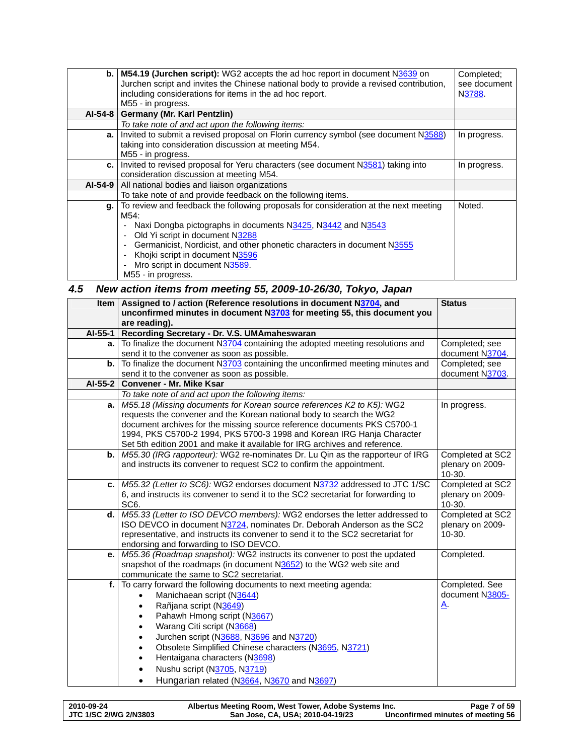<span id="page-6-0"></span>

| b.   | M54.19 (Jurchen script): WG2 accepts the ad hoc report in document N3639 on             | Completed:   |
|------|-----------------------------------------------------------------------------------------|--------------|
|      | Jurchen script and invites the Chinese national body to provide a revised contribution, | see document |
|      | including considerations for items in the ad hoc report.                                | N3788.       |
|      | M55 - in progress.                                                                      |              |
|      | Al-54-8   Germany (Mr. Karl Pentzlin)                                                   |              |
|      |                                                                                         |              |
|      | To take note of and act upon the following items:                                       |              |
| a. I | Invited to submit a revised proposal on Florin currency symbol (see document N3588)     | In progress. |
|      | taking into consideration discussion at meeting M54.                                    |              |
|      | M55 - in progress.                                                                      |              |
|      | c.   Invited to revised proposal for Yeru characters (see document N3581) taking into   | In progress. |
|      | consideration discussion at meeting M54.                                                |              |
|      | AI-54-9   All national bodies and liaison organizations                                 |              |
|      | To take note of and provide feedback on the following items.                            |              |
| g.   | To review and feedback the following proposals for consideration at the next meeting    | Noted.       |
|      | M54:                                                                                    |              |
|      | Naxi Dongba pictographs in documents N3425, N3442 and N3543                             |              |
|      | Old Yi script in document N3288<br>٠                                                    |              |
|      | Germanicist, Nordicist, and other phonetic characters in document N3555<br>٠            |              |
|      | Khojki script in document N3596<br>٠                                                    |              |
|      | Mro script in document N3589.                                                           |              |
|      | M55 - in progress.                                                                      |              |

# *4.5 New action items from meeting 55, 2009-10-26/30, Tokyo, Japan*

| <b>Item</b> | Assigned to / action (Reference resolutions in document N3704, and<br>unconfirmed minutes in document N3703 for meeting 55, this document you<br>are reading). | <b>Status</b>    |
|-------------|----------------------------------------------------------------------------------------------------------------------------------------------------------------|------------------|
|             | Al-55-1 Recording Secretary - Dr. V.S. UMAmaheswaran                                                                                                           |                  |
| a.          | To finalize the document N3704 containing the adopted meeting resolutions and                                                                                  | Completed; see   |
|             | send it to the convener as soon as possible.                                                                                                                   | document N3704.  |
| b.          | To finalize the document N3703 containing the unconfirmed meeting minutes and                                                                                  | Completed; see   |
|             | send it to the convener as soon as possible.                                                                                                                   | document N3703.  |
|             | Al-55-2   Convener - Mr. Mike Ksar                                                                                                                             |                  |
|             | To take note of and act upon the following items:                                                                                                              |                  |
| a.          | M55.18 (Missing documents for Korean source references K2 to K5): WG2                                                                                          | In progress.     |
|             | requests the convener and the Korean national body to search the WG2                                                                                           |                  |
|             | document archives for the missing source reference documents PKS C5700-1                                                                                       |                  |
|             | 1994, PKS C5700-2 1994, PKS 5700-3 1998 and Korean IRG Hanja Character<br>Set 5th edition 2001 and make it available for IRG archives and reference.           |                  |
|             | <b>b.</b> M55.30 (IRG rapporteur): WG2 re-nominates Dr. Lu Qin as the rapporteur of IRG                                                                        | Completed at SC2 |
|             | and instructs its convener to request SC2 to confirm the appointment.                                                                                          | plenary on 2009- |
|             |                                                                                                                                                                | 10-30.           |
| c.          | M55.32 (Letter to SC6): WG2 endorses document N3732 addressed to JTC 1/SC                                                                                      | Completed at SC2 |
|             | 6, and instructs its convener to send it to the SC2 secretariat for forwarding to                                                                              | plenary on 2009- |
|             | SC <sub>6</sub> .                                                                                                                                              | 10-30.           |
|             | d.   M55.33 (Letter to ISO DEVCO members): WG2 endorses the letter addressed to                                                                                | Completed at SC2 |
|             | ISO DEVCO in document N3724, nominates Dr. Deborah Anderson as the SC2                                                                                         | plenary on 2009- |
|             | representative, and instructs its convener to send it to the SC2 secretariat for                                                                               | $10-30.$         |
|             | endorsing and forwarding to ISO DEVCO.                                                                                                                         |                  |
| е.          | M55.36 (Roadmap snapshot): WG2 instructs its convener to post the updated                                                                                      | Completed.       |
|             | snapshot of the roadmaps (in document N3652) to the WG2 web site and<br>communicate the same to SC2 secretariat.                                               |                  |
| f.          | To carry forward the following documents to next meeting agenda:                                                                                               | Completed. See   |
|             | Manichaean script (N3644)<br>$\bullet$                                                                                                                         | document N3805-  |
|             | Rañjana script (N3649)                                                                                                                                         | <u>A</u> .       |
|             | Pahawh Hmong script (N3667)                                                                                                                                    |                  |
|             | Warang Citi script (N3668)<br>$\bullet$                                                                                                                        |                  |
|             | Jurchen script (N3688, N3696 and N3720)                                                                                                                        |                  |
|             | Obsolete Simplified Chinese characters (N3695, N3721)                                                                                                          |                  |
|             | Hentaigana characters (N3698)                                                                                                                                  |                  |
|             | Nushu script (N3705, N3719)                                                                                                                                    |                  |
|             | Hungarian related (N3664, N3670 and N3697)<br>$\bullet$                                                                                                        |                  |
|             |                                                                                                                                                                |                  |

| 2010-09-24                   | Albertus Meeting Room, West Tower, Adobe Systems Inc. | Page 7 of 59                      |
|------------------------------|-------------------------------------------------------|-----------------------------------|
| <b>JTC 1/SC 2/WG 2/N3803</b> | San Jose, CA, USA; 2010-04-19/23                      | Unconfirmed minutes of meeting 56 |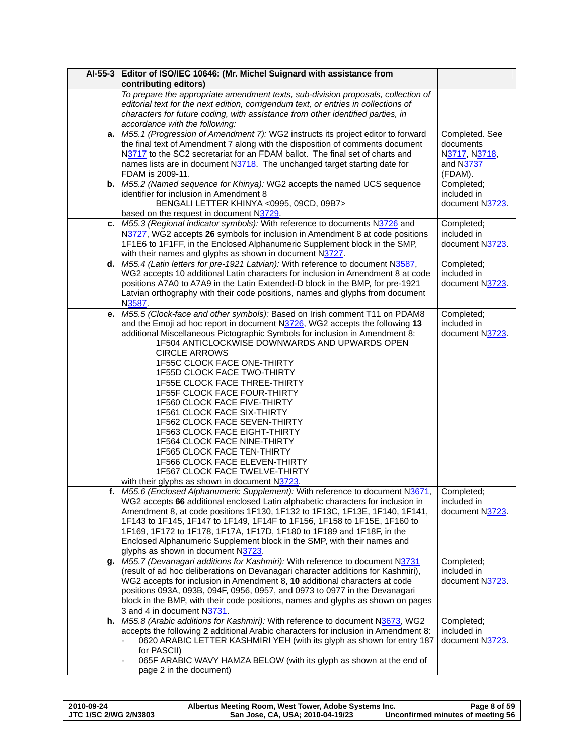|    | Al-55-3 Editor of ISO/IEC 10646: (Mr. Michel Suignard with assistance from                                                                                          |                           |
|----|---------------------------------------------------------------------------------------------------------------------------------------------------------------------|---------------------------|
|    | contributing editors)                                                                                                                                               |                           |
|    | To prepare the appropriate amendment texts, sub-division proposals, collection of                                                                                   |                           |
|    | editorial text for the next edition, corrigendum text, or entries in collections of                                                                                 |                           |
|    | characters for future coding, with assistance from other identified parties, in                                                                                     |                           |
|    | accordance with the following:                                                                                                                                      |                           |
| a. | M55.1 (Progression of Amendment 7): WG2 instructs its project editor to forward                                                                                     | Completed. See            |
|    | the final text of Amendment 7 along with the disposition of comments document                                                                                       | documents                 |
|    | N3717 to the SC2 secretariat for an FDAM ballot. The final set of charts and                                                                                        | N3717, N3718,             |
|    | names lists are in document N3718. The unchanged target starting date for                                                                                           | and N3737                 |
|    | FDAM is 2009-11.                                                                                                                                                    | (FDAM).                   |
| b. | M55.2 (Named sequence for Khinya): WG2 accepts the named UCS sequence                                                                                               | Completed;                |
|    | identifier for inclusion in Amendment 8                                                                                                                             | included in               |
|    | BENGALI LETTER KHINYA <0995, 09CD, 09B7>                                                                                                                            | document N3723.           |
|    | based on the request in document N3729.                                                                                                                             |                           |
| c. | M55.3 (Regional indicator symbols): With reference to documents N3726 and                                                                                           | Completed;                |
|    | N3727, WG2 accepts 26 symbols for inclusion in Amendment 8 at code positions                                                                                        | included in               |
|    | 1F1E6 to 1F1FF, in the Enclosed Alphanumeric Supplement block in the SMP,                                                                                           | document N3723.           |
|    | with their names and glyphs as shown in document N3727.                                                                                                             |                           |
| d. | M55.4 (Latin letters for pre-1921 Latvian): With reference to document N3587,                                                                                       | Completed;                |
|    | WG2 accepts 10 additional Latin characters for inclusion in Amendment 8 at code                                                                                     | included in               |
|    | positions A7A0 to A7A9 in the Latin Extended-D block in the BMP, for pre-1921                                                                                       | document N3723.           |
|    | Latvian orthography with their code positions, names and glyphs from document                                                                                       |                           |
|    | N3587.                                                                                                                                                              |                           |
| е. | M55.5 (Clock-face and other symbols): Based on Irish comment T11 on PDAM8                                                                                           | Completed;                |
|    | and the Emoji ad hoc report in document N3726, WG2 accepts the following 13                                                                                         | included in               |
|    | additional Miscellaneous Pictographic Symbols for inclusion in Amendment 8:                                                                                         | document N3723.           |
|    | 1F504 ANTICLOCKWISE DOWNWARDS AND UPWARDS OPEN                                                                                                                      |                           |
|    | <b>CIRCLE ARROWS</b>                                                                                                                                                |                           |
|    | 1F55C CLOCK FACE ONE-THIRTY                                                                                                                                         |                           |
|    | <b>1F55D CLOCK FACE TWO-THIRTY</b>                                                                                                                                  |                           |
|    | <b>1F55E CLOCK FACE THREE-THIRTY</b>                                                                                                                                |                           |
|    | 1F55F CLOCK FACE FOUR-THIRTY                                                                                                                                        |                           |
|    | 1F560 CLOCK FACE FIVE-THIRTY                                                                                                                                        |                           |
|    | 1F561 CLOCK FACE SIX-THIRTY                                                                                                                                         |                           |
|    | 1F562 CLOCK FACE SEVEN-THIRTY                                                                                                                                       |                           |
|    | <b>1F563 CLOCK FACE EIGHT-THIRTY</b>                                                                                                                                |                           |
|    | <b>1F564 CLOCK FACE NINE-THIRTY</b>                                                                                                                                 |                           |
|    | <b>1F565 CLOCK FACE TEN-THIRTY</b>                                                                                                                                  |                           |
|    | 1F566 CLOCK FACE ELEVEN-THIRTY                                                                                                                                      |                           |
|    | 1F567 CLOCK FACE TWELVE-THIRTY                                                                                                                                      |                           |
|    | with their glyphs as shown in document N3723.                                                                                                                       |                           |
|    | f.   M55.6 (Enclosed Alphanumeric Supplement): With reference to document N3671,<br>WG2 accepts 66 additional enclosed Latin alphabetic characters for inclusion in | Completed:<br>included in |
|    | Amendment 8, at code positions 1F130, 1F132 to 1F13C, 1F13E, 1F140, 1F141,                                                                                          | document N3723.           |
|    | 1F143 to 1F145, 1F147 to 1F149, 1F14F to 1F156, 1F158 to 1F15E, 1F160 to                                                                                            |                           |
|    | 1F169, 1F172 to 1F178, 1F17A, 1F17D, 1F180 to 1F189 and 1F18F, in the                                                                                               |                           |
|    | Enclosed Alphanumeric Supplement block in the SMP, with their names and                                                                                             |                           |
|    | glyphs as shown in document N3723.                                                                                                                                  |                           |
| g. | M55.7 (Devanagari additions for Kashmiri): With reference to document N3731                                                                                         | Completed;                |
|    | (result of ad hoc deliberations on Devanagari character additions for Kashmiri),                                                                                    | included in               |
|    | WG2 accepts for inclusion in Amendment 8, 10 additional characters at code                                                                                          | document N3723.           |
|    | positions 093A, 093B, 094F, 0956, 0957, and 0973 to 0977 in the Devanagari                                                                                          |                           |
|    | block in the BMP, with their code positions, names and glyphs as shown on pages                                                                                     |                           |
|    | 3 and 4 in document N3731.                                                                                                                                          |                           |
| h. | M55.8 (Arabic additions for Kashmiri): With reference to document N3673, WG2                                                                                        | Completed;                |
|    | accepts the following 2 additional Arabic characters for inclusion in Amendment 8:                                                                                  | included in               |
|    | 0620 ARABIC LETTER KASHMIRI YEH (with its glyph as shown for entry 187                                                                                              | document N3723.           |
|    | for PASCII)                                                                                                                                                         |                           |
|    | 065F ARABIC WAVY HAMZA BELOW (with its glyph as shown at the end of<br>$\qquad \qquad \blacksquare$                                                                 |                           |
|    | page 2 in the document)                                                                                                                                             |                           |

| 2010-09-24                   | Albertus Meeting Room, West Tower, Adobe Systems Inc. | Page 8 of 59                      |
|------------------------------|-------------------------------------------------------|-----------------------------------|
| <b>JTC 1/SC 2/WG 2/N3803</b> | San Jose, CA, USA; 2010-04-19/23                      | Unconfirmed minutes of meeting 56 |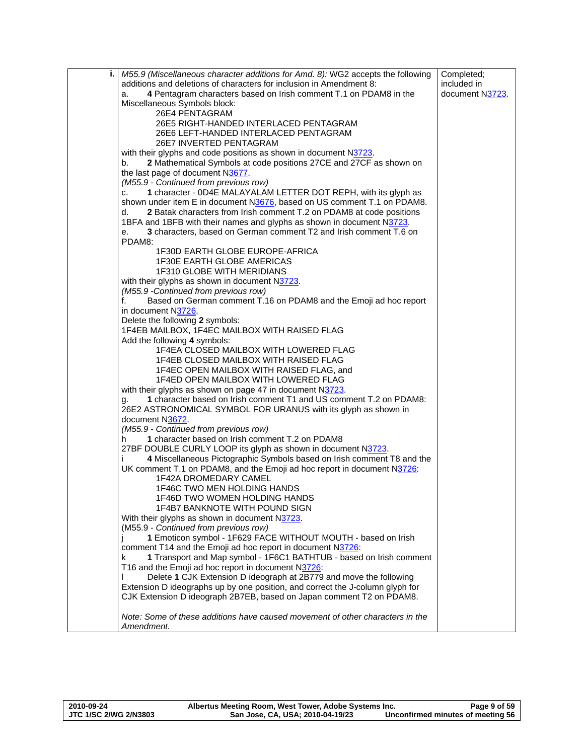| i.   M55.9 (Miscellaneous character additions for Amd. 8): WG2 accepts the following | Completed;      |
|--------------------------------------------------------------------------------------|-----------------|
| additions and deletions of characters for inclusion in Amendment 8:                  | included in     |
| 4 Pentagram characters based on Irish comment T.1 on PDAM8 in the<br>a.              | document N3723. |
| Miscellaneous Symbols block:                                                         |                 |
| 26E4 PENTAGRAM                                                                       |                 |
| 26E5 RIGHT-HANDED INTERLACED PENTAGRAM                                               |                 |
| 26E6 LEFT-HANDED INTERLACED PENTAGRAM                                                |                 |
| 26E7 INVERTED PENTAGRAM                                                              |                 |
| with their glyphs and code positions as shown in document N3723.                     |                 |
| 2 Mathematical Symbols at code positions 27CE and 27CF as shown on<br>b.             |                 |
| the last page of document N3677.                                                     |                 |
| (M55.9 - Continued from previous row)                                                |                 |
| 1 character - 0D4E MALAYALAM LETTER DOT REPH, with its glyph as<br>c.                |                 |
| shown under item E in document N3676, based on US comment T.1 on PDAM8.              |                 |
| 2 Batak characters from Irish comment T.2 on PDAM8 at code positions<br>d.           |                 |
| 1BFA and 1BFB with their names and glyphs as shown in document N3723.                |                 |
| 3 characters, based on German comment T2 and Irish comment T.6 on<br>е.              |                 |
| PDAM8:                                                                               |                 |
| 1F30D EARTH GLOBE EUROPE-AFRICA                                                      |                 |
| <b>1F30E EARTH GLOBE AMERICAS</b>                                                    |                 |
| 1F310 GLOBE WITH MERIDIANS                                                           |                 |
| with their glyphs as shown in document N3723.                                        |                 |
| (M55.9 - Continued from previous row)                                                |                 |
| Based on German comment T.16 on PDAM8 and the Emoji ad hoc report<br>f.              |                 |
| in document N3726,                                                                   |                 |
| Delete the following 2 symbols:                                                      |                 |
| 1F4EB MAILBOX, 1F4EC MAILBOX WITH RAISED FLAG                                        |                 |
| Add the following 4 symbols:                                                         |                 |
| 1F4EA CLOSED MAILBOX WITH LOWERED FLAG                                               |                 |
| 1F4EB CLOSED MAILBOX WITH RAISED FLAG                                                |                 |
| 1F4EC OPEN MAILBOX WITH RAISED FLAG, and                                             |                 |
| 1F4ED OPEN MAILBOX WITH LOWERED FLAG                                                 |                 |
| with their glyphs as shown on page 47 in document N3723.                             |                 |
| 1 character based on Irish comment T1 and US comment T.2 on PDAM8:                   |                 |
| g.<br>26E2 ASTRONOMICAL SYMBOL FOR URANUS with its glyph as shown in                 |                 |
| document N3672.                                                                      |                 |
| (M55.9 - Continued from previous row)                                                |                 |
| 1 character based on Irish comment T.2 on PDAM8<br>h                                 |                 |
| 27BF DOUBLE CURLY LOOP its glyph as shown in document N3723.                         |                 |
| 4 Miscellaneous Pictographic Symbols based on Irish comment T8 and the               |                 |
| UK comment T.1 on PDAM8, and the Emoji ad hoc report in document N3726:              |                 |
| 1F42A DROMEDARY CAMEL                                                                |                 |
| 1F46C TWO MEN HOLDING HANDS                                                          |                 |
| 1F46D TWO WOMEN HOLDING HANDS                                                        |                 |
| <b>1F4B7 BANKNOTE WITH POUND SIGN</b>                                                |                 |
| With their glyphs as shown in document N3723.                                        |                 |
| (M55.9 - Continued from previous row)                                                |                 |
| 1 Emoticon symbol - 1F629 FACE WITHOUT MOUTH - based on Irish                        |                 |
| comment T14 and the Emoji ad hoc report in document N3726:                           |                 |
| 1 Transport and Map symbol - 1F6C1 BATHTUB - based on Irish comment<br>k             |                 |
| T16 and the Emoji ad hoc report in document N3726:                                   |                 |
| Delete 1 CJK Extension D ideograph at 2B779 and move the following                   |                 |
| Extension D ideographs up by one position, and correct the J-column glyph for        |                 |
| CJK Extension D ideograph 2B7EB, based on Japan comment T2 on PDAM8.                 |                 |
|                                                                                      |                 |
| Note: Some of these additions have caused movement of other characters in the        |                 |
| Amendment.                                                                           |                 |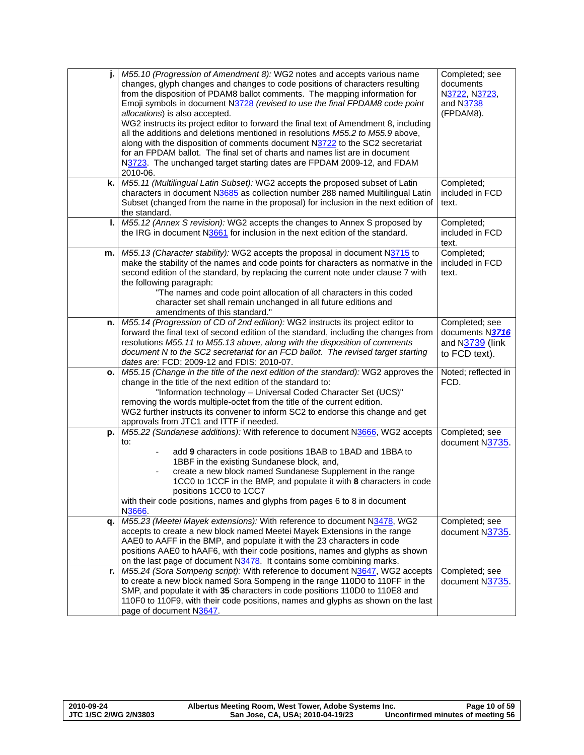|      | M55.10 (Progression of Amendment 8): WG2 notes and accepts various name<br>changes, glyph changes and changes to code positions of characters resulting<br>from the disposition of PDAM8 ballot comments. The mapping information for<br>Emoji symbols in document N3728 (revised to use the final FPDAM8 code point<br>allocations) is also accepted.<br>WG2 instructs its project editor to forward the final text of Amendment 8, including<br>all the additions and deletions mentioned in resolutions M55.2 to M55.9 above,<br>along with the disposition of comments document N3722 to the SC2 secretariat<br>for an FPDAM ballot. The final set of charts and names list are in document<br>N3723. The unchanged target starting dates are FPDAM 2009-12, and FDAM<br>2010-06. | Completed; see<br>documents<br>N3722, N3723,<br>and N3738<br>(FPDAM8). |
|------|---------------------------------------------------------------------------------------------------------------------------------------------------------------------------------------------------------------------------------------------------------------------------------------------------------------------------------------------------------------------------------------------------------------------------------------------------------------------------------------------------------------------------------------------------------------------------------------------------------------------------------------------------------------------------------------------------------------------------------------------------------------------------------------|------------------------------------------------------------------------|
| k.   | M55.11 (Multilingual Latin Subset): WG2 accepts the proposed subset of Latin<br>characters in document N3685 as collection number 288 named Multilingual Latin<br>Subset (changed from the name in the proposal) for inclusion in the next edition of<br>the standard.                                                                                                                                                                                                                                                                                                                                                                                                                                                                                                                | Completed;<br>included in FCD<br>text.                                 |
| ı.   | M55.12 (Annex S revision): WG2 accepts the changes to Annex S proposed by<br>the IRG in document N3661 for inclusion in the next edition of the standard.                                                                                                                                                                                                                                                                                                                                                                                                                                                                                                                                                                                                                             | Completed;<br>included in FCD<br>text.                                 |
| m.   | M55.13 (Character stability): WG2 accepts the proposal in document N3715 to<br>make the stability of the names and code points for characters as normative in the<br>second edition of the standard, by replacing the current note under clause 7 with<br>the following paragraph:<br>"The names and code point allocation of all characters in this coded<br>character set shall remain unchanged in all future editions and<br>amendments of this standard."                                                                                                                                                                                                                                                                                                                        | Completed;<br>included in FCD<br>text.                                 |
| n. I | M55.14 (Progression of CD of 2nd edition): WG2 instructs its project editor to<br>forward the final text of second edition of the standard, including the changes from<br>resolutions M55.11 to M55.13 above, along with the disposition of comments<br>document N to the SC2 secretariat for an FCD ballot. The revised target starting<br>dates are: FCD: 2009-12 and FDIS: 2010-07.                                                                                                                                                                                                                                                                                                                                                                                                | Completed; see<br>documents N3716<br>and N3739 (link<br>to FCD text).  |
| о.   | M55.15 (Change in the title of the next edition of the standard): WG2 approves the<br>change in the title of the next edition of the standard to:<br>"Information technology - Universal Coded Character Set (UCS)"<br>removing the words multiple-octet from the title of the current edition.<br>WG2 further instructs its convener to inform SC2 to endorse this change and get<br>approvals from JTC1 and ITTF if needed.                                                                                                                                                                                                                                                                                                                                                         | Noted; reflected in<br>FCD.                                            |
| p.   | M55.22 (Sundanese additions): With reference to document N3666, WG2 accepts<br>to:<br>add 9 characters in code positions 1BAB to 1BAD and 1BBA to<br>1BBF in the existing Sundanese block, and,<br>create a new block named Sundanese Supplement in the range<br>1CC0 to 1CCF in the BMP, and populate it with 8 characters in code<br>positions 1CC0 to 1CC7<br>with their code positions, names and glyphs from pages 6 to 8 in document<br>N3666.                                                                                                                                                                                                                                                                                                                                  | Completed; see<br>document N3735.                                      |
| q.   | M55.23 (Meetei Mayek extensions): With reference to document N3478, WG2<br>accepts to create a new block named Meetei Mayek Extensions in the range<br>AAE0 to AAFF in the BMP, and populate it with the 23 characters in code<br>positions AAE0 to hAAF6, with their code positions, names and glyphs as shown<br>on the last page of document N3478. It contains some combining marks.                                                                                                                                                                                                                                                                                                                                                                                              | Completed; see<br>document N3735.                                      |
| r.   | M55.24 (Sora Sompeng script): With reference to document N3647, WG2 accepts<br>to create a new block named Sora Sompeng in the range 110D0 to 110FF in the<br>SMP, and populate it with 35 characters in code positions 110D0 to 110E8 and<br>110F0 to 110F9, with their code positions, names and glyphs as shown on the last<br>page of document N3647.                                                                                                                                                                                                                                                                                                                                                                                                                             | Completed; see<br>document N3735.                                      |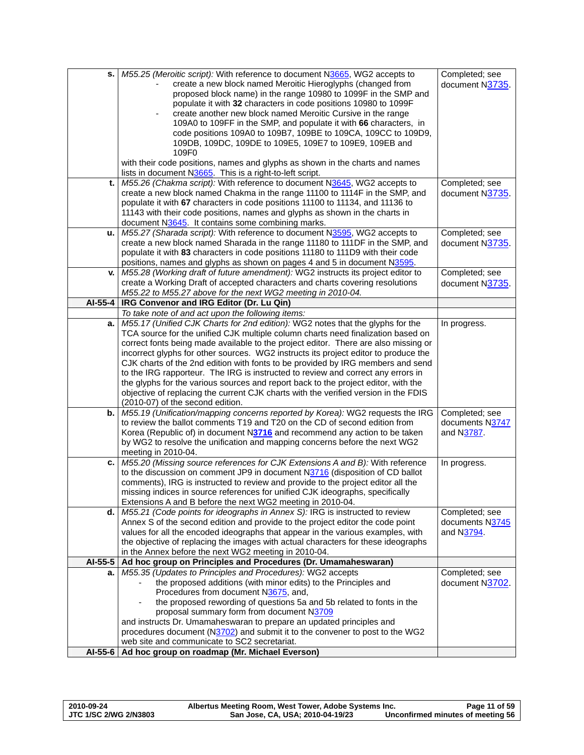| s.      | M55.25 (Meroitic script): With reference to document N3665, WG2 accepts to<br>create a new block named Meroitic Hieroglyphs (changed from<br>proposed block name) in the range 10980 to 1099F in the SMP and<br>populate it with 32 characters in code positions 10980 to 1099F<br>create another new block named Meroitic Cursive in the range<br>109A0 to 109FF in the SMP, and populate it with 66 characters, in<br>code positions 109A0 to 109B7, 109BE to 109CA, 109CC to 109D9,<br>109DB, 109DC, 109DE to 109E5, 109E7 to 109E9, 109EB and<br>109F0<br>with their code positions, names and glyphs as shown in the charts and names<br>lists in document N3665. This is a right-to-left script.                                   | Completed; see<br>document N3735.               |
|---------|------------------------------------------------------------------------------------------------------------------------------------------------------------------------------------------------------------------------------------------------------------------------------------------------------------------------------------------------------------------------------------------------------------------------------------------------------------------------------------------------------------------------------------------------------------------------------------------------------------------------------------------------------------------------------------------------------------------------------------------|-------------------------------------------------|
| t.      | M55.26 (Chakma script): With reference to document N3645, WG2 accepts to<br>create a new block named Chakma in the range 11100 to 1114F in the SMP, and<br>populate it with 67 characters in code positions 11100 to 11134, and 11136 to<br>11143 with their code positions, names and glyphs as shown in the charts in<br>document N3645. It contains some combining marks.                                                                                                                                                                                                                                                                                                                                                             | Completed; see<br>document N3735.               |
| u.      | M55.27 (Sharada script): With reference to document N3595, WG2 accepts to<br>create a new block named Sharada in the range 11180 to 111DF in the SMP, and<br>populate it with 83 characters in code positions 11180 to 111D9 with their code<br>positions, names and glyphs as shown on pages 4 and 5 in document N3595.                                                                                                                                                                                                                                                                                                                                                                                                                 | Completed; see<br>document N3735.               |
| v.      | M55.28 (Working draft of future amendment): WG2 instructs its project editor to<br>create a Working Draft of accepted characters and charts covering resolutions<br>M55.22 to M55.27 above for the next WG2 meeting in 2010-04.                                                                                                                                                                                                                                                                                                                                                                                                                                                                                                          | Completed; see<br>document N3735.               |
| AI-55-4 | IRG Convenor and IRG Editor (Dr. Lu Qin)                                                                                                                                                                                                                                                                                                                                                                                                                                                                                                                                                                                                                                                                                                 |                                                 |
|         | To take note of and act upon the following items:                                                                                                                                                                                                                                                                                                                                                                                                                                                                                                                                                                                                                                                                                        |                                                 |
| a.      | M55.17 (Unified CJK Charts for 2nd edition): WG2 notes that the glyphs for the<br>TCA source for the unified CJK multiple column charts need finalization based on<br>correct fonts being made available to the project editor. There are also missing or<br>incorrect glyphs for other sources. WG2 instructs its project editor to produce the<br>CJK charts of the 2nd edition with fonts to be provided by IRG members and send<br>to the IRG rapporteur. The IRG is instructed to review and correct any errors in<br>the glyphs for the various sources and report back to the project editor, with the<br>objective of replacing the current CJK charts with the verified version in the FDIS<br>(2010-07) of the second edition. | In progress.                                    |
| b.      | M55.19 (Unification/mapping concerns reported by Korea): WG2 requests the IRG<br>to review the ballot comments T19 and T20 on the CD of second edition from<br>Korea (Republic of) in document N3716 and recommend any action to be taken<br>by WG2 to resolve the unification and mapping concerns before the next WG2<br>meeting in 2010-04.                                                                                                                                                                                                                                                                                                                                                                                           | Completed; see<br>documents N3747<br>and N3787. |
| c.      | M55.20 (Missing source references for CJK Extensions A and B): With reference<br>to the discussion on comment JP9 in document N3716 (disposition of CD ballot<br>comments), IRG is instructed to review and provide to the project editor all the<br>missing indices in source references for unified CJK ideographs, specifically<br>Extensions A and B before the next WG2 meeting in 2010-04.                                                                                                                                                                                                                                                                                                                                         | In progress.                                    |
|         | <b>d.</b> $M55.21$ (Code points for ideographs in Annex S): IRG is instructed to review<br>Annex S of the second edition and provide to the project editor the code point<br>values for all the encoded ideographs that appear in the various examples, with<br>the objective of replacing the images with actual characters for these ideographs<br>in the Annex before the next WG2 meeting in 2010-04.                                                                                                                                                                                                                                                                                                                                | Completed; see<br>documents N3745<br>and N3794. |
| AI-55-5 | Ad hoc group on Principles and Procedures (Dr. Umamaheswaran)                                                                                                                                                                                                                                                                                                                                                                                                                                                                                                                                                                                                                                                                            |                                                 |
| а.      | M55.35 (Updates to Principles and Procedures): WG2 accepts<br>the proposed additions (with minor edits) to the Principles and<br>Procedures from document N3675, and,<br>the proposed rewording of questions 5a and 5b related to fonts in the<br>proposal summary form from document N3709<br>and instructs Dr. Umamaheswaran to prepare an updated principles and<br>procedures document (N3702) and submit it to the convener to post to the WG2<br>web site and communicate to SC2 secretariat.                                                                                                                                                                                                                                      | Completed; see<br>document N3702.               |
| AI-55-6 | Ad hoc group on roadmap (Mr. Michael Everson)                                                                                                                                                                                                                                                                                                                                                                                                                                                                                                                                                                                                                                                                                            |                                                 |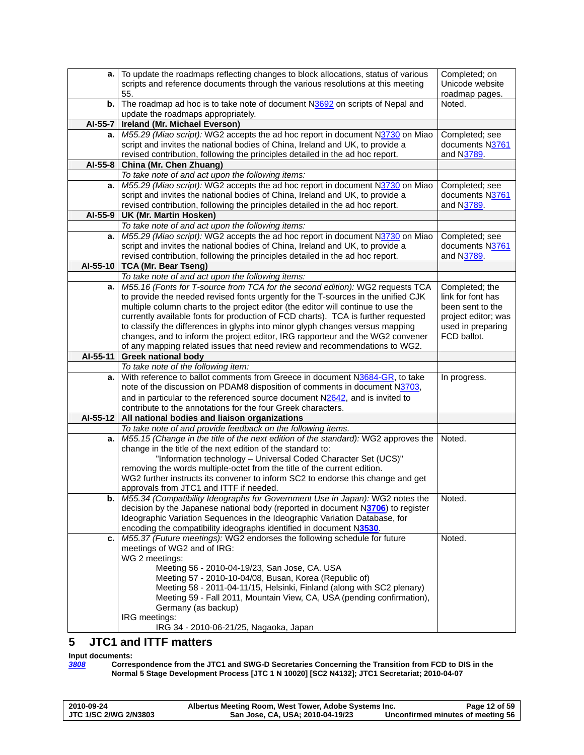<span id="page-11-0"></span>

| а.       | To update the roadmaps reflecting changes to block allocations, status of various<br>scripts and reference documents through the various resolutions at this meeting<br>55. | Completed; on<br>Unicode website<br>roadmap pages. |
|----------|-----------------------------------------------------------------------------------------------------------------------------------------------------------------------------|----------------------------------------------------|
| b.       | The roadmap ad hoc is to take note of document N3692 on scripts of Nepal and<br>update the roadmaps appropriately.                                                          | Noted.                                             |
| AI-55-7  | Ireland (Mr. Michael Everson)                                                                                                                                               |                                                    |
| а.       | M55.29 (Miao script): WG2 accepts the ad hoc report in document N3730 on Miao                                                                                               | Completed; see                                     |
|          | script and invites the national bodies of China, Ireland and UK, to provide a                                                                                               | documents N3761                                    |
|          | revised contribution, following the principles detailed in the ad hoc report.                                                                                               | and N3789.                                         |
| AI-55-8  | China (Mr. Chen Zhuang)                                                                                                                                                     |                                                    |
|          | To take note of and act upon the following items:                                                                                                                           |                                                    |
| a.       | M55.29 (Miao script): WG2 accepts the ad hoc report in document N3730 on Miao                                                                                               | Completed; see                                     |
|          | script and invites the national bodies of China, Ireland and UK, to provide a                                                                                               | documents N3761                                    |
|          | revised contribution, following the principles detailed in the ad hoc report.                                                                                               | and N3789.                                         |
| AI-55-9  | UK (Mr. Martin Hosken)                                                                                                                                                      |                                                    |
|          | To take note of and act upon the following items:                                                                                                                           |                                                    |
| a.       | M55.29 (Miao script): WG2 accepts the ad hoc report in document N3730 on Miao<br>script and invites the national bodies of China, Ireland and UK, to provide a              | Completed; see<br>documents N3761                  |
|          | revised contribution, following the principles detailed in the ad hoc report.                                                                                               | and N3789.                                         |
| AI-55-10 | <b>TCA (Mr. Bear Tseng)</b>                                                                                                                                                 |                                                    |
|          | To take note of and act upon the following items:                                                                                                                           |                                                    |
| a.       | M55.16 (Fonts for T-source from TCA for the second edition): WG2 requests TCA                                                                                               | Completed; the                                     |
|          | to provide the needed revised fonts urgently for the T-sources in the unified CJK                                                                                           | link for font has                                  |
|          | multiple column charts to the project editor (the editor will continue to use the                                                                                           | been sent to the                                   |
|          | currently available fonts for production of FCD charts). TCA is further requested                                                                                           | project editor; was                                |
|          | to classify the differences in glyphs into minor glyph changes versus mapping                                                                                               | used in preparing                                  |
|          | changes, and to inform the project editor, IRG rapporteur and the WG2 convener                                                                                              | FCD ballot.                                        |
|          | of any mapping related issues that need review and recommendations to WG2.                                                                                                  |                                                    |
| AI-55-11 | <b>Greek national body</b>                                                                                                                                                  |                                                    |
|          | To take note of the following item:<br>With reference to ballot comments from Greece in document N3684-GR, to take                                                          |                                                    |
| a.       | note of the discussion on PDAM8 disposition of comments in document N3703,                                                                                                  | In progress.                                       |
|          | and in particular to the referenced source document N2642, and is invited to                                                                                                |                                                    |
|          | contribute to the annotations for the four Greek characters.                                                                                                                |                                                    |
| AI-55-12 | All national bodies and liaison organizations                                                                                                                               |                                                    |
|          | To take note of and provide feedback on the following items.                                                                                                                |                                                    |
| a.       | M55.15 (Change in the title of the next edition of the standard): WG2 approves the                                                                                          | Noted.                                             |
|          | change in the title of the next edition of the standard to:                                                                                                                 |                                                    |
|          | "Information technology - Universal Coded Character Set (UCS)"                                                                                                              |                                                    |
|          | removing the words multiple-octet from the title of the current edition.                                                                                                    |                                                    |
|          | WG2 further instructs its convener to inform SC2 to endorse this change and get                                                                                             |                                                    |
|          | approvals from JTC1 and ITTF if needed.<br>M55.34 (Compatibility Ideographs for Government Use in Japan): WG2 notes the                                                     | Noted.                                             |
| b.       | decision by the Japanese national body (reported in document N3706) to register                                                                                             |                                                    |
|          |                                                                                                                                                                             |                                                    |
|          |                                                                                                                                                                             |                                                    |
|          | Ideographic Variation Sequences in the Ideographic Variation Database, for                                                                                                  |                                                    |
| c.       | encoding the compatibility ideographs identified in document N3530.                                                                                                         | Noted.                                             |
|          | M55.37 (Future meetings): WG2 endorses the following schedule for future<br>meetings of WG2 and of IRG:                                                                     |                                                    |
|          | WG 2 meetings:                                                                                                                                                              |                                                    |
|          | Meeting 56 - 2010-04-19/23, San Jose, CA. USA                                                                                                                               |                                                    |
|          | Meeting 57 - 2010-10-04/08, Busan, Korea (Republic of)                                                                                                                      |                                                    |
|          | Meeting 58 - 2011-04-11/15, Helsinki, Finland (along with SC2 plenary)                                                                                                      |                                                    |
|          | Meeting 59 - Fall 2011, Mountain View, CA, USA (pending confirmation),                                                                                                      |                                                    |
|          | Germany (as backup)                                                                                                                                                         |                                                    |
|          | IRG meetings:<br>IRG 34 - 2010-06-21/25, Nagaoka, Japan                                                                                                                     |                                                    |

# **5 JTC1 and ITTF matters**

**Input documents:**<br>**3808** Corres *[3808](http://www.dkuug.dk/jtc1/sc2/wg2/docs/n3808.pdf)* **Correspondence from the JTC1 and SWG-D Secretaries Concerning the Transition from FCD to DIS in the Normal 5 Stage Development Process [JTC 1 N 10020] [SC2 N4132]; JTC1 Secretariat; 2010-04-07** 

| 2010-09-24                   | Albertus Meeting Room, West Tower, Adobe Systems Inc. | Page 12 of 59                     |
|------------------------------|-------------------------------------------------------|-----------------------------------|
| <b>JTC 1/SC 2/WG 2/N3803</b> | San Jose, CA, USA; 2010-04-19/23                      | Unconfirmed minutes of meeting 56 |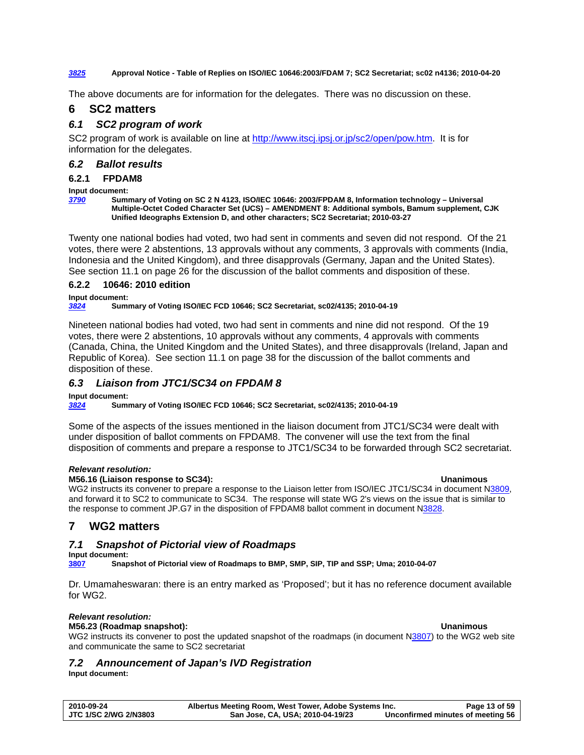#### <span id="page-12-0"></span>*[3825](http://www.dkuug.dk/JTC1/SC2/WG2/docs/n3825.pdf)* **Approval Notice - Table of Replies on ISO/IEC 10646:2003/FDAM 7; SC2 Secretariat; sc02 n4136; 2010-04-20**

The above documents are for information for the delegates. There was no discussion on these.

# **6 SC2 matters**

#### *6.1 SC2 program of work*

SC2 program of work is available on line at <http://www.itscj.ipsj.or.jp/sc2/open/pow.htm>. It is for information for the delegates.

#### *6.2 Ballot results*

### **6.2.1 FPDAM8**

#### **Input document:**

*[3790](http://www.dkuug.dk/jtc1/sc2/wg2/docs/n3790.pdf)* **Summary of Voting on SC 2 N 4123, ISO/IEC 10646: 2003/FPDAM 8, Information technology – Universal Multiple-Octet Coded Character Set (UCS) – AMENDMENT 8: Additional symbols, Bamum supplement, CJK Unified Ideographs Extension D, and other characters; SC2 Secretariat; 2010-03-27** 

Twenty one national bodies had voted, two had sent in comments and seven did not respond. Of the 21 votes, there were 2 abstentions, 13 approvals without any comments, 3 approvals with comments (India, Indonesia and the United Kingdom), and three disapprovals (Germany, Japan and the United States). See section [11.1](#page-25-1) on page [26](#page-25-1) for the discussion of the ballot comments and disposition of these.

# **6.2.2 10646: 2010 edition**

### **Input document:**

#### *[3824](http://www.dkuug.dk/JTC1/SC2/WG2/docs/n3824.pdf)* **Summary of Voting ISO/IEC FCD 10646; SC2 Secretariat, sc02/4135; 2010-04-19**

Nineteen national bodies had voted, two had sent in comments and nine did not respond. Of the 19 votes, there were 2 abstentions, 10 approvals without any comments, 4 approvals with comments (Canada, China, the United Kingdom and the United States), and three disapprovals (Ireland, Japan and Republic of Korea). See section [11.1](#page-25-1) on page [38](#page-37-1) for the discussion of the ballot comments and disposition of these.

## *6.3 Liaison from JTC1/SC34 on FPDAM 8*

#### **Input document:**

*[3824](http://www.dkuug.dk/JTC1/SC2/WG2/docs/n3824.pdf)* **Summary of Voting ISO/IEC FCD 10646; SC2 Secretariat, sc02/4135; 2010-04-19** 

Some of the aspects of the issues mentioned in the liaison document from JTC1/SC34 were dealt with under disposition of ballot comments on FPDAM8. The convener will use the text from the final disposition of comments and prepare a response to JTC1/SC34 to be forwarded through SC2 secretariat.

#### *Relevant resolution:*

#### **M56.16 (Liaison response to SC34): Unanimous**

WG2 instructs its convener to prepare a response to the Liaison letter from ISO/IEC JTC1/SC34 in document [N3809](http://www.dkuug.dk/jtc1/sc2/wg2/docs/N3809.pdf). and forward it to SC2 to communicate to SC34. The response will state WG 2's views on the issue that is similar to the response to comment JP.G7 in the disposition of FPDAM8 ballot comment in document N[3828.](http://www.dkuug.dk/jtc1/sc2/wg2/docs/N3828.pdf)

# **7 WG2 matters**

### *7.1 Snapshot of Pictorial view of Roadmaps*

#### **Input document:**

**[3807](http://www.dkuug.dk/JTC1/SC2/WG2/docs/n3807.pdf) Snapshot of Pictorial view of Roadmaps to BMP, SMP, SIP, TIP and SSP; Uma; 2010-04-07** 

Dr. Umamaheswaran: there is an entry marked as 'Proposed'; but it has no reference document available for WG2.

#### *Relevant resolution:*

#### **M56.23 (Roadmap snapshot): Unanimous**

WG2 instructs its convener to post the updated snapshot of the roadmaps (in document [N3807](http://www.dkuug.dk/jtc1/sc2/wg2/docs/N3807.pdf)) to the WG2 web site and communicate the same to SC2 secretariat

# *7.2 Announcement of Japan's IVD Registration*

**Input document:** 

| 2010-09-24            | Albertus Meeting Room, West Tower, Adobe Systems Inc. | Page 13 of 59                     |
|-----------------------|-------------------------------------------------------|-----------------------------------|
| JTC 1/SC 2/WG 2/N3803 | San Jose, CA, USA; 2010-04-19/23                      | Unconfirmed minutes of meeting 56 |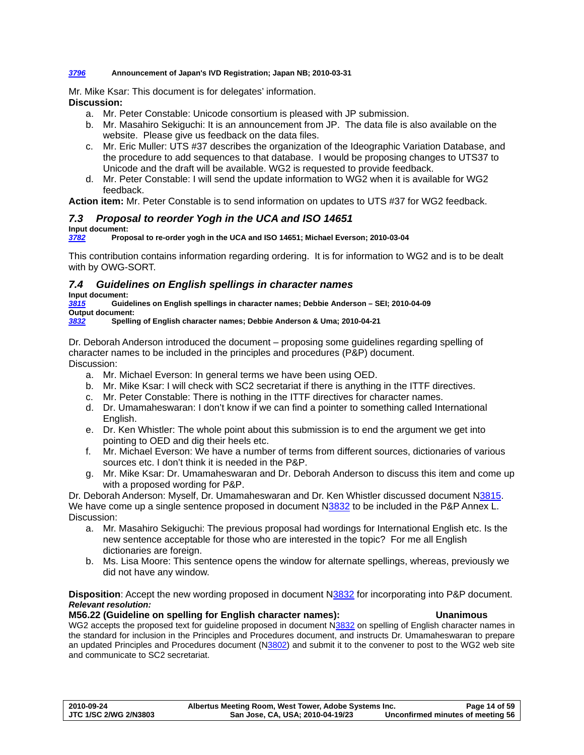#### <span id="page-13-0"></span>*[3796](http://www.dkuug.dk/jtc1/sc2/wg2/docs/n3796.pdf)* **Announcement of Japan's IVD Registration; Japan NB; 2010-03-31**

Mr. Mike Ksar: This document is for delegates' information.

**Discussion:** 

- a. Mr. Peter Constable: Unicode consortium is pleased with JP submission.
- b. Mr. Masahiro Sekiguchi: It is an announcement from JP. The data file is also available on the website. Please give us feedback on the data files.
- c. Mr. Eric Muller: UTS #37 describes the organization of the Ideographic Variation Database, and the procedure to add sequences to that database. I would be proposing changes to UTS37 to Unicode and the draft will be available. WG2 is requested to provide feedback.
- d. Mr. Peter Constable: I will send the update information to WG2 when it is available for WG2 feedback.

**Action item:** Mr. Peter Constable is to send information on updates to UTS #37 for WG2 feedback.

# *7.3 Proposal to reorder Yogh in the UCA and ISO 14651*

**Input document:** 

*[3782](http://www.dkuug.dk/jtc1/sc2/wg2/docs/n3782.pdf)* **Proposal to re-order yogh in the UCA and ISO 14651; Michael Everson; 2010-03-04** 

This contribution contains information regarding ordering. It is for information to WG2 and is to be dealt with by OWG-SORT.

# *7.4 Guidelines on English spellings in character names*

**Input document:** 

*[3815](http://www.dkuug.dk/JTC1/SC2/WG2/docs/n3815.pdf)* **Guidelines on English spellings in character names; Debbie Anderson – SEI; 2010-04-09 Output document:** 

*[3832](http://www.dkuug.dk/JTC1/SC2/WG2/docs/n3832.pdf)* **Spelling of English character names; Debbie Anderson & Uma; 2010-04-21** 

Dr. Deborah Anderson introduced the document – proposing some guidelines regarding spelling of character names to be included in the principles and procedures (P&P) document. Discussion:

- a. Mr. Michael Everson: In general terms we have been using OED.
- b. Mr. Mike Ksar: I will check with SC2 secretariat if there is anything in the ITTF directives.
- c. Mr. Peter Constable: There is nothing in the ITTF directives for character names.
- d. Dr. Umamaheswaran: I don't know if we can find a pointer to something called International English.
- e. Dr. Ken Whistler: The whole point about this submission is to end the argument we get into pointing to OED and dig their heels etc.
- f. Mr. Michael Everson: We have a number of terms from different sources, dictionaries of various sources etc. I don't think it is needed in the P&P.
- g. Mr. Mike Ksar: Dr. Umamaheswaran and Dr. Deborah Anderson to discuss this item and come up with a proposed wording for P&P.

Dr. Deborah Anderson: Myself, Dr. Umamaheswaran and Dr. Ken Whistler discussed document [N3815.](http://www.dkuug.dk/JTC1/SC2/WG2/docs/n3815.pdf) We have come up a single sentence proposed in document N[3832](http://www.dkuug.dk/JTC1/SC2/WG2/docs/n3832.pdf) to be included in the P&P Annex L. Discussion:

- a. Mr. Masahiro Sekiguchi: The previous proposal had wordings for International English etc. Is the new sentence acceptable for those who are interested in the topic? For me all English dictionaries are foreign.
- b. Ms. Lisa Moore: This sentence opens the window for alternate spellings, whereas, previously we did not have any window.

**Disposition**: Accept the new wording proposed in document [N3832](http://www.dkuug.dk/JTC1/SC2/WG2/docs/n3832.pdf) for incorporating into P&P document. *Relevant resolution:* 

### **M56.22 (Guideline on spelling for English character names): Unanimous**

WG2 accepts the proposed text for guideline proposed in document N[3832](http://www.dkuug.dk/jtc1/sc2/wg2/docs/N3832.pdf) on spelling of English character names in the standard for inclusion in the Principles and Procedures document, and instructs Dr. Umamaheswaran to prepare an updated Principles and Procedures document (N[3802\)](http://www.dkuug.dk/jtc1/sc2/wg2/docs/N3802.pdf) and submit it to the convener to post to the WG2 web site and communicate to SC2 secretariat.

| 2010-09-24                   | Albertus Meeting Room, West Tower, Adobe Systems Inc. | Page 14 of 59                     |
|------------------------------|-------------------------------------------------------|-----------------------------------|
| <b>JTC 1/SC 2/WG 2/N3803</b> | San Jose, CA, USA; 2010-04-19/23                      | Unconfirmed minutes of meeting 56 |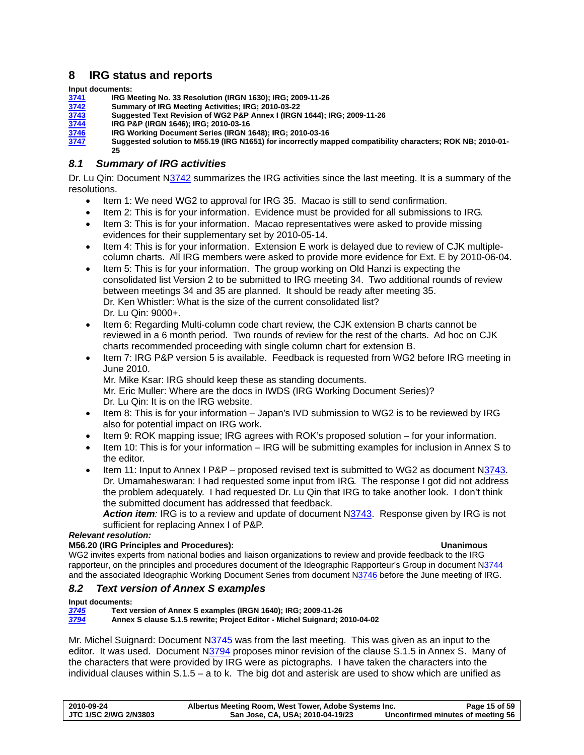# <span id="page-14-0"></span>**8 IRG status and reports**

**Input documents:** 

- **[3741](http://std.dkuug.dk/jtc1/sc2/wg2/docs/N3741.doc) IRG Meeting No. 33 Resolution (IRGN 1630); IRG; 2009-11-26**
- **[3742](http://std.dkuug.dk/jtc1/sc2/wg2/docs/N3742.doc) Summary of IRG Meeting Activities; IRG; 2010-03-22**
- **[3743](http://std.dkuug.dk/jtc1/sc2/wg2/docs/N3743.doc) Suggested Text Revision of WG2 P&P Annex I (IRGN 1644); IRG; 2009-11-26**
- **[3744](http://std.dkuug.dk/jtc1/sc2/wg2/docs/n3744.pdf) IRG P&P (IRGN 1646); IRG; 2010-03-16**
- **[3746](http://std.dkuug.dk/jtc1/sc2/wg2/docs/n3746.pdf) IRG Working Document Series (IRGN 1648); IRG; 2010-03-16**
- **[3747](http://std.dkuug.dk/jtc1/sc2/wg2/docs/n3747.pdf) Suggested solution to M55.19 (IRG N1651) for incorrectly mapped compatibility characters; ROK NB; 2010-01- 25**

# *8.1 Summary of IRG activities*

Dr. Lu Qin: Document [N3742](http://std.dkuug.dk/jtc1/sc2/wg2/docs/N3742.doc) summarizes the IRG activities since the last meeting. It is a summary of the resolutions.

- Item 1: We need WG2 to approval for IRG 35. Macao is still to send confirmation.
- Item 2: This is for your information. Evidence must be provided for all submissions to IRG.
- Item 3: This is for your information. Macao representatives were asked to provide missing evidences for their supplementary set by 2010-05-14.
- Item 4: This is for your information. Extension E work is delayed due to review of CJK multiplecolumn charts. All IRG members were asked to provide more evidence for Ext. E by 2010-06-04.
- Item 5: This is for your information. The group working on Old Hanzi is expecting the consolidated list Version 2 to be submitted to IRG meeting 34. Two additional rounds of review between meetings 34 and 35 are planned. It should be ready after meeting 35. Dr. Ken Whistler: What is the size of the current consolidated list? Dr. Lu Qin: 9000+.
- Item 6: Regarding Multi-column code chart review, the CJK extension B charts cannot be reviewed in a 6 month period. Two rounds of review for the rest of the charts. Ad hoc on CJK charts recommended proceeding with single column chart for extension B.
- Item 7: IRG P&P version 5 is available. Feedback is requested from WG2 before IRG meeting in June 2010. Mr. Mike Ksar: IRG should keep these as standing documents. Mr. Eric Muller: Where are the docs in IWDS (IRG Working Document Series)?
	- Dr. Lu Qin: It is on the IRG website.
- Item 8: This is for your information Japan's IVD submission to WG2 is to be reviewed by IRG also for potential impact on IRG work.
- Item 9: ROK mapping issue; IRG agrees with ROK's proposed solution for your information.
- Item 10: This is for your information IRG will be submitting examples for inclusion in Annex S to the editor.
- Item 11: Input to Annex I  $P\&P -$  proposed revised text is submitted to WG2 as document N[3743](http://std.dkuug.dk/jtc1/sc2/wg2/docs/N3743.doc). Dr. Umamaheswaran: I had requested some input from IRG. The response I got did not address the problem adequately. I had requested Dr. Lu Qin that IRG to take another look. I don't think the submitted document has addressed that feedback.

Action item: IRG is to a review and update of document N[3743.](http://std.dkuug.dk/jtc1/sc2/wg2/docs/N3743.doc) Response given by IRG is not sufficient for replacing Annex I of P&P.

### *Relevant resolution:*

#### **M56.20 (IRG Principles and Procedures): Unanimous**

WG2 invites experts from national bodies and liaison organizations to review and provide feedback to the IRG rapporteur, on the principles and procedures document of the Ideographic Rapporteur's Group in document N[3744](http://www.dkuug.dk/jtc1/sc2/wg2/docs/N3744.pdf) and the associated Ideographic Working Document Series from document N[3746](http://www.dkuug.dk/jtc1/sc2/wg2/docs/N3746.pdf) before the June meeting of IRG.

# *8.2 Text version of Annex S examples*

### **Input documents:**

*[3745](http://std.dkuug.dk/jtc1/sc2/wg2/docs/n3745.pdf)* **Text version of Annex S examples (IRGN 1640); IRG; 2009-11-26**  *[3794](http://www.dkuug.dk/jtc1/sc2/wg2/docs/n3794.pdf)* **Annex S clause S.1.5 rewrite; Project Editor - Michel Suignard; 2010-04-02** 

Mr. Michel Suignard: Document [N3745](http://std.dkuug.dk/jtc1/sc2/wg2/docs/n3745.pdf) was from the last meeting. This was given as an input to the editor. It was used. Document [N3794](http://std.dkuug.dk/jtc1/sc2/wg2/docs/n3794.pdf) proposes minor revision of the clause S.1.5 in Annex S. Many of the characters that were provided by IRG were as pictographs. I have taken the characters into the individual clauses within  $S.1.5 - a$  to k. The big dot and asterisk are used to show which are unified as

| 2010-09-24                   | Albertus Meeting Room, West Tower, Adobe Systems Inc. | Page 15 of 59                     |
|------------------------------|-------------------------------------------------------|-----------------------------------|
| <b>JTC 1/SC 2/WG 2/N3803</b> | San Jose, CA, USA; 2010-04-19/23                      | Unconfirmed minutes of meeting 56 |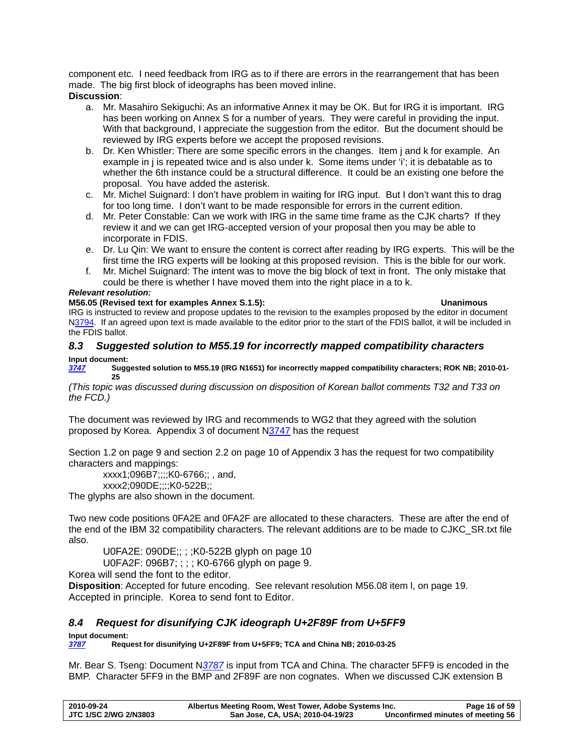<span id="page-15-0"></span>component etc. I need feedback from IRG as to if there are errors in the rearrangement that has been made. The big first block of ideographs has been moved inline. **Discussion**:

- a. Mr. Masahiro Sekiguchi: As an informative Annex it may be OK. But for IRG it is important. IRG has been working on Annex S for a number of years. They were careful in providing the input. With that background, I appreciate the suggestion from the editor. But the document should be reviewed by IRG experts before we accept the proposed revisions.
- b. Dr. Ken Whistler: There are some specific errors in the changes. Item j and k for example. An example in j is repeated twice and is also under k. Some items under 'i'; it is debatable as to whether the 6th instance could be a structural difference. It could be an existing one before the proposal. You have added the asterisk.
- c. Mr. Michel Suignard: I don't have problem in waiting for IRG input. But I don't want this to drag for too long time. I don't want to be made responsible for errors in the current edition.
- d. Mr. Peter Constable: Can we work with IRG in the same time frame as the CJK charts? If they review it and we can get IRG-accepted version of your proposal then you may be able to incorporate in FDIS.
- e. Dr. Lu Qin: We want to ensure the content is correct after reading by IRG experts. This will be the first time the IRG experts will be looking at this proposed revision. This is the bible for our work.
- f. Mr. Michel Suignard: The intent was to move the big block of text in front. The only mistake that could be there is whether I have moved them into the right place in a to k.

## *Relevant resolution:*

## **M56.05 (Revised text for examples Annex S.1.5): Unanimous**

IRG is instructed to review and propose updates to the revision to the examples proposed by the editor in document [N3794](http://www.dkuug.dk/jtc1/sc2/wg2/docs/N3794.pdf). If an agreed upon text is made available to the editor prior to the start of the FDIS ballot, it will be included in the FDIS ballot.

# <span id="page-15-1"></span>*8.3 Suggested solution to M55.19 for incorrectly mapped compatibility characters*  **Input document:**

*[3747](http://std.dkuug.dk/jtc1/sc2/wg2/docs/n3747.pdf)* **Suggested solution to M55.19 (IRG N1651) for incorrectly mapped compatibility characters; ROK NB; 2010-01- 25** 

*(This topic was discussed during discussion on disposition of Korean ballot comments T32 and T33 on the FCD.)* 

The document was reviewed by IRG and recommends to WG2 that they agreed with the solution proposed by Korea. Appendix 3 of document [N3747](http://www.dkuug.dk/JTC1/SC2/WG2/docs/n3747.pdf) has the request

Section 1.2 on page 9 and section 2.2 on page 10 of Appendix 3 has the request for two compatibility characters and mappings:

xxxx1;096B7;;;;K0-6766;; , and,

xxxx2;090DE;;;;K0-522B;;

The glyphs are also shown in the document.

Two new code positions 0FA2E and 0FA2F are allocated to these characters. These are after the end of the end of the IBM 32 compatibility characters. The relevant additions are to be made to CJKC\_SR.txt file also.

U0FA2E: 090DE;; ; ;K0-522B glyph on page 10

U0FA2F: 096B7; ; ; ; K0-6766 glyph on page 9.

Korea will send the font to the editor.

**Disposition**: Accepted for future encoding. See relevant resolution [M56.08 i](#page-18-1)tem l, on page [19](#page-18-1). Accepted in principle. Korea to send font to Editor.

# *8.4 Request for disunifying CJK ideograph U+2F89F from U+5FF9*

**Input document:**<br>**3787** Requ *[3787](http://www.dkuug.dk/jtc1/sc2/wg2/docs/N3787.doc)* **Request for disunifying U+2F89F from U+5FF9; TCA and China NB; 2010-03-25** 

Mr. Bear S. Tseng: Document N*[3787](http://www.dkuug.dk/jtc1/sc2/wg2/docs/N3787.doc)* is input from TCA and China. The character 5FF9 is encoded in the BMP. Character 5FF9 in the BMP and 2F89F are non cognates. When we discussed CJK extension B

| 2010-09-24                   | Albertus Meeting Room, West Tower, Adobe Systems Inc. | Page 16 of 59                     |
|------------------------------|-------------------------------------------------------|-----------------------------------|
| <b>JTC 1/SC 2/WG 2/N3803</b> | San Jose, CA, USA; 2010-04-19/23                      | Unconfirmed minutes of meeting 56 |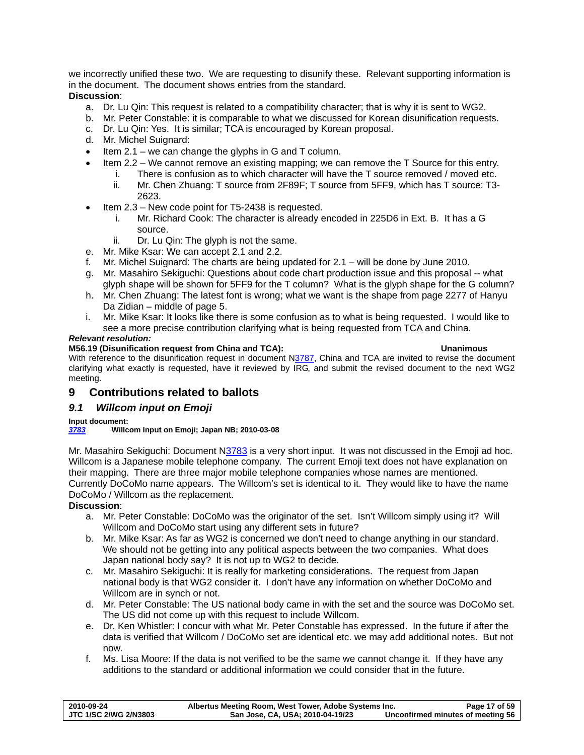<span id="page-16-0"></span>we incorrectly unified these two. We are requesting to disunify these. Relevant supporting information is in the document. The document shows entries from the standard. **Discussion**:

# a. Dr. Lu Qin: This request is related to a compatibility character; that is why it is sent to WG2.

- b. Mr. Peter Constable: it is comparable to what we discussed for Korean disunification requests.
- c. Dr. Lu Qin: Yes. It is similar; TCA is encouraged by Korean proposal.
- d. Mr. Michel Suignard:
- Item 2.1 we can change the glyphs in G and T column.
- Item 2.2 We cannot remove an existing mapping; we can remove the T Source for this entry.
	- i. There is confusion as to which character will have the T source removed / moved etc.
	- ii. Mr. Chen Zhuang: T source from 2F89F; T source from 5FF9, which has T source: T3- 2623.
- Item 2.3 New code point for T5-2438 is requested.
	- i. Mr. Richard Cook: The character is already encoded in 225D6 in Ext. B. It has a G source.
	- ii. Dr. Lu Qin: The glyph is not the same.
- e. Mr. Mike Ksar: We can accept 2.1 and 2.2.
- f. Mr. Michel Suignard: The charts are being updated for 2.1 will be done by June 2010.
- g. Mr. Masahiro Sekiguchi: Questions about code chart production issue and this proposal -- what glyph shape will be shown for 5FF9 for the T column? What is the glyph shape for the G column?
- h. Mr. Chen Zhuang: The latest font is wrong; what we want is the shape from page 2277 of Hanyu Da Zidian – middle of page 5.
- i. Mr. Mike Ksar: It looks like there is some confusion as to what is being requested. I would like to see a more precise contribution clarifying what is being requested from TCA and China.

### *Relevant resolution:*

#### **M56.19 (Disunification request from China and TCA): Unanimous**

With reference to the disunification request in document [N3787](http://www.dkuug.dk/jtc1/sc2/wg2/docs/N3787.pdf), China and TCA are invited to revise the document clarifying what exactly is requested, have it reviewed by IRG, and submit the revised document to the next WG2 meeting.

# **9 Contributions related to ballots**

# *9.1 Willcom input on Emoji*

### **Input document:**

### *[3783](http://www.dkuug.dk/jtc1/sc2/wg2/docs/n3783.pdf)* **Willcom Input on Emoji; Japan NB; 2010-03-08**

Mr. Masahiro Sekiguchi: Document [N3783](http://www.dkuug.dk/JTC1/SC2/WG2/docs/n3783.pdf) is a very short input. It was not discussed in the Emoji ad hoc. Willcom is a Japanese mobile telephone company. The current Emoji text does not have explanation on their mapping. There are three major mobile telephone companies whose names are mentioned. Currently DoCoMo name appears. The Willcom's set is identical to it. They would like to have the name DoCoMo / Willcom as the replacement.

### **Discussion**:

- a. Mr. Peter Constable: DoCoMo was the originator of the set. Isn't Willcom simply using it? Will Willcom and DoCoMo start using any different sets in future?
- b. Mr. Mike Ksar: As far as WG2 is concerned we don't need to change anything in our standard. We should not be getting into any political aspects between the two companies. What does Japan national body say? It is not up to WG2 to decide.
- c. Mr. Masahiro Sekiguchi: It is really for marketing considerations. The request from Japan national body is that WG2 consider it. I don't have any information on whether DoCoMo and Willcom are in synch or not.
- d. Mr. Peter Constable: The US national body came in with the set and the source was DoCoMo set. The US did not come up with this request to include Willcom.
- e. Dr. Ken Whistler: I concur with what Mr. Peter Constable has expressed. In the future if after the data is verified that Willcom / DoCoMo set are identical etc. we may add additional notes. But not now.
- f. Ms. Lisa Moore: If the data is not verified to be the same we cannot change it. If they have any additions to the standard or additional information we could consider that in the future.

| 2010-09-24                   | Albertus Meeting Room, West Tower, Adobe Systems Inc. | Page 17 of 59                     |
|------------------------------|-------------------------------------------------------|-----------------------------------|
| <b>JTC 1/SC 2/WG 2/N3803</b> | San Jose, CA, USA; 2010-04-19/23                      | Unconfirmed minutes of meeting 56 |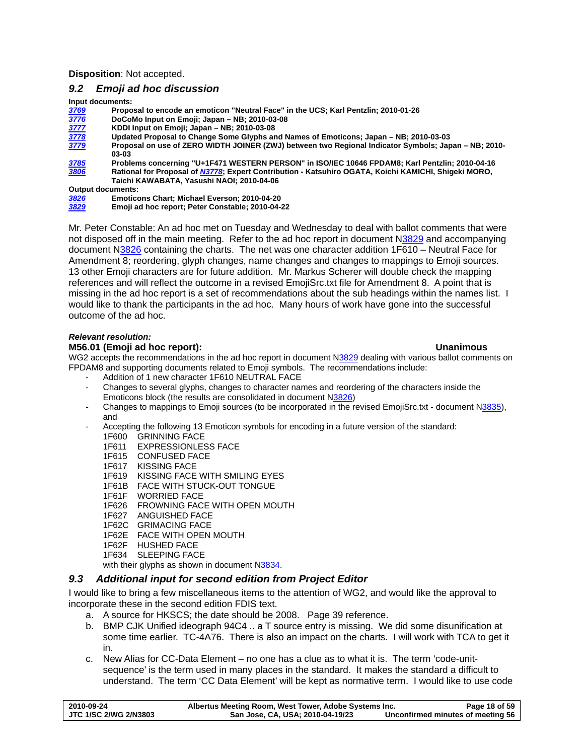<span id="page-17-0"></span>**Disposition**: Not accepted.

# <span id="page-17-1"></span>*9.2 Emoji ad hoc discussion*

**Input documents:** 

| Proposal to encode an emoticon "Neutral Face" in the UCS; Karl Pentzlin; 2010-01-26                  |
|------------------------------------------------------------------------------------------------------|
| DoCoMo Input on Emoji; Japan - NB; 2010-03-08                                                        |
| KDDI Input on Emoji; Japan - NB; 2010-03-08                                                          |
| Updated Proposal to Change Some Glyphs and Names of Emoticons; Japan – NB; 2010-03-03                |
| Proposal on use of ZERO WIDTH JOINER (ZWJ) between two Regional Indicator Symbols; Japan - NB; 2010- |
| 03-03                                                                                                |
| Problems concerning "U+1F471 WESTERN PERSON" in ISO/IEC 10646 FPDAM8; Karl Pentzlin; 2010-04-16      |
| Rational for Proposal of N3778; Expert Contribution - Katsuhiro OGATA, Koichi KAMICHI, Shigeki MORO, |
| Taichi KAWABATA, Yasushi NAOI: 2010-04-06                                                            |
| <b>Output documents:</b>                                                                             |
|                                                                                                      |

| 3826 | Emoticons Chart; Michael Everson; 2010-04-20     |
|------|--------------------------------------------------|
| 3829 | Emoii ad hoc report: Peter Constable: 2010-04-22 |

Mr. Peter Constable: An ad hoc met on Tuesday and Wednesday to deal with ballot comments that were not disposed off in the main meeting. Refer to the ad hoc report in document N[3829](http://www.dkuug.dk/JTC1/SC2/WG2/docs/n3829.pdf) and accompanying document N[3826](http://www.dkuug.dk/JTC1/SC2/WG2/docs/n3826.pdf) containing the charts. The net was one character addition 1F610 – Neutral Face for Amendment 8; reordering, glyph changes, name changes and changes to mappings to Emoji sources. 13 other Emoji characters are for future addition. Mr. Markus Scherer will double check the mapping references and will reflect the outcome in a revised EmojiSrc.txt file for Amendment 8. A point that is missing in the ad hoc report is a set of recommendations about the sub headings within the names list. I would like to thank the participants in the ad hoc. Many hours of work have gone into the successful outcome of the ad hoc.

#### *Relevant resolution:*

#### **M56.01 (Emoji ad hoc report): Unanimous**

WG2 accepts the recommendations in the ad hoc report in document N[3829](http://www.dkuug.dk/jtc1/sc2/wg2/docs/N3829.pdf) dealing with various ballot comments on FPDAM8 and supporting documents related to Emoji symbols. The recommendations include:

- Addition of 1 new character 1F610 NEUTRAL FACE
- Changes to several glyphs, changes to character names and reordering of the characters inside the Emoticons block (the results are consolidated in document N[3826\)](http://www.dkuug.dk/jtc1/sc2/wg2/docs/N3826.pdf)
- Changes to mappings to Emoji sources (to be incorporated in the revised EmojiSrc.txt document N[3835\)](http://www.dkuug.dk/jtc1/sc2/wg2/docs/N3835.pdf), and
- Accepting the following 13 Emoticon symbols for encoding in a future version of the standard: 1F600 GRINNING FACE
	- 1F611 EXPRESSIONLESS FACE
	- 1F615 CONFUSED FACE
	- 1F617 KISSING FACE
	- 1F619 KISSING FACE WITH SMILING EYES
	- 1F61B FACE WITH STUCK-OUT TONGUE
	- 1F61F WORRIED FACE
	- 1F626 FROWNING FACE WITH OPEN MOUTH
	- 1F627 ANGUISHED FACE
	- 1F62C GRIMACING FACE
	- 1F62E FACE WITH OPEN MOUTH
	- 1F62F HUSHED FACE
	- 1F634 SLEEPING FACE

with their glyphs as shown in document [N3834.](http://www.dkuug.dk/jtc1/sc2/wg2/docs/N3834.pdf)

### *9.3 Additional input for second edition from Project Editor*

I would like to bring a few miscellaneous items to the attention of WG2, and would like the approval to incorporate these in the second edition FDIS text.

- a. A source for HKSCS; the date should be 2008. Page 39 reference.
- b. BMP CJK Unified ideograph 94C4 .. a T source entry is missing. We did some disunification at some time earlier. TC-4A76. There is also an impact on the charts. I will work with TCA to get it in.
- c. New Alias for CC-Data Element no one has a clue as to what it is. The term 'code-unitsequence' is the term used in many places in the standard. It makes the standard a difficult to understand. The term 'CC Data Element' will be kept as normative term. I would like to use code

| 2010-09-24            | Albertus Meeting Room, West Tower, Adobe Systems Inc. | Page 18 of 59                     |
|-----------------------|-------------------------------------------------------|-----------------------------------|
| JTC 1/SC 2/WG 2/N3803 | San Jose, CA, USA; 2010-04-19/23                      | Unconfirmed minutes of meeting 56 |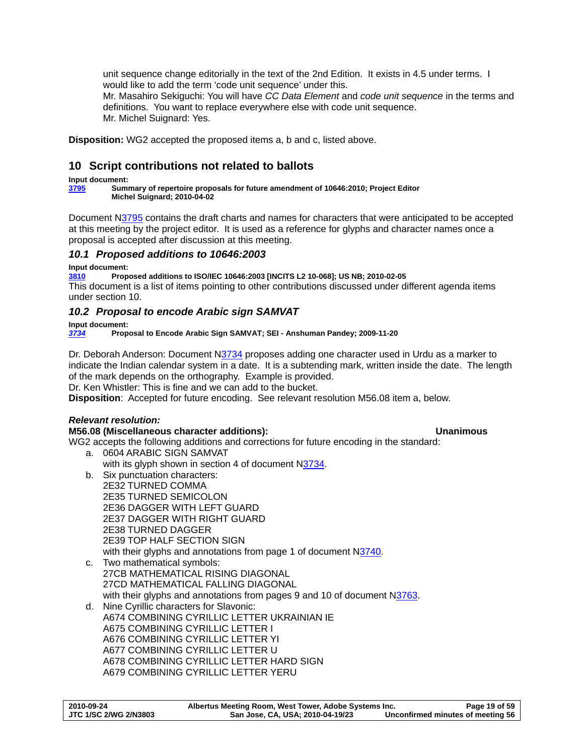<span id="page-18-0"></span>unit sequence change editorially in the text of the 2nd Edition. It exists in 4.5 under terms. I would like to add the term 'code unit sequence' under this. Mr. Masahiro Sekiguchi: You will have *CC Data Element* and *code unit sequence* in the terms and definitions. You want to replace everywhere else with code unit sequence. Mr. Michel Suignard: Yes.

**Disposition:** WG2 accepted the proposed items a, b and c, listed above.

# <span id="page-18-2"></span>**10 Script contributions not related to ballots**

**Input document:** 

**[3795](http://www.dkuug.dk/jtc1/sc2/wg2/docs/n3795.pdf) Summary of repertoire proposals for future amendment of 10646:2010; Project Editor Michel Suignard; 2010-04-02** 

Document N[3795](http://www.dkuug.dk/JTC1/SC2/WG2/docs/n3795.pdf) contains the draft charts and names for characters that were anticipated to be accepted at this meeting by the project editor. It is used as a reference for glyphs and character names once a proposal is accepted after discussion at this meeting.

# *10.1 Proposed additions to 10646:2003*

### **Input document:**

**[3810](http://www.dkuug.dk/jtc1/sc2/wg2/docs/n3810.pdf) Proposed additions to ISO/IEC 10646:2003 [INCITS L2 10-068]; US NB; 2010-02-05**  This document is a list of items pointing to other contributions discussed under different agenda items under section [10.](#page-18-2)

# *10.2 Proposal to encode Arabic sign SAMVAT*

**Input document:** 

*[3734](http://std.dkuug.dk/jtc1/sc2/wg2/docs/n3734.pdf)* **Proposal to Encode Arabic Sign SAMVAT; SEI - Anshuman Pandey; 2009-11-20** 

Dr. Deborah Anderson: Document [N3734](http://std.dkuug.dk/jtc1/sc2/wg2/docs/n3734.pdf) proposes adding one character used in Urdu as a marker to indicate the Indian calendar system in a date. It is a subtending mark, written inside the date. The length of the mark depends on the orthography. Example is provided.

Dr. Ken Whistler: This is fine and we can add to the bucket.

**Disposition**: Accepted for future encoding. See relevant resolution [M56.08 i](#page-18-1)tem a, below.

# *Relevant resolution:*

# <span id="page-18-1"></span>**M56.08 (Miscellaneous character additions): Unanimous**

WG2 accepts the following additions and corrections for future encoding in the standard:

- a. 0604 ARABIC SIGN SAMVAT with its glyph shown in section 4 of document N[3734](http://www.dkuug.dk/jtc1/sc2/wg2/docs/N3734.pdf).
- b. Six punctuation characters:
- 2E32 TURNED COMMA 2E35 TURNED SEMICOLON 2E36 DAGGER WITH LEFT GUARD 2E37 DAGGER WITH RIGHT GUARD 2E38 TURNED DAGGER 2E39 TOP HALF SECTION SIGN with their glyphs and annotations from page 1 of document [N3740.](http://www.dkuug.dk/jtc1/sc2/wg2/docs/N3740.pdf)
- c. Two mathematical symbols: 27CB MATHEMATICAL RISING DIAGONAL 27CD MATHEMATICAL FALLING DIAGONAL with their glyphs and annotations from pages 9 and 10 of document N[3763.](http://www.dkuug.dk/jtc1/sc2/wg2/docs/N3763.pdf)
- d. Nine Cyrillic characters for Slavonic: A674 COMBINING CYRILLIC LETTER UKRAINIAN IE A675 COMBINING CYRILLIC LETTER I A676 COMBINING CYRILLIC LETTER YI A677 COMBINING CYRILLIC LETTER U A678 COMBINING CYRILLIC LETTER HARD SIGN A679 COMBINING CYRILLIC LETTER YERU

| 2010-09-24            | Albertus Meeting Room, West Tower, Adobe Systems Inc. | Page 19 of 59                     |
|-----------------------|-------------------------------------------------------|-----------------------------------|
| JTC 1/SC 2/WG 2/N3803 | San Jose, CA, USA; 2010-04-19/23                      | Unconfirmed minutes of meeting 56 |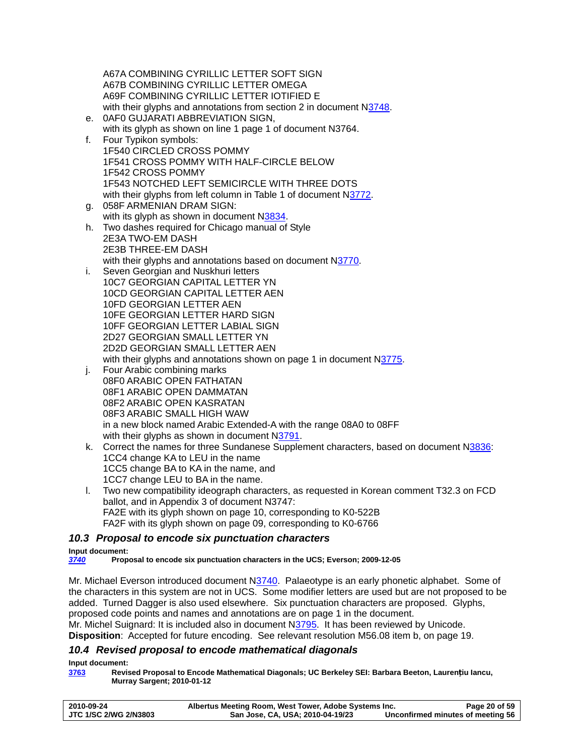<span id="page-19-0"></span>A67A COMBINING CYRILLIC LETTER SOFT SIGN A67B COMBINING CYRILLIC LETTER OMEGA A69F COMBINING CYRILLIC LETTER IOTIFIED E with their glyphs and annotations from section 2 in document [N3748.](http://www.dkuug.dk/jtc1/sc2/wg2/docs/N3748.pdf) e. 0AF0 GUJARATI ABBREVIATION SIGN, with its glyph as shown on line 1 page 1 of document N[3764.](http://www.dkuug.dk/jtc1/sc2/wg2/docs/N3764.pdf) f. Four Typikon symbols: 1F540 CIRCLED CROSS POMMY 1F541 CROSS POMMY WITH HALF-CIRCLE BELOW 1F542 CROSS POMMY 1F543 NOTCHED LEFT SEMICIRCLE WITH THREE DOTS with their glyphs from left column in Table 1 of document N[3772.](http://www.dkuug.dk/jtc1/sc2/wg2/docs/N3772.pdf) g. 058F ARMENIAN DRAM SIGN: with its glyph as shown in document [N3834.](http://www.dkuug.dk/jtc1/sc2/wg2/docs/N3834.pdf) h. Two dashes required for Chicago manual of Style 2E3A TWO-EM DASH 2E3B THREE-EM DASH with their glyphs and annotations based on document [N3770](http://www.dkuug.dk/jtc1/sc2/wg2/docs/N3770.pdf). i. Seven Georgian and Nuskhuri letters 10C7 GEORGIAN CAPITAL LETTER YN 10CD GEORGIAN CAPITAL LETTER AEN 10FD GEORGIAN LETTER AEN 10FE GEORGIAN LETTER HARD SIGN

with their glyphs and annotations shown on page 1 in document N[3775.](http://www.dkuug.dk/jtc1/sc2/wg2/docs/N3775.pdf)

in a new block named Arabic Extended-A with the range 08A0 to 08FF

- k. Correct the names for three Sundanese Supplement characters, based on document N[3836:](http://www.dkuug.dk/jtc1/sc2/wg2/docs/N3836.pdf) 1CC4 change KA to LEU in the name 1CC5 change BA to KA in the name, and 1CC7 change LEU to BA in the name.
- l. Two new compatibility ideograph characters, as requested in Korean comment T32.3 on FCD ballot, and in Appendix 3 of document N3747: FA2E with its glyph shown on page 10, corresponding to K0-522B FA2F with its glyph shown on page 09, corresponding to K0-6766

# *10.3 Proposal to encode six punctuation characters*

with their glyphs as shown in document N[3791](http://www.dkuug.dk/jtc1/sc2/wg2/docs/N3791.pdf).

10FF GEORGIAN LETTER LABIAL SIGN 2D27 GEORGIAN SMALL LETTER YN 2D2D GEORGIAN SMALL LETTER AEN

j. Four Arabic combining marks

08F0 ARABIC OPEN FATHATAN 08F1 ARABIC OPEN DAMMATAN 08F2 ARABIC OPEN KASRATAN 08F3 ARABIC SMALL HIGH WAW

#### **Input document:**

*[3740](http://std.dkuug.dk/jtc1/sc2/wg2/docs/n3740.pdf)* **Proposal to encode six punctuation characters in the UCS; Everson; 2009-12-05** 

Mr. Michael Everson introduced document N[3740.](http://www.dkuug.dk/JTC1/SC2/WG2/docs/n3740.pdf) Palaeotype is an early phonetic alphabet. Some of the characters in this system are not in UCS. Some modifier letters are used but are not proposed to be added. Turned Dagger is also used elsewhere. Six punctuation characters are proposed. Glyphs, proposed code points and names and annotations are on page 1 in the document. Mr. Michel Suignard: It is included also in document N[3795](http://www.dkuug.dk/JTC1/SC2/WG2/docs/n3795.pdf). It has been reviewed by Unicode. **Disposition**: Accepted for future encoding. See relevant resolution [M56.08 i](#page-18-1)tem b, on page [19](#page-18-1).

### *10.4 Revised proposal to encode mathematical diagonals*

**Input document:** 

**[3763](http://www.dkuug.dk/jtc1/sc2/wg2/docs/n3763.pdf) Revised Proposal to Encode Mathematical Diagonals; UC Berkeley SEI: Barbara Beeton, Laurențiu Iancu, Murray Sargent; 2010-01-12** 

| 2010-09-24            | Albertus Meeting Room, West Tower, Adobe Systems Inc. | Page 20 of 59                     |
|-----------------------|-------------------------------------------------------|-----------------------------------|
| JTC 1/SC 2/WG 2/N3803 | San Jose, CA, USA; 2010-04-19/23                      | Unconfirmed minutes of meeting 56 |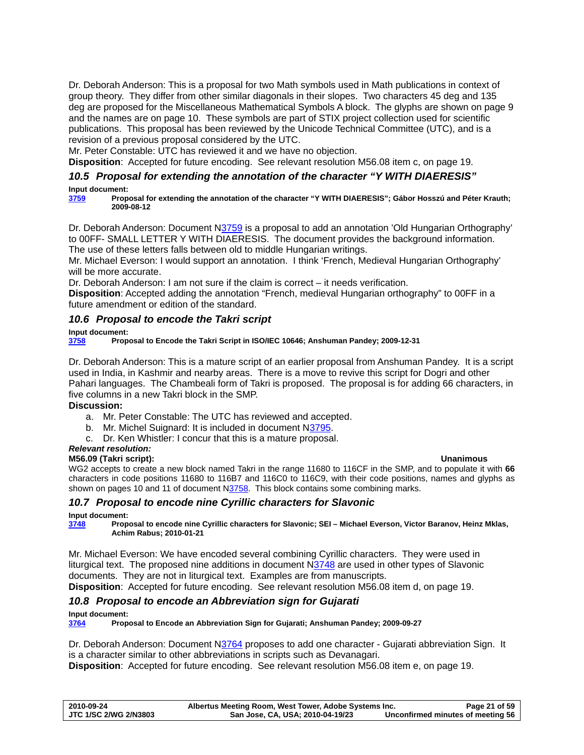<span id="page-20-0"></span>Dr. Deborah Anderson: This is a proposal for two Math symbols used in Math publications in context of group theory. They differ from other similar diagonals in their slopes. Two characters 45 deg and 135 deg are proposed for the Miscellaneous Mathematical Symbols A block. The glyphs are shown on page 9 and the names are on page 10. These symbols are part of STIX project collection used for scientific publications. This proposal has been reviewed by the Unicode Technical Committee (UTC), and is a revision of a previous proposal considered by the UTC.

Mr. Peter Constable: UTC has reviewed it and we have no objection.

**Disposition**: Accepted for future encoding. See relevant resolution [M56.08 i](#page-18-1)tem c, on page [19.](#page-18-1)

## *10.5 Proposal for extending the annotation of the character "Y WITH DIAERESIS"*

#### **Input document:**

**[3759](http://www.dkuug.dk/jtc1/sc2/wg2/docs/n3759.pdf) Proposal for extending the annotation of the character "Y WITH DIAERESIS"; Gábor Hosszú and Péter Krauth; 2009-08-12** 

Dr. Deborah Anderson: Document [N3759](http://www.dkuug.dk/jtc1/sc2/wg2/docs/n3759.pdf) is a proposal to add an annotation 'Old Hungarian Orthography' to 00FF- SMALL LETTER Y WITH DIAERESIS. The document provides the background information. The use of these letters falls between old to middle Hungarian writings.

Mr. Michael Everson: I would support an annotation. I think 'French, Medieval Hungarian Orthography' will be more accurate.

Dr. Deborah Anderson: I am not sure if the claim is correct – it needs verification.

**Disposition**: Accepted adding the annotation "French, medieval Hungarian orthography" to 00FF in a future amendment or edition of the standard.

# *10.6 Proposal to encode the Takri script*

**Input document:** 

**[3758](http://www.dkuug.dk/jtc1/sc2/wg2/docs/n3758.pdf) Proposal to Encode the Takri Script in ISO/IEC 10646; Anshuman Pandey; 2009-12-31** 

Dr. Deborah Anderson: This is a mature script of an earlier proposal from Anshuman Pandey. It is a script used in India, in Kashmir and nearby areas. There is a move to revive this script for Dogri and other Pahari languages. The Chambeali form of Takri is proposed. The proposal is for adding 66 characters, in five columns in a new Takri block in the SMP.

### **Discussion:**

- a. Mr. Peter Constable: The UTC has reviewed and accepted.
- b. Mr. Michel Suignard: It is included in document N[3795.](http://www.dkuug.dk/jtc1/sc2/wg2/docs/n3795.pdf)
- c. Dr. Ken Whistler: I concur that this is a mature proposal.

### *Relevant resolution:*

### **M56.09 (Takri script): Unanimous**

WG2 accepts to create a new block named Takri in the range 11680 to 116CF in the SMP, and to populate it with **66** characters in code positions 11680 to 116B7 and 116C0 to 116C9, with their code positions, names and glyphs as shown on pages 10 and 11 of document [N3758](http://www.dkuug.dk/jtc1/sc2/wg2/docs/N3758.pdf). This block contains some combining marks.

### *10.7 Proposal to encode nine Cyrillic characters for Slavonic*

### **Input document:**

**[3748](http://std.dkuug.dk/jtc1/sc2/wg2/docs/n3748.pdf) Proposal to encode nine Cyrillic characters for Slavonic; SEI – Michael Everson, Victor Baranov, Heinz Mklas, Achim Rabus; 2010-01-21** 

Mr. Michael Everson: We have encoded several combining Cyrillic characters. They were used in liturgical text. The proposed nine additions in document [N3748](http://std.dkuug.dk/jtc1/sc2/wg2/docs/n3748.pdf) are used in other types of Slavonic documents. They are not in liturgical text. Examples are from manuscripts. **Disposition**: Accepted for future encoding. See relevant resolution [M56.08 i](#page-18-1)tem d, on page [19](#page-18-1).

# *10.8 Proposal to encode an Abbreviation sign for Gujarati*

#### **Input document:**

**[3764](http://www.dkuug.dk/jtc1/sc2/wg2/docs/n3764.pdf) Proposal to Encode an Abbreviation Sign for Gujarati; Anshuman Pandey; 2009-09-27** 

Dr. Deborah Anderson: Document [N3764](http://www.dkuug.dk/jtc1/sc2/wg2/docs/n3764.pdf) proposes to add one character - Gujarati abbreviation Sign. It is a character similar to other abbreviations in scripts such as Devanagari.

**Disposition**: Accepted for future encoding. See relevant resolution [M56.08 i](#page-18-1)tem e, on page [19](#page-18-1).

| 2010-09-24            | Albertus Meeting Room, West Tower, Adobe Systems Inc. | Page 21 of 59                     |
|-----------------------|-------------------------------------------------------|-----------------------------------|
| JTC 1/SC 2/WG 2/N3803 | San Jose, CA, USA; 2010-04-19/23                      | Unconfirmed minutes of meeting 56 |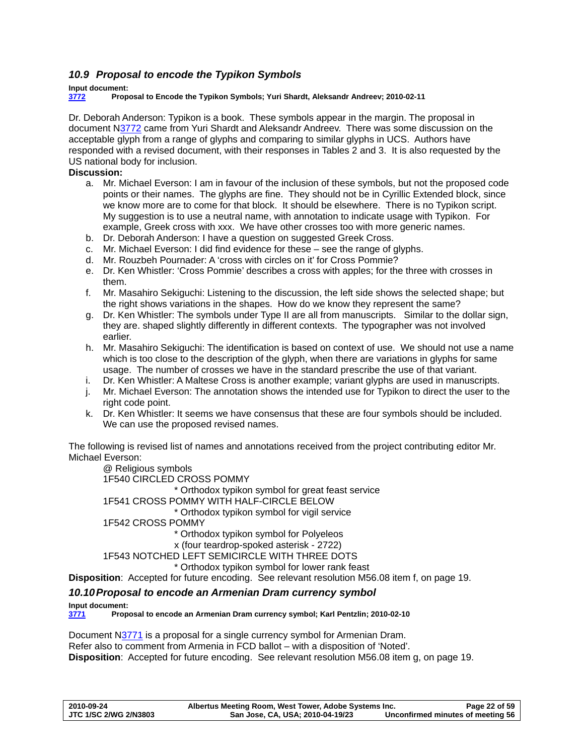# <span id="page-21-0"></span>*10.9 Proposal to encode the Typikon Symbols*

# **Input document:**

**[3772](http://www.dkuug.dk/jtc1/sc2/wg2/docs/n3772.pdf) Proposal to Encode the Typikon Symbols; Yuri Shardt, Aleksandr Andreev; 2010-02-11** 

Dr. Deborah Anderson: Typikon is a book. These symbols appear in the margin. The proposal in document N[3772](http://www.dkuug.dk/jtc1/sc2/wg2/docs/n3772.pdf) came from Yuri Shardt and Aleksandr Andreev. There was some discussion on the acceptable glyph from a range of glyphs and comparing to similar glyphs in UCS. Authors have responded with a revised document, with their responses in Tables 2 and 3. It is also requested by the US national body for inclusion.

# **Discussion:**

- a. Mr. Michael Everson: I am in favour of the inclusion of these symbols, but not the proposed code points or their names. The glyphs are fine. They should not be in Cyrillic Extended block, since we know more are to come for that block. It should be elsewhere. There is no Typikon script. My suggestion is to use a neutral name, with annotation to indicate usage with Typikon. For example, Greek cross with xxx. We have other crosses too with more generic names.
- b. Dr. Deborah Anderson: I have a question on suggested Greek Cross.
- c. Mr. Michael Everson: I did find evidence for these see the range of glyphs.
- d. Mr. Rouzbeh Pournader: A 'cross with circles on it' for Cross Pommie?
- e. Dr. Ken Whistler: 'Cross Pommie' describes a cross with apples; for the three with crosses in them.
- f. Mr. Masahiro Sekiguchi: Listening to the discussion, the left side shows the selected shape; but the right shows variations in the shapes. How do we know they represent the same?
- g. Dr. Ken Whistler: The symbols under Type II are all from manuscripts. Similar to the dollar sign, they are. shaped slightly differently in different contexts. The typographer was not involved earlier.
- h. Mr. Masahiro Sekiguchi: The identification is based on context of use. We should not use a name which is too close to the description of the glyph, when there are variations in glyphs for same usage. The number of crosses we have in the standard prescribe the use of that variant.
- i. Dr. Ken Whistler: A Maltese Cross is another example; variant glyphs are used in manuscripts.
- j. Mr. Michael Everson: The annotation shows the intended use for Typikon to direct the user to the right code point.
- k. Dr. Ken Whistler: It seems we have consensus that these are four symbols should be included. We can use the proposed revised names.

The following is revised list of names and annotations received from the project contributing editor Mr. Michael Everson:

@ Religious symbols 1F540 CIRCLED CROSS POMMY \* Orthodox typikon symbol for great feast service 1F541 CROSS POMMY WITH HALF-CIRCLE BELOW \* Orthodox typikon symbol for vigil service 1F542 CROSS POMMY \* Orthodox typikon symbol for Polyeleos x (four teardrop-spoked asterisk - 2722) 1F543 NOTCHED LEFT SEMICIRCLE WITH THREE DOTS \* Orthodox typikon symbol for lower rank feast

**Disposition**: Accepted for future encoding. See relevant resolution [M56.08 i](#page-18-1)tem f, on page [19.](#page-18-1)

## *10.10 Proposal to encode an Armenian Dram currency symbol*

<span id="page-21-1"></span>**Input document:** 

**[3771](http://www.dkuug.dk/jtc1/sc2/wg2/docs/n3771.pdf) Proposal to encode an Armenian Dram currency symbol; Karl Pentzlin; 2010-02-10** 

Document N[3771](http://www.dkuug.dk/jtc1/sc2/wg2/docs/n3771.pdf) is a proposal for a single currency symbol for Armenian Dram. Refer also to comment from Armenia in FCD ballot – with a disposition of 'Noted'. **Disposition**: Accepted for future encoding. See relevant resolution [M56.08 i](#page-18-1)tem g, on page [19](#page-18-1).

| 2010-09-24                   | Albertus Meeting Room, West Tower, Adobe Systems Inc. | Page 22 of 59                     |
|------------------------------|-------------------------------------------------------|-----------------------------------|
| <b>JTC 1/SC 2/WG 2/N3803</b> | San Jose, CA, USA; 2010-04-19/23                      | Unconfirmed minutes of meeting 56 |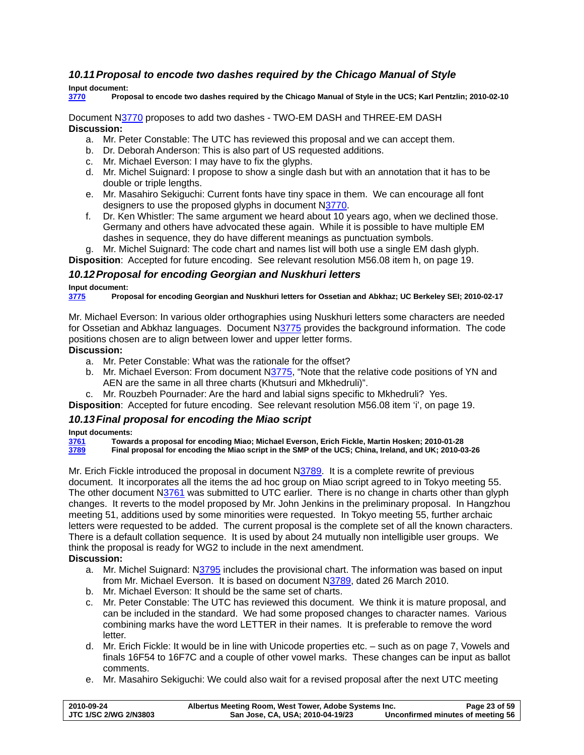# <span id="page-22-0"></span>*10.11 Proposal to encode two dashes required by the Chicago Manual of Style*

### **Input document:**

**[3770](http://www.dkuug.dk/jtc1/sc2/wg2/docs/n3770.pdf) Proposal to encode two dashes required by the Chicago Manual of Style in the UCS; Karl Pentzlin; 2010-02-10** 

#### Document N[3770](http://www.dkuug.dk/jtc1/sc2/wg2/docs/n3770.pdf) proposes to add two dashes - TWO-EM DASH and THREE-EM DASH **Discussion:**

- a. Mr. Peter Constable: The UTC has reviewed this proposal and we can accept them.
- b. Dr. Deborah Anderson: This is also part of US requested additions.
- c. Mr. Michael Everson: I may have to fix the glyphs.
- d. Mr. Michel Suignard: I propose to show a single dash but with an annotation that it has to be double or triple lengths.
- e. Mr. Masahiro Sekiguchi: Current fonts have tiny space in them. We can encourage all font designers to use the proposed glyphs in document [N3770.](http://www.dkuug.dk/jtc1/sc2/wg2/docs/n3770.pdf)
- f. Dr. Ken Whistler: The same argument we heard about 10 years ago, when we declined those. Germany and others have advocated these again. While it is possible to have multiple EM dashes in sequence, they do have different meanings as punctuation symbols.

g. Mr. Michel Suignard: The code chart and names list will both use a single EM dash glyph.

**Disposition**: Accepted for future encoding. See relevant resolution [M56.08 i](#page-18-1)tem h, on page [19](#page-18-1).

# *10.12 Proposal for encoding Georgian and Nuskhuri letters*

**Input document:** 

**[3775](http://www.dkuug.dk/jtc1/sc2/wg2/docs/n3775.pdf) Proposal for encoding Georgian and Nuskhuri letters for Ossetian and Abkhaz; UC Berkeley SEI; 2010-02-17** 

Mr. Michael Everson: In various older orthographies using Nuskhuri letters some characters are needed for Ossetian and Abkhaz languages. Document N[3775](http://www.dkuug.dk/jtc1/sc2/wg2/docs/n3775.pdf) provides the background information. The code positions chosen are to align between lower and upper letter forms.

# **Discussion:**

- a. Mr. Peter Constable: What was the rationale for the offset?
- b. Mr. Michael Everson: From document [N3775](http://www.dkuug.dk/jtc1/sc2/wg2/docs/n3775.pdf), "Note that the relative code positions of YN and AEN are the same in all three charts (Khutsuri and Mkhedruli)".
- c. Mr. Rouzbeh Pournader: Are the hard and labial signs specific to Mkhedruli? Yes.

**Disposition**: Accepted for future encoding. See relevant resolution [M56.08 i](#page-18-1)tem 'i', on page [19](#page-18-1).

# *10.13 Final proposal for encoding the Miao script*

### **Input documents:**

**[3761](http://www.dkuug.dk/jtc1/sc2/wg2/docs/n3761.pdf) Towards a proposal for encoding Miao; Michael Everson, Erich Fickle, Martin Hosken; 2010-01-28 [3789](http://www.dkuug.dk/jtc1/sc2/wg2/docs/n3789.pdf) Final proposal for encoding the Miao script in the SMP of the UCS; China, Ireland, and UK; 2010-03-26** 

Mr. Erich Fickle introduced the proposal in document N[3789](http://www.dkuug.dk/jtc1/sc2/wg2/docs/n3789.pdf). It is a complete rewrite of previous document. It incorporates all the items the ad hoc group on Miao script agreed to in Tokyo meeting 55. The other document [N3761](http://www.dkuug.dk/jtc1/sc2/wg2/docs/n3761.pdf) was submitted to UTC earlier. There is no change in charts other than glyph changes. It reverts to the model proposed by Mr. John Jenkins in the preliminary proposal. In Hangzhou meeting 51, additions used by some minorities were requested. In Tokyo meeting 55, further archaic letters were requested to be added. The current proposal is the complete set of all the known characters. There is a default collation sequence. It is used by about 24 mutually non intelligible user groups. We think the proposal is ready for WG2 to include in the next amendment.

- **Discussion:** 
	- a. Mr. Michel Suignard: [N3795](http://www.dkuug.dk/JTC1/SC2/WG2/docs/n3795.pdf) includes the provisional chart. The information was based on input from Mr. Michael Everson. It is based on document N[3789](http://www.dkuug.dk/JTC1/SC2/WG2/docs/n3789.pdf), dated 26 March 2010.
	- b. Mr. Michael Everson: It should be the same set of charts.
	- c. Mr. Peter Constable: The UTC has reviewed this document. We think it is mature proposal, and can be included in the standard. We had some proposed changes to character names. Various combining marks have the word LETTER in their names. It is preferable to remove the word letter.
	- d. Mr. Erich Fickle: It would be in line with Unicode properties etc. such as on page 7, Vowels and finals 16F54 to 16F7C and a couple of other vowel marks. These changes can be input as ballot comments.
	- e. Mr. Masahiro Sekiguchi: We could also wait for a revised proposal after the next UTC meeting

| 2010-09-24            | Albertus Meeting Room, West Tower, Adobe Systems Inc. | Page 23 of 59                     |
|-----------------------|-------------------------------------------------------|-----------------------------------|
| JTC 1/SC 2/WG 2/N3803 | San Jose, CA, USA; 2010-04-19/23                      | Unconfirmed minutes of meeting 56 |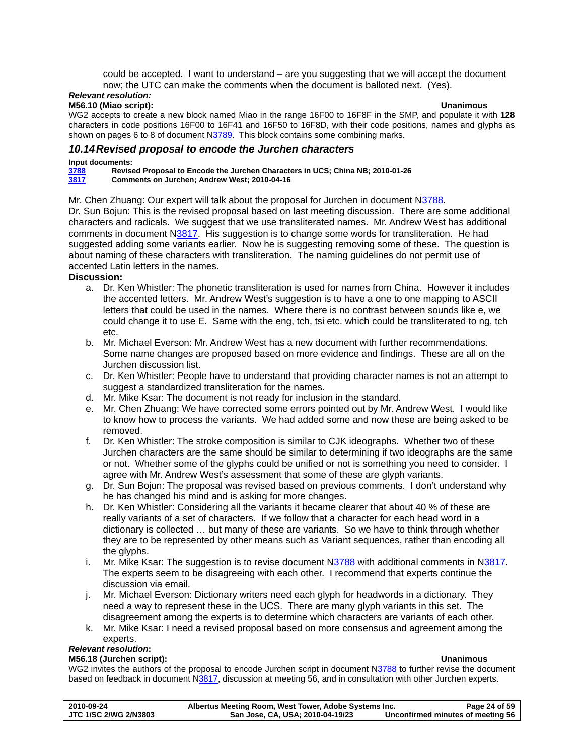could be accepted. I want to understand – are you suggesting that we will accept the document now; the UTC can make the comments when the document is balloted next. (Yes).

# <span id="page-23-0"></span>*Relevant resolution:*

#### **M56.10 (Miao script): Unanimous**

WG2 accepts to create a new block named Miao in the range 16F00 to 16F8F in the SMP, and populate it with **128** characters in code positions 16F00 to 16F41 and 16F50 to 16F8D, with their code positions, names and glyphs as shown on pages 6 to 8 of document [N3789](http://www.dkuug.dk/jtc1/sc2/wg2/docs/N3789.pdf). This block contains some combining marks.

# *10.14 Revised proposal to encode the Jurchen characters*

**Input documents:** 

**[3788](http://www.dkuug.dk/jtc1/sc2/wg2/docs/n3788.pdf) Revised Proposal to Encode the Jurchen Characters in UCS; China NB; 2010-01-26 [3817](http://www.dkuug.dk/JTC1/SC2/WG2/docs/n3817.pdf) Comments on Jurchen; Andrew West; 2010-04-16** 

Mr. Chen Zhuang: Our expert will talk about the proposal for Jurchen in document N[3788.](http://www.dkuug.dk/jtc1/sc2/wg2/docs/n3788.pdf)

Dr. Sun Boiun: This is the revised proposal based on last meeting discussion. There are some additional characters and radicals. We suggest that we use transliterated names. Mr. Andrew West has additional comments in document [N3817.](http://www.dkuug.dk/JTC1/SC2/WG2/docs/n3817.pdf) His suggestion is to change some words for transliteration. He had suggested adding some variants earlier. Now he is suggesting removing some of these. The question is about naming of these characters with transliteration. The naming guidelines do not permit use of accented Latin letters in the names.

## **Discussion:**

- a. Dr. Ken Whistler: The phonetic transliteration is used for names from China. However it includes the accented letters. Mr. Andrew West's suggestion is to have a one to one mapping to ASCII letters that could be used in the names. Where there is no contrast between sounds like e, we could change it to use E. Same with the eng, tch, tsi etc. which could be transliterated to ng, tch etc.
- b. Mr. Michael Everson: Mr. Andrew West has a new document with further recommendations. Some name changes are proposed based on more evidence and findings. These are all on the Jurchen discussion list.
- c. Dr. Ken Whistler: People have to understand that providing character names is not an attempt to suggest a standardized transliteration for the names.
- d. Mr. Mike Ksar: The document is not ready for inclusion in the standard.
- e. Mr. Chen Zhuang: We have corrected some errors pointed out by Mr. Andrew West. I would like to know how to process the variants. We had added some and now these are being asked to be removed.
- f. Dr. Ken Whistler: The stroke composition is similar to CJK ideographs. Whether two of these Jurchen characters are the same should be similar to determining if two ideographs are the same or not. Whether some of the glyphs could be unified or not is something you need to consider. I agree with Mr. Andrew West's assessment that some of these are glyph variants.
- g. Dr. Sun Bojun: The proposal was revised based on previous comments. I don't understand why he has changed his mind and is asking for more changes.
- h. Dr. Ken Whistler: Considering all the variants it became clearer that about 40 % of these are really variants of a set of characters. If we follow that a character for each head word in a dictionary is collected … but many of these are variants. So we have to think through whether they are to be represented by other means such as Variant sequences, rather than encoding all the glyphs.
- i. Mr. Mike Ksar: The suggestion is to revise document [N3788](http://www.dkuug.dk/JTC1/SC2/WG2/docs/n3788.pdf) with additional comments in N[3817](http://www.dkuug.dk/JTC1/SC2/WG2/docs/n3817.pdf). The experts seem to be disagreeing with each other. I recommend that experts continue the discussion via email.
- j. Mr. Michael Everson: Dictionary writers need each glyph for headwords in a dictionary. They need a way to represent these in the UCS. There are many glyph variants in this set. The disagreement among the experts is to determine which characters are variants of each other.
- k. Mr. Mike Ksar: I need a revised proposal based on more consensus and agreement among the experts.

### *Relevant resolution***:**

### **M56.18 (Jurchen script): Unanimous**

WG2 invites the authors of the proposal to encode Jurchen script in document [N3788](http://www.dkuug.dk/jtc1/sc2/wg2/docs/N3788.pdf) to further revise the document based on feedback in document N[3817,](http://www.dkuug.dk/jtc1/sc2/wg2/docs/N3817.pdf) discussion at meeting 56, and in consultation with other Jurchen experts.

| 2010-09-24                   | Albertus Meeting Room, West Tower, Adobe Systems Inc. | Page 24 of 59                     |
|------------------------------|-------------------------------------------------------|-----------------------------------|
| <b>JTC 1/SC 2/WG 2/N3803</b> | San Jose, CA, USA; 2010-04-19/23                      | Unconfirmed minutes of meeting 56 |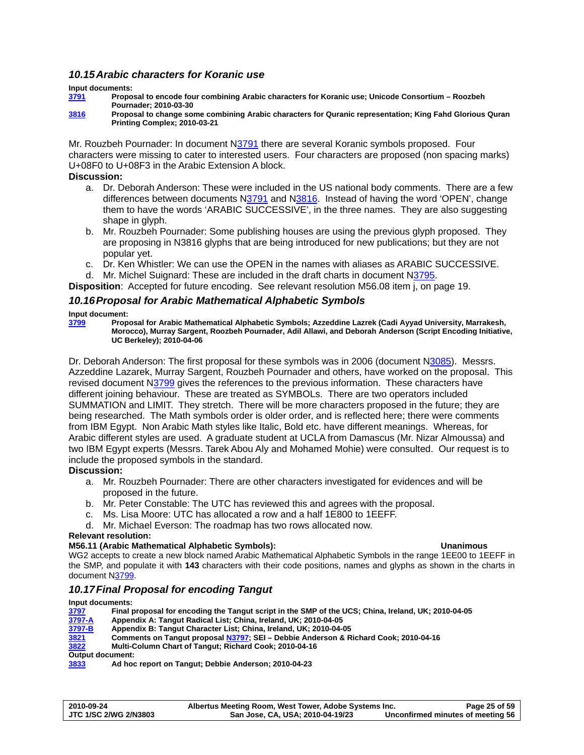# <span id="page-24-0"></span>*10.15 Arabic characters for Koranic use*

#### **Input documents:**

**[3791](http://www.dkuug.dk/jtc1/sc2/wg2/docs/n3791.pdf) Proposal to encode four combining Arabic characters for Koranic use; Unicode Consortium – Roozbeh Pournader; 2010-03-30** 

**[3816](http://www.dkuug.dk/JTC1/SC2/WG2/docs/n3816.pdf) Proposal to change some combining Arabic characters for Quranic representation; King Fahd Glorious Quran Printing Complex; 2010-03-21** 

Mr. Rouzbeh Pournader: In document N[3791](http://www.dkuug.dk/JTC1/SC2/WG2/docs/n3791.pdf) there are several Koranic symbols proposed. Four characters were missing to cater to interested users. Four characters are proposed (non spacing marks) U+08F0 to U+08F3 in the Arabic Extension A block.

#### **Discussion:**

- a. Dr. Deborah Anderson: These were included in the US national body comments. There are a few differences between documents N[3791](http://www.dkuug.dk/jtc1/sc2/wg2/docs/n3791.pdf) and N[3816.](http://www.dkuug.dk/JTC1/SC2/WG2/docs/n3816.pdf) Instead of having the word 'OPEN', change them to have the words 'ARABIC SUCCESSIVE', in the three names. They are also suggesting shape in glyph.
- b. Mr. Rouzbeh Pournader: Some publishing houses are using the previous glyph proposed. They are proposing in N3816 glyphs that are being introduced for new publications; but they are not popular yet.
- c. Dr. Ken Whistler: We can use the OPEN in the names with aliases as ARABIC SUCCESSIVE.
- d. Mr. Michel Suignard: These are included in the draft charts in document N[3795](http://www.dkuug.dk/JTC1/SC2/WG2/docs/n3795.pdf).

**Disposition**: Accepted for future encoding. See relevant resolution [M56.08 i](#page-18-1)tem j, on page [19.](#page-18-1)

### *10.16 Proposal for Arabic Mathematical Alphabetic Symbols*

#### **Input document:**

**[3799](http://www.dkuug.dk/jtc1/sc2/wg2/docs/n3799.pdf) Proposal for Arabic Mathematical Alphabetic Symbols; Azzeddine Lazrek (Cadi Ayyad University, Marrakesh, Morocco), Murray Sargent, Roozbeh Pournader, Adil Allawi, and Deborah Anderson (Script Encoding Initiative, UC Berkeley); 2010-04-06** 

Dr. Deborah Anderson: The first proposal for these symbols was in 2006 (document N[3085](http://www.dkuug.dk/JTC1/SC2/WG2/docs/n3085.pdf)). Messrs. Azzeddine Lazarek, Murray Sargent, Rouzbeh Pournader and others, have worked on the proposal. This revised document N[3799](http://www.dkuug.dk/jtc1/sc2/wg2/docs/n3799.pdf) gives the references to the previous information. These characters have different joining behaviour. These are treated as SYMBOLs. There are two operators included SUMMATION and LIMIT. They stretch. There will be more characters proposed in the future; they are being researched. The Math symbols order is older order, and is reflected here; there were comments from IBM Egypt. Non Arabic Math styles like Italic, Bold etc. have different meanings. Whereas, for Arabic different styles are used. A graduate student at UCLA from Damascus (Mr. Nizar Almoussa) and two IBM Egypt experts (Messrs. Tarek Abou Aly and Mohamed Mohie) were consulted. Our request is to include the proposed symbols in the standard.

### **Discussion:**

- a. Mr. Rouzbeh Pournader: There are other characters investigated for evidences and will be proposed in the future.
- b. Mr. Peter Constable: The UTC has reviewed this and agrees with the proposal.
- c. Ms. Lisa Moore: UTC has allocated a row and a half 1E800 to 1EEFF.
- d. Mr. Michael Everson: The roadmap has two rows allocated now.

#### **Relevant resolution:**

#### **M56.11 (Arabic Mathematical Alphabetic Symbols): Unanimous**

WG2 accepts to create a new block named Arabic Mathematical Alphabetic Symbols in the range 1EE00 to 1EEFF in the SMP, and populate it with **143** characters with their code positions, names and glyphs as shown in the charts in document [N3799.](http://www.dkuug.dk/jtc1/sc2/wg2/docs/N3799.pdf)

### *10.17 Final Proposal for encoding Tangut*

#### **Input documents:**

| 3797                    | Final proposal for encoding the Tangut script in the SMP of the UCS; China, Ireland, UK; 2010-04-05 |
|-------------------------|-----------------------------------------------------------------------------------------------------|
| 3797-A                  | Appendix A: Tangut Radical List; China, Ireland, UK; 2010-04-05                                     |
| 3797-B                  | Appendix B: Tangut Character List: China. Ireland. UK: 2010-04-05                                   |
| 3821                    | Comments on Tangut proposal N3797; SEI – Debbie Anderson & Richard Cook; 2010-04-16                 |
| 3822                    | Multi-Column Chart of Tangut; Richard Cook; 2010-04-16                                              |
| <b>Output document:</b> |                                                                                                     |
| 3833                    | Ad hoc report on Tangut; Debbie Anderson; 2010-04-23                                                |

| 2010-09-24            | Albertus Meeting Room, West Tower, Adobe Systems Inc. | Page 25 of 59                     |
|-----------------------|-------------------------------------------------------|-----------------------------------|
| JTC 1/SC 2/WG 2/N3803 | San Jose, CA, USA; 2010-04-19/23                      | Unconfirmed minutes of meeting 56 |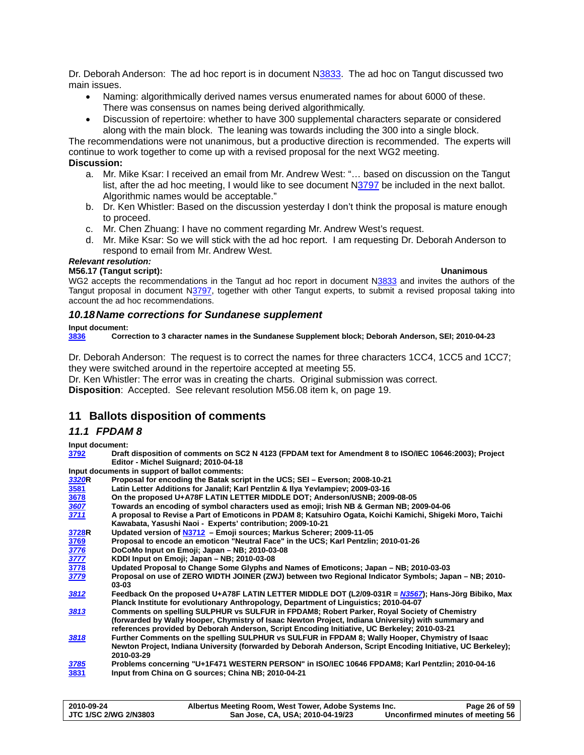<span id="page-25-0"></span>Dr. Deborah Anderson: The ad hoc report is in document [N3833.](http://www.dkuug.dk/JTC1/SC2/WG2/docs/n3833.pdf) The ad hoc on Tangut discussed two main issues.

- Naming: algorithmically derived names versus enumerated names for about 6000 of these. There was consensus on names being derived algorithmically.
- Discussion of repertoire: whether to have 300 supplemental characters separate or considered along with the main block. The leaning was towards including the 300 into a single block.

The recommendations were not unanimous, but a productive direction is recommended. The experts will continue to work together to come up with a revised proposal for the next WG2 meeting.

### **Discussion:**

- a. Mr. Mike Ksar: I received an email from Mr. Andrew West: "… based on discussion on the Tangut list, after the ad hoc meeting, I would like to see document [N3797](http://www.dkuug.dk/jtc1/sc2/wg2/docs/n3797.pdf) be included in the next ballot. Algorithmic names would be acceptable."
- b. Dr. Ken Whistler: Based on the discussion yesterday I don't think the proposal is mature enough to proceed.
- c. Mr. Chen Zhuang: I have no comment regarding Mr. Andrew West's request.
- d. Mr. Mike Ksar: So we will stick with the ad hoc report. I am requesting Dr. Deborah Anderson to respond to email from Mr. Andrew West.

# *Relevant resolution:*

#### **M56.17 (Tangut script): Unanimous**

WG2 accepts the recommendations in the Tangut ad hoc report in document [N3833](http://www.dkuug.dk/jtc1/sc2/wg2/docs/N3833.pdf) and invites the authors of the Tangut proposal in document N[3797,](http://www.dkuug.dk/jtc1/sc2/wg2/docs/N3797.pdf) together with other Tangut experts, to submit a revised proposal taking into account the ad hoc recommendations.

### *10.18 Name corrections for Sundanese supplement*

#### **Input document:**

**[3836](http://std.dkuug.dk/jtc1/sc2/wg2/docs/n3836.pdf) Correction to 3 character names in the Sundanese Supplement block; Deborah Anderson, SEI; 2010-04-23** 

Dr. Deborah Anderson: The request is to correct the names for three characters 1CC4, 1CC5 and 1CC7; they were switched around in the repertoire accepted at meeting 55.

Dr. Ken Whistler: The error was in creating the charts. Original submission was correct.

**Disposition**: Accepted. See relevant resolution [M56.08](#page-18-1) item k, on page [19.](#page-18-1)

# **11 Ballots disposition of comments**

## *11.1 FPDAM 8*

<span id="page-25-1"></span>**Input document:** 

**[3792](http://www.dkuug.dk/JTC1/SC2/WG2/docs/n3792.pdf) Draft disposition of comments on SC2 N 4123 (FPDAM text for Amendment 8 to ISO/IEC 10646:2003); Project Editor - Michel Suignard; 2010-04-18** 

**Input documents in support of ballot comments:** 

| Latin Letter Additions for Janalif; Karl Pentzlin & Ilya Yevlampiev; 2009-03-16<br>3581<br>3678<br>On the proposed U+A78F LATIN LETTER MIDDLE DOT; Anderson/USNB; 2009-08-05<br>Towards an encoding of symbol characters used as emoji; Irish NB & German NB; 2009-04-06<br>3607<br>A proposal to Revise a Part of Emoticons in PDAM 8; Katsuhiro Ogata, Koichi Kamichi, Shigeki Moro, Taichi<br>3711<br>Kawabata, Yasushi Naoi - Experts' contribution; 2009-10-21<br>Updated version of N3712 - Emoji sources; Markus Scherer; 2009-11-05<br>3728R<br>Proposal to encode an emoticon "Neutral Face" in the UCS; Karl Pentzlin; 2010-01-26<br>3769<br>3776<br>DoCoMo Input on Emoji; Japan - NB; 2010-03-08<br>3777<br>KDDI Input on Emoji; Japan - NB; 2010-03-08<br>3778<br>Updated Proposal to Change Some Glyphs and Names of Emoticons; Japan – NB; 2010-03-03<br>3779<br>Proposal on use of ZERO WIDTH JOINER (ZWJ) between two Regional Indicator Symbols; Japan - NB; 2010-<br>03-03<br>Feedback On the proposed U+A78F LATIN LETTER MIDDLE DOT (L2/09-031R = $N3567$ ); Hans-Jörg Bibiko, Max<br>3812<br>Planck Institute for evolutionary Anthropology, Department of Linguistics; 2010-04-07<br>Comments on spelling SULPHUR vs SULFUR in FPDAM8; Robert Parker, Royal Society of Chemistry<br>3813<br>(forwarded by Wally Hooper, Chymistry of Isaac Newton Project, Indiana University) with summary and<br>references provided by Deborah Anderson, Script Encoding Initiative, UC Berkeley; 2010-03-21<br>Further Comments on the spelling SULPHUR vs SULFUR in FPDAM 8; Wally Hooper, Chymistry of Isaac<br>3818<br>Newton Project, Indiana University (forwarded by Deborah Anderson, Script Encoding Initiative, UC Berkeley);<br>2010-03-29<br>Problems concerning "U+1F471 WESTERN PERSON" in ISO/IEC 10646 FPDAM8; Karl Pentzlin; 2010-04-16<br>3785<br>3831<br>Input from China on G sources; China NB; 2010-04-21 | 3320R | Proposal for encoding the Batak script in the UCS; SEI - Everson; 2008-10-21 |
|-------------------------------------------------------------------------------------------------------------------------------------------------------------------------------------------------------------------------------------------------------------------------------------------------------------------------------------------------------------------------------------------------------------------------------------------------------------------------------------------------------------------------------------------------------------------------------------------------------------------------------------------------------------------------------------------------------------------------------------------------------------------------------------------------------------------------------------------------------------------------------------------------------------------------------------------------------------------------------------------------------------------------------------------------------------------------------------------------------------------------------------------------------------------------------------------------------------------------------------------------------------------------------------------------------------------------------------------------------------------------------------------------------------------------------------------------------------------------------------------------------------------------------------------------------------------------------------------------------------------------------------------------------------------------------------------------------------------------------------------------------------------------------------------------------------------------------------------------------------------------------------------------------------------------------------------|-------|------------------------------------------------------------------------------|
|                                                                                                                                                                                                                                                                                                                                                                                                                                                                                                                                                                                                                                                                                                                                                                                                                                                                                                                                                                                                                                                                                                                                                                                                                                                                                                                                                                                                                                                                                                                                                                                                                                                                                                                                                                                                                                                                                                                                           |       |                                                                              |
|                                                                                                                                                                                                                                                                                                                                                                                                                                                                                                                                                                                                                                                                                                                                                                                                                                                                                                                                                                                                                                                                                                                                                                                                                                                                                                                                                                                                                                                                                                                                                                                                                                                                                                                                                                                                                                                                                                                                           |       |                                                                              |
|                                                                                                                                                                                                                                                                                                                                                                                                                                                                                                                                                                                                                                                                                                                                                                                                                                                                                                                                                                                                                                                                                                                                                                                                                                                                                                                                                                                                                                                                                                                                                                                                                                                                                                                                                                                                                                                                                                                                           |       |                                                                              |
|                                                                                                                                                                                                                                                                                                                                                                                                                                                                                                                                                                                                                                                                                                                                                                                                                                                                                                                                                                                                                                                                                                                                                                                                                                                                                                                                                                                                                                                                                                                                                                                                                                                                                                                                                                                                                                                                                                                                           |       |                                                                              |
|                                                                                                                                                                                                                                                                                                                                                                                                                                                                                                                                                                                                                                                                                                                                                                                                                                                                                                                                                                                                                                                                                                                                                                                                                                                                                                                                                                                                                                                                                                                                                                                                                                                                                                                                                                                                                                                                                                                                           |       |                                                                              |
|                                                                                                                                                                                                                                                                                                                                                                                                                                                                                                                                                                                                                                                                                                                                                                                                                                                                                                                                                                                                                                                                                                                                                                                                                                                                                                                                                                                                                                                                                                                                                                                                                                                                                                                                                                                                                                                                                                                                           |       |                                                                              |
|                                                                                                                                                                                                                                                                                                                                                                                                                                                                                                                                                                                                                                                                                                                                                                                                                                                                                                                                                                                                                                                                                                                                                                                                                                                                                                                                                                                                                                                                                                                                                                                                                                                                                                                                                                                                                                                                                                                                           |       |                                                                              |
|                                                                                                                                                                                                                                                                                                                                                                                                                                                                                                                                                                                                                                                                                                                                                                                                                                                                                                                                                                                                                                                                                                                                                                                                                                                                                                                                                                                                                                                                                                                                                                                                                                                                                                                                                                                                                                                                                                                                           |       |                                                                              |
|                                                                                                                                                                                                                                                                                                                                                                                                                                                                                                                                                                                                                                                                                                                                                                                                                                                                                                                                                                                                                                                                                                                                                                                                                                                                                                                                                                                                                                                                                                                                                                                                                                                                                                                                                                                                                                                                                                                                           |       |                                                                              |
|                                                                                                                                                                                                                                                                                                                                                                                                                                                                                                                                                                                                                                                                                                                                                                                                                                                                                                                                                                                                                                                                                                                                                                                                                                                                                                                                                                                                                                                                                                                                                                                                                                                                                                                                                                                                                                                                                                                                           |       |                                                                              |
|                                                                                                                                                                                                                                                                                                                                                                                                                                                                                                                                                                                                                                                                                                                                                                                                                                                                                                                                                                                                                                                                                                                                                                                                                                                                                                                                                                                                                                                                                                                                                                                                                                                                                                                                                                                                                                                                                                                                           |       |                                                                              |
|                                                                                                                                                                                                                                                                                                                                                                                                                                                                                                                                                                                                                                                                                                                                                                                                                                                                                                                                                                                                                                                                                                                                                                                                                                                                                                                                                                                                                                                                                                                                                                                                                                                                                                                                                                                                                                                                                                                                           |       |                                                                              |
|                                                                                                                                                                                                                                                                                                                                                                                                                                                                                                                                                                                                                                                                                                                                                                                                                                                                                                                                                                                                                                                                                                                                                                                                                                                                                                                                                                                                                                                                                                                                                                                                                                                                                                                                                                                                                                                                                                                                           |       |                                                                              |
|                                                                                                                                                                                                                                                                                                                                                                                                                                                                                                                                                                                                                                                                                                                                                                                                                                                                                                                                                                                                                                                                                                                                                                                                                                                                                                                                                                                                                                                                                                                                                                                                                                                                                                                                                                                                                                                                                                                                           |       |                                                                              |
|                                                                                                                                                                                                                                                                                                                                                                                                                                                                                                                                                                                                                                                                                                                                                                                                                                                                                                                                                                                                                                                                                                                                                                                                                                                                                                                                                                                                                                                                                                                                                                                                                                                                                                                                                                                                                                                                                                                                           |       |                                                                              |
|                                                                                                                                                                                                                                                                                                                                                                                                                                                                                                                                                                                                                                                                                                                                                                                                                                                                                                                                                                                                                                                                                                                                                                                                                                                                                                                                                                                                                                                                                                                                                                                                                                                                                                                                                                                                                                                                                                                                           |       |                                                                              |
|                                                                                                                                                                                                                                                                                                                                                                                                                                                                                                                                                                                                                                                                                                                                                                                                                                                                                                                                                                                                                                                                                                                                                                                                                                                                                                                                                                                                                                                                                                                                                                                                                                                                                                                                                                                                                                                                                                                                           |       |                                                                              |
|                                                                                                                                                                                                                                                                                                                                                                                                                                                                                                                                                                                                                                                                                                                                                                                                                                                                                                                                                                                                                                                                                                                                                                                                                                                                                                                                                                                                                                                                                                                                                                                                                                                                                                                                                                                                                                                                                                                                           |       |                                                                              |
|                                                                                                                                                                                                                                                                                                                                                                                                                                                                                                                                                                                                                                                                                                                                                                                                                                                                                                                                                                                                                                                                                                                                                                                                                                                                                                                                                                                                                                                                                                                                                                                                                                                                                                                                                                                                                                                                                                                                           |       |                                                                              |

**2010-09-24 Albertus Meeting Room, West Tower, Adobe Systems Inc. Page 26 of 59**  San Jose, CA, USA; 2010-04-19/23 Unconfirmed minutes of meeting 56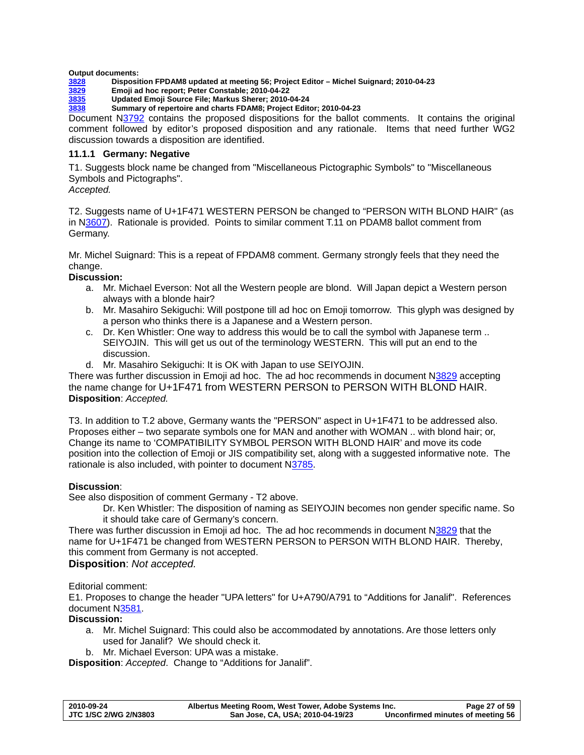#### <span id="page-26-0"></span>**Output documents:**

- **[3828](http://www.dkuug.dk/JTC1/SC2/WG2/docs/n3828.pdf) Disposition FPDAM8 updated at meeting 56; Project Editor Michel Suignard; 2010-04-23**
- **[3829](http://www.dkuug.dk/JTC1/SC2/WG2/docs/n3829.pdf) Emoji ad hoc report; Peter Constable; 2010-04-22** 
	- **[3835](http://www.dkuug.dk/JTC1/SC2/WG2/docs/npending.pdf) Updated Emoji Source File; Markus Sherer; 2010-04-24**
- **[3838](http://www.dkuug.dk/JTC1/SC2/WG2/docs/n3838.pdf) Summary of repertoire and charts FDAM8; Project Editor; 2010-04-23**

Document [N3792](http://www.dkuug.dk/JTC1/SC2/WG2/docs/n3792.pdf) contains the proposed dispositions for the ballot comments. It contains the original comment followed by editor's proposed disposition and any rationale. Items that need further WG2 discussion towards a disposition are identified.

### **11.1.1 Germany: Negative**

T1. Suggests block name be changed from "Miscellaneous Pictographic Symbols" to "Miscellaneous Symbols and Pictographs".

### *Accepted.*

T2. Suggests name of U+1F471 WESTERN PERSON be changed to "PERSON WITH BLOND HAIR" (as in N[3607](http://www.dkuug.dk/JTC1/SC2/WG2/docs/n3607.pdf)). Rationale is provided. Points to similar comment T.11 on PDAM8 ballot comment from Germany.

Mr. Michel Suignard: This is a repeat of FPDAM8 comment. Germany strongly feels that they need the change.

### **Discussion:**

- a. Mr. Michael Everson: Not all the Western people are blond. Will Japan depict a Western person always with a blonde hair?
- b. Mr. Masahiro Sekiguchi: Will postpone till ad hoc on Emoji tomorrow. This glyph was designed by a person who thinks there is a Japanese and a Western person.
- c. Dr. Ken Whistler: One way to address this would be to call the symbol with Japanese term .. SEIYOJIN. This will get us out of the terminology WESTERN. This will put an end to the discussion.
- d. Mr. Masahiro Sekiguchi: It is OK with Japan to use SEIYOJIN.

There was further discussion in Emoji ad hoc. The ad hoc recommends in document N[3829](http://www.dkuug.dk/JTC1/SC2/WG2/docs/n3829.pdf) accepting the name change for U+1F471 from WESTERN PERSON to PERSON WITH BLOND HAIR. **Disposition**: *Accepted.*

T3. In addition to T.2 above, Germany wants the "PERSON" aspect in U+1F471 to be addressed also. Proposes either – two separate symbols one for MAN and another with WOMAN .. with blond hair; or, Change its name to 'COMPATIBILITY SYMBOL PERSON WITH BLOND HAIR' and move its code position into the collection of Emoji or JIS compatibility set, along with a suggested informative note. The rationale is also included, with pointer to document N[3785](http://www.dkuug.dk/JTC1/SC2/WG2/docs/n3785.pdf).

### **Discussion**:

See also disposition of comment Germany - T2 above.

Dr. Ken Whistler: The disposition of naming as SEIYOJIN becomes non gender specific name. So it should take care of Germany's concern.

There was further discussion in Emoji ad hoc. The ad hoc recommends in document N[3829](http://www.dkuug.dk/JTC1/SC2/WG2/docs/n3829.pdf) that the name for U+1F471 be changed from WESTERN PERSON to PERSON WITH BLOND HAIR. Thereby, this comment from Germany is not accepted.

### **Disposition**: *Not accepted.*

Editorial comment:

E1. Proposes to change the header "UPA letters" for U+A790/A791 to "Additions for Janalif". References document N[3581](http://www.dkuug.dk/JTC1/SC2/WG2/docs/n3581.pdf).

### **Discussion:**

- a. Mr. Michel Suignard: This could also be accommodated by annotations. Are those letters only used for Janalif? We should check it.
- b. Mr. Michael Everson: UPA was a mistake.

**Disposition**: *Accepted*. Change to "Additions for Janalif".

| 2010-09-24            | Albertus Meeting Room, West Tower, Adobe Systems Inc. | Page 27 of 59                     |
|-----------------------|-------------------------------------------------------|-----------------------------------|
| JTC 1/SC 2/WG 2/N3803 | San Jose, CA, USA; 2010-04-19/23                      | Unconfirmed minutes of meeting 56 |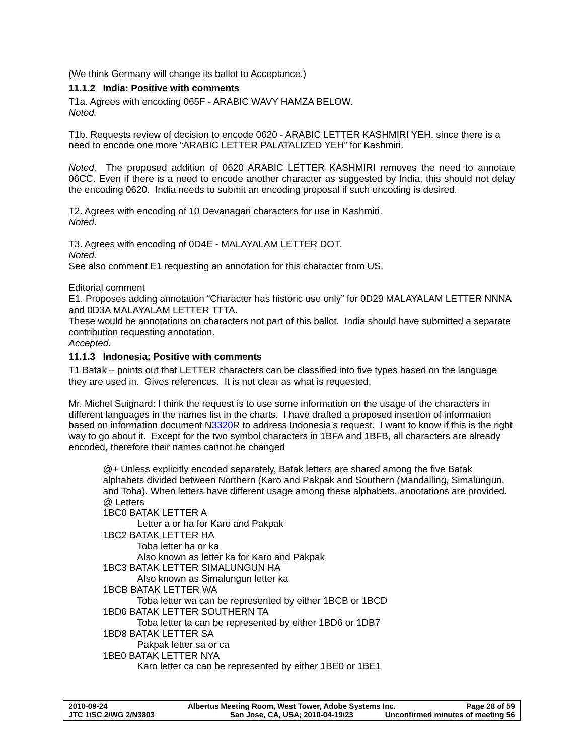<span id="page-27-0"></span>(We think Germany will change its ballot to Acceptance.)

## **11.1.2 India: Positive with comments**

T1a. Agrees with encoding 065F - ARABIC WAVY HAMZA BELOW. *Noted.* 

T1b. Requests review of decision to encode 0620 - ARABIC LETTER KASHMIRI YEH, since there is a need to encode one more "ARABIC LETTER PALATALIZED YEH" for Kashmiri.

*Noted.* The proposed addition of 0620 ARABIC LETTER KASHMIRI removes the need to annotate 06CC. Even if there is a need to encode another character as suggested by India, this should not delay the encoding 0620. India needs to submit an encoding proposal if such encoding is desired.

T2. Agrees with encoding of 10 Devanagari characters for use in Kashmiri. *Noted.*

T3. Agrees with encoding of 0D4E - MALAYALAM LETTER DOT. *Noted.*  See also comment E1 requesting an annotation for this character from US.

Editorial comment

E1. Proposes adding annotation "Character has historic use only" for 0D29 MALAYALAM LETTER NNNA and 0D3A MALAYALAM LETTER TTTA.

These would be annotations on characters not part of this ballot. India should have submitted a separate contribution requesting annotation.

*Accepted.* 

### **11.1.3 Indonesia: Positive with comments**

T1 Batak – points out that LETTER characters can be classified into five types based on the language they are used in. Gives references. It is not clear as what is requested.

Mr. Michel Suignard: I think the request is to use some information on the usage of the characters in different languages in the names list in the charts. I have drafted a proposed insertion of information based on information document [N3320](http://www.dkuug.dk/JTC1/SC2/WG2/docs/n3320.pdf)R to address Indonesia's request. I want to know if this is the right way to go about it. Except for the two symbol characters in 1BFA and 1BFB, all characters are already encoded, therefore their names cannot be changed

@+ Unless explicitly encoded separately, Batak letters are shared among the five Batak alphabets divided between Northern (Karo and Pakpak and Southern (Mandailing, Simalungun, and Toba). When letters have different usage among these alphabets, annotations are provided. @ Letters 1BC0 BATAK LETTER A Letter a or ha for Karo and Pakpak 1BC2 BATAK LETTER HA Toba letter ha or ka Also known as letter ka for Karo and Pakpak 1BC3 BATAK LETTER SIMALUNGUN HA Also known as Simalungun letter ka 1BCB BATAK LETTER WA Toba letter wa can be represented by either 1BCB or 1BCD 1BD6 BATAK LETTER SOUTHERN TA Toba letter ta can be represented by either 1BD6 or 1DB7 1BD8 BATAK LETTER SA Pakpak letter sa or ca 1BE0 BATAK LETTER NYA Karo letter ca can be represented by either 1BE0 or 1BE1

| 2010-09-24            | Albertus Meeting Room, West Tower, Adobe Systems Inc. | Page 28 of 59                     |
|-----------------------|-------------------------------------------------------|-----------------------------------|
| JTC 1/SC 2/WG 2/N3803 | San Jose, CA, USA; 2010-04-19/23                      | Unconfirmed minutes of meeting 56 |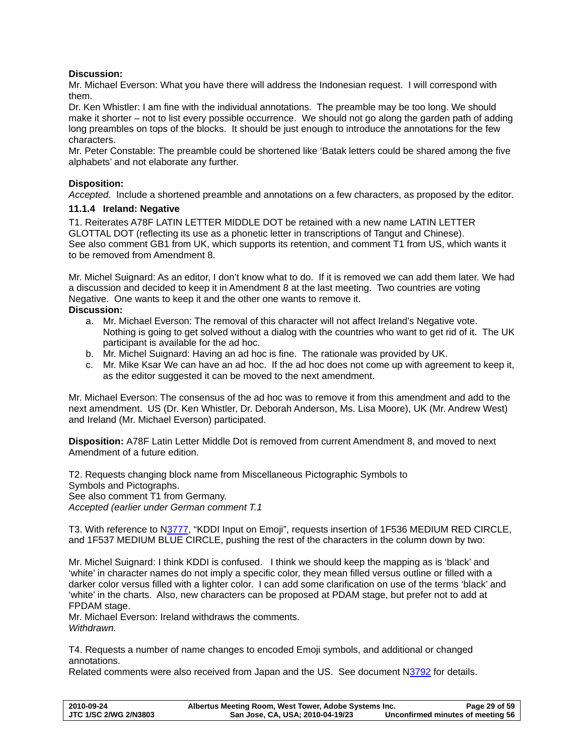# <span id="page-28-0"></span>**Discussion:**

Mr. Michael Everson: What you have there will address the Indonesian request. I will correspond with them.

Dr. Ken Whistler: I am fine with the individual annotations. The preamble may be too long. We should make it shorter – not to list every possible occurrence. We should not go along the garden path of adding long preambles on tops of the blocks. It should be just enough to introduce the annotations for the few characters.

Mr. Peter Constable: The preamble could be shortened like 'Batak letters could be shared among the five alphabets' and not elaborate any further.

# **Disposition:**

*Accepted*. Include a shortened preamble and annotations on a few characters, as proposed by the editor.

# **11.1.4 Ireland: Negative**

T1. Reiterates A78F LATIN LETTER MIDDLE DOT be retained with a new name LATIN LETTER GLOTTAL DOT (reflecting its use as a phonetic letter in transcriptions of Tangut and Chinese). See also comment GB1 from UK, which supports its retention, and comment T1 from US, which wants it to be removed from Amendment 8.

Mr. Michel Suignard: As an editor, I don't know what to do. If it is removed we can add them later. We had a discussion and decided to keep it in Amendment 8 at the last meeting. Two countries are voting Negative. One wants to keep it and the other one wants to remove it. **Discussion:** 

- a. Mr. Michael Everson: The removal of this character will not affect Ireland's Negative vote. Nothing is going to get solved without a dialog with the countries who want to get rid of it. The UK participant is available for the ad hoc.
- b. Mr. Michel Suignard: Having an ad hoc is fine. The rationale was provided by UK.
- c. Mr. Mike Ksar We can have an ad hoc. If the ad hoc does not come up with agreement to keep it, as the editor suggested it can be moved to the next amendment.

Mr. Michael Everson: The consensus of the ad hoc was to remove it from this amendment and add to the next amendment. US (Dr. Ken Whistler, Dr. Deborah Anderson, Ms. Lisa Moore), UK (Mr. Andrew West) and Ireland (Mr. Michael Everson) participated.

**Disposition:** A78F Latin Letter Middle Dot is removed from current Amendment 8, and moved to next Amendment of a future edition.

T2. Requests changing block name from Miscellaneous Pictographic Symbols to Symbols and Pictographs. See also comment T1 from Germany. *Accepted (earlier under German comment T.1* 

T3. With reference to [N3777,](http://std.dkuug.dk/jtc1/sc2/wg2/docs/n3777.pdf) "KDDI Input on Emoji", requests insertion of 1F536 MEDIUM RED CIRCLE, and 1F537 MEDIUM BLUE CIRCLE, pushing the rest of the characters in the column down by two:

Mr. Michel Suignard: I think KDDI is confused. I think we should keep the mapping as is 'black' and 'white' in character names do not imply a specific color, they mean filled versus outline or filled with a darker color versus filled with a lighter color. I can add some clarification on use of the terms 'black' and 'white' in the charts. Also, new characters can be proposed at PDAM stage, but prefer not to add at FPDAM stage.

Mr. Michael Everson: Ireland withdraws the comments. *Withdrawn.* 

T4. Requests a number of name changes to encoded Emoji symbols, and additional or changed annotations.

Related comments were also received from Japan and the US. See document N[3792](http://www.dkuug.dk/JTC1/SC2/WG2/docs/n3792.pdf) for details.

| 2010-09-24            | Albertus Meeting Room, West Tower, Adobe Systems Inc. | Page 29 of 59                     |
|-----------------------|-------------------------------------------------------|-----------------------------------|
| JTC 1/SC 2/WG 2/N3803 | San Jose, CA, USA; 2010-04-19/23                      | Unconfirmed minutes of meeting 56 |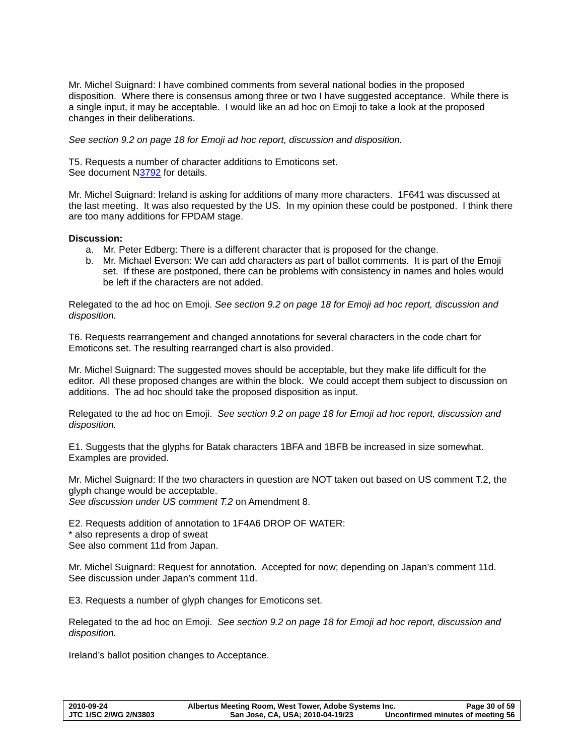Mr. Michel Suignard: I have combined comments from several national bodies in the proposed disposition. Where there is consensus among three or two I have suggested acceptance. While there is a single input, it may be acceptable. I would like an ad hoc on Emoji to take a look at the proposed changes in their deliberations.

*See section [9.2](#page-17-1) on page [18](#page-17-1) for Emoji ad hoc report, discussion and disposition.* 

T5. Requests a number of character additions to Emoticons set. See document N[3792](http://www.dkuug.dk/JTC1/SC2/WG2/docs/n3792.pdf) for details.

Mr. Michel Suignard: Ireland is asking for additions of many more characters. 1F641 was discussed at the last meeting. It was also requested by the US. In my opinion these could be postponed. I think there are too many additions for FPDAM stage.

### **Discussion:**

- a. Mr. Peter Edberg: There is a different character that is proposed for the change.
- b. Mr. Michael Everson: We can add characters as part of ballot comments. It is part of the Emoji set. If these are postponed, there can be problems with consistency in names and holes would be left if the characters are not added.

Relegated to the ad hoc on Emoji. *See section [9.2](#page-17-1) on page [18](#page-17-1) for Emoji ad hoc report, discussion and disposition.* 

T6. Requests rearrangement and changed annotations for several characters in the code chart for Emoticons set. The resulting rearranged chart is also provided.

Mr. Michel Suignard: The suggested moves should be acceptable, but they make life difficult for the editor. All these proposed changes are within the block. We could accept them subject to discussion on additions. The ad hoc should take the proposed disposition as input.

Relegated to the ad hoc on Emoji. *See section [9.2](#page-17-1) on page [18](#page-17-1) for Emoji ad hoc report, discussion and disposition.* 

E1. Suggests that the glyphs for Batak characters 1BFA and 1BFB be increased in size somewhat. Examples are provided.

Mr. Michel Suignard: If the two characters in question are NOT taken out based on US comment T.2, the glyph change would be acceptable.

*See discussion under US comment T.2* on Amendment 8.

E2. Requests addition of annotation to 1F4A6 DROP OF WATER: \* also represents a drop of sweat See also comment 11d from Japan.

Mr. Michel Suignard: Request for annotation. Accepted for now; depending on Japan's comment 11d. See discussion under Japan's comment 11d.

E3. Requests a number of glyph changes for Emoticons set.

Relegated to the ad hoc on Emoji. *See section [9.2](#page-17-1) on page [18](#page-17-1) for Emoji ad hoc report, discussion and disposition.* 

Ireland's ballot position changes to Acceptance.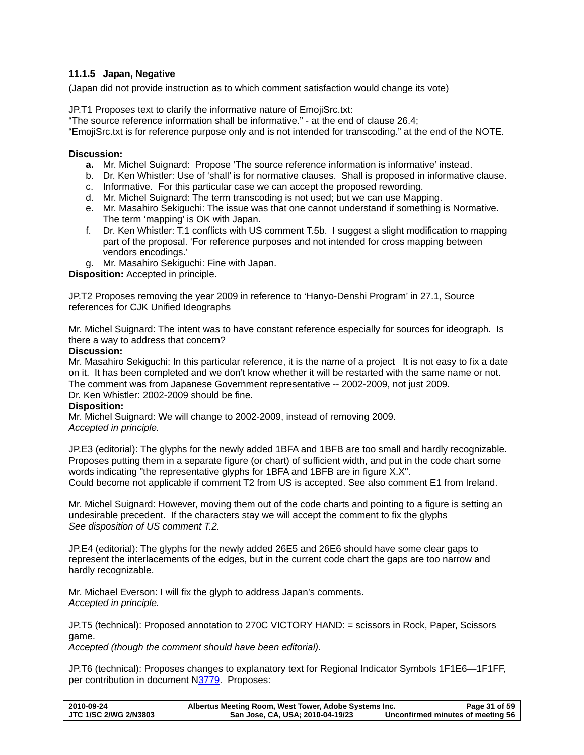# <span id="page-30-1"></span><span id="page-30-0"></span>**11.1.5 Japan, Negative**

(Japan did not provide instruction as to which comment satisfaction would change its vote)

JP.T1 Proposes text to clarify the informative nature of EmojiSrc.txt:

"The source reference information shall be informative." - at the end of clause 26.4;

"EmojiSrc.txt is for reference purpose only and is not intended for transcoding." at the end of the NOTE.

#### **Discussion:**

- **a.** Mr. Michel Suignard: Propose 'The source reference information is informative' instead.
- b. Dr. Ken Whistler: Use of 'shall' is for normative clauses. Shall is proposed in informative clause.
- c. Informative. For this particular case we can accept the proposed rewording.
- d. Mr. Michel Suignard: The term transcoding is not used; but we can use Mapping.
- e. Mr. Masahiro Sekiguchi: The issue was that one cannot understand if something is Normative. The term 'mapping' is OK with Japan.
- f. Dr. Ken Whistler: T.1 conflicts with US comment T.5b. I suggest a slight modification to mapping part of the proposal. 'For reference purposes and not intended for cross mapping between vendors encodings.'
- g. Mr. Masahiro Sekiguchi: Fine with Japan.

**Disposition:** Accepted in principle.

JP.T2 Proposes removing the year 2009 in reference to 'Hanyo-Denshi Program' in 27.1, Source references for CJK Unified Ideographs

Mr. Michel Suignard: The intent was to have constant reference especially for sources for ideograph. Is there a way to address that concern?

#### **Discussion:**

Mr. Masahiro Sekiguchi: In this particular reference, it is the name of a project It is not easy to fix a date on it. It has been completed and we don't know whether it will be restarted with the same name or not. The comment was from Japanese Government representative -- 2002-2009, not just 2009. Dr. Ken Whistler: 2002-2009 should be fine.

# **Disposition:**

Mr. Michel Suignard: We will change to 2002-2009, instead of removing 2009. *Accepted in principle.* 

JP.E3 (editorial): The glyphs for the newly added 1BFA and 1BFB are too small and hardly recognizable. Proposes putting them in a separate figure (or chart) of sufficient width, and put in the code chart some words indicating "the representative glyphs for 1BFA and 1BFB are in figure X.X". Could become not applicable if comment T2 from US is accepted. See also comment E1 from Ireland.

Mr. Michel Suignard: However, moving them out of the code charts and pointing to a figure is setting an undesirable precedent. If the characters stay we will accept the comment to fix the glyphs *See disposition of US comment T.2.* 

JP.E4 (editorial): The glyphs for the newly added 26E5 and 26E6 should have some clear gaps to represent the interlacements of the edges, but in the current code chart the gaps are too narrow and hardly recognizable.

Mr. Michael Everson: I will fix the glyph to address Japan's comments. *Accepted in principle.* 

JP.T5 (technical): Proposed annotation to 270C VICTORY HAND: = scissors in Rock, Paper, Scissors game.

*Accepted (though the comment should have been editorial).* 

JP.T6 (technical): Proposes changes to explanatory text for Regional Indicator Symbols 1F1E6—1F1FF, per contribution in document [N3779](http://www.dkuug.dk/jtc1/sc2/wg2/docs/n3779.pdf). Proposes:

| 2010-09-24                   | Albertus Meeting Room, West Tower, Adobe Systems Inc. | Page 31 of 59                     |
|------------------------------|-------------------------------------------------------|-----------------------------------|
| <b>JTC 1/SC 2/WG 2/N3803</b> | San Jose, CA, USA; 2010-04-19/23                      | Unconfirmed minutes of meeting 56 |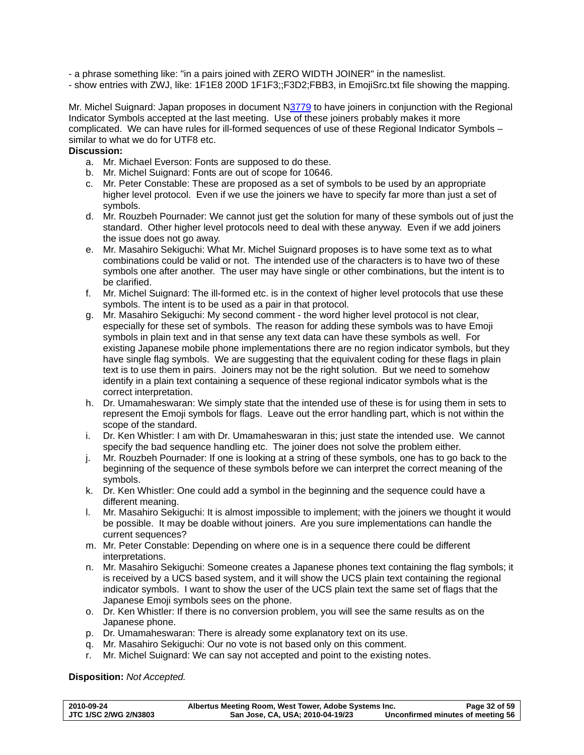- a phrase something like: "in a pairs joined with ZERO WIDTH JOINER" in the nameslist.

- show entries with ZWJ, like: 1F1E8 200D 1F1F3;;F3D2;FBB3, in EmojiSrc.txt file showing the mapping.

Mr. Michel Suignard: Japan proposes in document [N3779](http://www.dkuug.dk/jtc1/sc2/wg2/docs/n3779.pdf) to have joiners in conjunction with the Regional Indicator Symbols accepted at the last meeting. Use of these joiners probably makes it more complicated. We can have rules for ill-formed sequences of use of these Regional Indicator Symbols – similar to what we do for UTF8 etc.

# **Discussion:**

- a. Mr. Michael Everson: Fonts are supposed to do these.
- b. Mr. Michel Suignard: Fonts are out of scope for 10646.
- c. Mr. Peter Constable: These are proposed as a set of symbols to be used by an appropriate higher level protocol. Even if we use the joiners we have to specify far more than just a set of symbols.
- d. Mr. Rouzbeh Pournader: We cannot just get the solution for many of these symbols out of just the standard. Other higher level protocols need to deal with these anyway. Even if we add joiners the issue does not go away.
- e. Mr. Masahiro Sekiguchi: What Mr. Michel Suignard proposes is to have some text as to what combinations could be valid or not. The intended use of the characters is to have two of these symbols one after another. The user may have single or other combinations, but the intent is to be clarified.
- f. Mr. Michel Suignard: The ill-formed etc. is in the context of higher level protocols that use these symbols. The intent is to be used as a pair in that protocol.
- g. Mr. Masahiro Sekiguchi: My second comment the word higher level protocol is not clear, especially for these set of symbols. The reason for adding these symbols was to have Emoji symbols in plain text and in that sense any text data can have these symbols as well. For existing Japanese mobile phone implementations there are no region indicator symbols, but they have single flag symbols. We are suggesting that the equivalent coding for these flags in plain text is to use them in pairs. Joiners may not be the right solution. But we need to somehow identify in a plain text containing a sequence of these regional indicator symbols what is the correct interpretation.
- h. Dr. Umamaheswaran: We simply state that the intended use of these is for using them in sets to represent the Emoji symbols for flags. Leave out the error handling part, which is not within the scope of the standard.
- i. Dr. Ken Whistler: I am with Dr. Umamaheswaran in this; just state the intended use. We cannot specify the bad sequence handling etc. The joiner does not solve the problem either.
- j. Mr. Rouzbeh Pournader: If one is looking at a string of these symbols, one has to go back to the beginning of the sequence of these symbols before we can interpret the correct meaning of the symbols.
- k. Dr. Ken Whistler: One could add a symbol in the beginning and the sequence could have a different meaning.
- l. Mr. Masahiro Sekiguchi: It is almost impossible to implement; with the joiners we thought it would be possible. It may be doable without joiners. Are you sure implementations can handle the current sequences?
- m. Mr. Peter Constable: Depending on where one is in a sequence there could be different interpretations.
- n. Mr. Masahiro Sekiguchi: Someone creates a Japanese phones text containing the flag symbols; it is received by a UCS based system, and it will show the UCS plain text containing the regional indicator symbols. I want to show the user of the UCS plain text the same set of flags that the Japanese Emoji symbols sees on the phone.
- o. Dr. Ken Whistler: If there is no conversion problem, you will see the same results as on the Japanese phone.
- p. Dr. Umamaheswaran: There is already some explanatory text on its use.
- q. Mr. Masahiro Sekiguchi: Our no vote is not based only on this comment.
- r. Mr. Michel Suignard: We can say not accepted and point to the existing notes.

**Disposition:** *Not Accepted.*

| 2010-09-24            | Albertus Meeting Room, West Tower, Adobe Systems Inc. | Page 32 of 59                     |
|-----------------------|-------------------------------------------------------|-----------------------------------|
| JTC 1/SC 2/WG 2/N3803 | San Jose, CA, USA; 2010-04-19/23                      | Unconfirmed minutes of meeting 56 |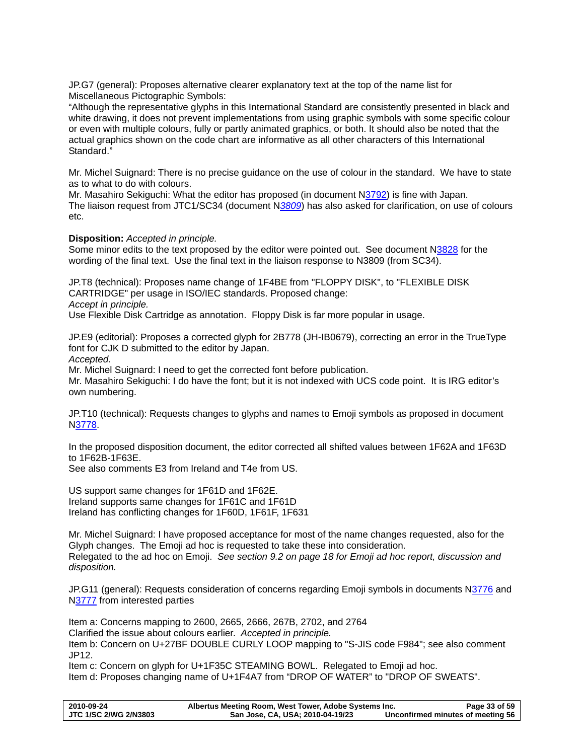JP.G7 (general): Proposes alternative clearer explanatory text at the top of the name list for Miscellaneous Pictographic Symbols:

"Although the representative glyphs in this International Standard are consistently presented in black and white drawing, it does not prevent implementations from using graphic symbols with some specific colour or even with multiple colours, fully or partly animated graphics, or both. It should also be noted that the actual graphics shown on the code chart are informative as all other characters of this International Standard."

Mr. Michel Suignard: There is no precise guidance on the use of colour in the standard. We have to state as to what to do with colours.

Mr. Masahiro Sekiguchi: What the editor has proposed (in document [N3792\)](http://www.dkuug.dk/JTC1/SC2/WG2/docs/n3792.pdf) is fine with Japan. The liaison request from JTC1/SC34 (document N*[3809](http://www.dkuug.dk/JTC1/SC2/WG2/docs/n3809.pdf)*) has also asked for clarification, on use of colours etc.

### **Disposition:** *Accepted in principle.*

Some minor edits to the text proposed by the editor were pointed out. See document [N3828](http://www.dkuug.dk/JTC1/SC2/WG2/docs/n3828.pdf) for the wording of the final text. Use the final text in the liaison response to N3809 (from SC34).

JP.T8 (technical): Proposes name change of 1F4BE from "FLOPPY DISK", to "FLEXIBLE DISK CARTRIDGE" per usage in ISO/IEC standards. Proposed change: *Accept in principle.* 

Use Flexible Disk Cartridge as annotation. Floppy Disk is far more popular in usage.

JP.E9 (editorial): Proposes a corrected glyph for 2B778 (JH-IB0679), correcting an error in the TrueType font for CJK D submitted to the editor by Japan.

*Accepted.* 

Mr. Michel Suignard: I need to get the corrected font before publication.

Mr. Masahiro Sekiguchi: I do have the font; but it is not indexed with UCS code point. It is IRG editor's own numbering.

JP.T10 (technical): Requests changes to glyphs and names to Emoji symbols as proposed in document [N3778.](http://www.dkuug.dk/JTC1/SC2/WG2/docs/n3778.pdf)

In the proposed disposition document, the editor corrected all shifted values between 1F62A and 1F63D to 1F62B-1F63E.

See also comments E3 from Ireland and T4e from US.

US support same changes for 1F61D and 1F62E. Ireland supports same changes for 1F61C and 1F61D Ireland has conflicting changes for 1F60D, 1F61F, 1F631

Mr. Michel Suignard: I have proposed acceptance for most of the name changes requested, also for the Glyph changes. The Emoji ad hoc is requested to take these into consideration. Relegated to the ad hoc on Emoji. *See section [9.2](#page-17-1) on page [18](#page-17-1) for Emoji ad hoc report, discussion and disposition.* 

JP.G11 (general): Requests consideration of concerns regarding Emoji symbols in documents N[3776](http://www.dkuug.dk/JTC1/SC2/WG2/docs/n3776.pdf) and [N3777](http://www.dkuug.dk/JTC1/SC2/WG2/docs/n3777.pdf) from interested parties

Item a: Concerns mapping to 2600, 2665, 2666, 267B, 2702, and 2764 Clarified the issue about colours earlier. *Accepted in principle.* 

Item b: Concern on U+27BF DOUBLE CURLY LOOP mapping to "S-JIS code F984"; see also comment JP12.

Item c: Concern on glyph for U+1F35C STEAMING BOWL. Relegated to Emoji ad hoc. Item d: Proposes changing name of U+1F4A7 from "DROP OF WATER" to "DROP OF SWEATS".

| 2010-09-24                   | Albertus Meeting Room, West Tower, Adobe Systems Inc. | Page 33 of 59                     |
|------------------------------|-------------------------------------------------------|-----------------------------------|
| <b>JTC 1/SC 2/WG 2/N3803</b> | San Jose, CA, USA; 2010-04-19/23                      | Unconfirmed minutes of meeting 56 |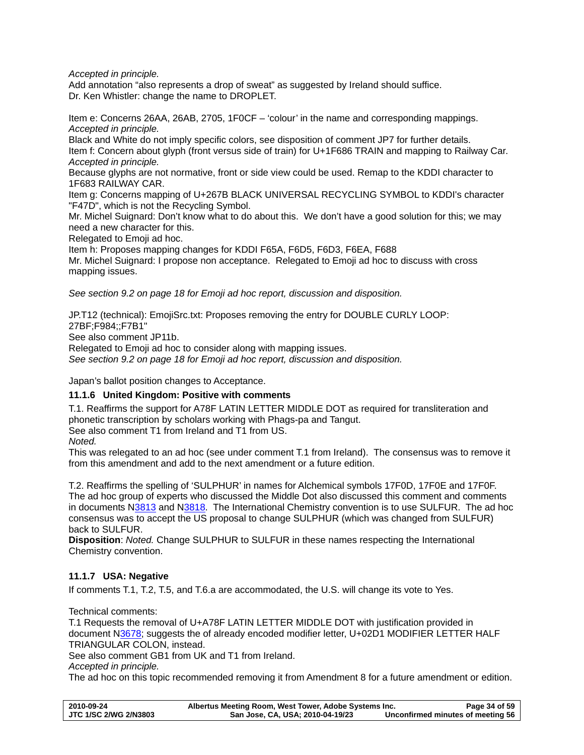<span id="page-33-0"></span>*Accepted in principle.* 

Add annotation "also represents a drop of sweat" as suggested by Ireland should suffice. Dr. Ken Whistler: change the name to DROPLET.

Item e: Concerns 26AA, 26AB, 2705, 1F0CF – 'colour' in the name and corresponding mappings. *Accepted in principle.* 

Black and White do not imply specific colors, see disposition of comment JP7 for further details. Item f: Concern about glyph (front versus side of train) for U+1F686 TRAIN and mapping to Railway Car. *Accepted in principle.* 

Because glyphs are not normative, front or side view could be used. Remap to the KDDI character to 1F683 RAILWAY CAR.

Item g: Concerns mapping of U+267B BLACK UNIVERSAL RECYCLING SYMBOL to KDDI's character "F47D", which is not the Recycling Symbol.

Mr. Michel Suignard: Don't know what to do about this. We don't have a good solution for this; we may need a new character for this.

Relegated to Emoji ad hoc.

Item h: Proposes mapping changes for KDDI F65A, F6D5, F6D3, F6EA, F688 Mr. Michel Suignard: I propose non acceptance. Relegated to Emoji ad hoc to discuss with cross mapping issues.

*See section [9.2](#page-17-1) on page [18](#page-17-1) for Emoji ad hoc report, discussion and disposition.* 

JP.T12 (technical): EmojiSrc.txt: Proposes removing the entry for DOUBLE CURLY LOOP: 27BF;F984;;F7B1"

See also comment JP11b.

Relegated to Emoji ad hoc to consider along with mapping issues.

*See section [9.2](#page-17-1) on page [18](#page-17-1) for Emoji ad hoc report, discussion and disposition.* 

Japan's ballot position changes to Acceptance.

# **11.1.6 United Kingdom: Positive with comments**

T.1. Reaffirms the support for A78F LATIN LETTER MIDDLE DOT as required for transliteration and phonetic transcription by scholars working with Phags-pa and Tangut.

See also comment T1 from Ireland and T1 from US.

*Noted.* 

This was relegated to an ad hoc (see under comment T.1 from Ireland). The consensus was to remove it from this amendment and add to the next amendment or a future edition.

T.2. Reaffirms the spelling of 'SULPHUR' in names for Alchemical symbols 17F0D, 17F0E and 17F0F. The ad hoc group of experts who discussed the Middle Dot also discussed this comment and comments in documents [N3813](http://www.dkuug.dk/JTC1/SC2/WG2/docs/n3813.pdf) and [N3818](http://www.dkuug.dk/JTC1/SC2/WG2/docs/n3818.pdf). The International Chemistry convention is to use SULFUR. The ad hoc consensus was to accept the US proposal to change SULPHUR (which was changed from SULFUR) back to SULFUR.

**Disposition**: *Noted.* Change SULPHUR to SULFUR in these names respecting the International Chemistry convention.

# **11.1.7 USA: Negative**

If comments T.1, T.2, T.5, and T.6.a are accommodated, the U.S. will change its vote to Yes.

Technical comments:

T.1 Requests the removal of U+A78F LATIN LETTER MIDDLE DOT with justification provided in document N[3678](http://std.dkuug.dk/jtc1/sc2/wg2/docs/n3678.pdf); suggests the of already encoded modifier letter, U+02D1 MODIFIER LETTER HALF TRIANGULAR COLON, instead.

See also comment GB1 from UK and T1 from Ireland.

*Accepted in principle.* 

The ad hoc on this topic recommended removing it from Amendment 8 for a future amendment or edition.

| 2010-09-24                   | Albertus Meeting Room, West Tower, Adobe Systems Inc. | Page 34 of 59                     |
|------------------------------|-------------------------------------------------------|-----------------------------------|
| <b>JTC 1/SC 2/WG 2/N3803</b> | San Jose, CA, USA; 2010-04-19/23                      | Unconfirmed minutes of meeting 56 |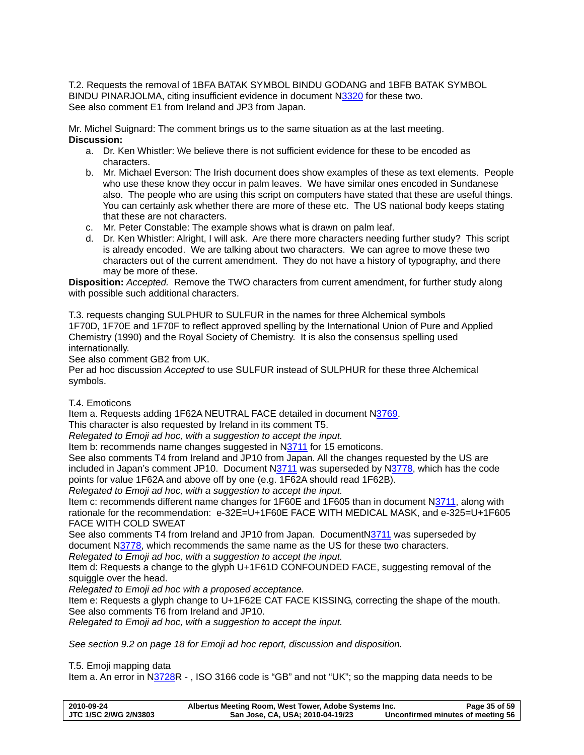T.2. Requests the removal of 1BFA BATAK SYMBOL BINDU GODANG and 1BFB BATAK SYMBOL BINDU PINARJOLMA, citing insufficient evidence in document N[3320](http://www.dkuug.dk/JTC1/SC2/WG2/docs/n3320.pdf) for these two. See also comment E1 from Ireland and JP3 from Japan.

Mr. Michel Suignard: The comment brings us to the same situation as at the last meeting. **Discussion:** 

- a. Dr. Ken Whistler: We believe there is not sufficient evidence for these to be encoded as characters.
- b. Mr. Michael Everson: The Irish document does show examples of these as text elements. People who use these know they occur in palm leaves. We have similar ones encoded in Sundanese also. The people who are using this script on computers have stated that these are useful things. You can certainly ask whether there are more of these etc. The US national body keeps stating that these are not characters.
- c. Mr. Peter Constable: The example shows what is drawn on palm leaf.
- d. Dr. Ken Whistler: Alright, I will ask. Are there more characters needing further study? This script is already encoded. We are talking about two characters. We can agree to move these two characters out of the current amendment. They do not have a history of typography, and there may be more of these.

**Disposition:** *Accepted.* Remove the TWO characters from current amendment, for further study along with possible such additional characters.

T.3. requests changing SULPHUR to SULFUR in the names for three Alchemical symbols 1F70D, 1F70E and 1F70F to reflect approved spelling by the International Union of Pure and Applied Chemistry (1990) and the Royal Society of Chemistry. It is also the consensus spelling used internationally.

See also comment GB2 from UK.

Per ad hoc discussion *Accepted* to use SULFUR instead of SULPHUR for these three Alchemical symbols.

## T.4. Emoticons

Item a. Requests adding 1F62A NEUTRAL FACE detailed in document N[3769](http://www.dkuug.dk/JTC1/SC2/WG2/docs/n3769.pdf).

This character is also requested by Ireland in its comment T5.

*Relegated to Emoji ad hoc, with a suggestion to accept the input.* 

Item b: recommends name changes suggested in N[3711](http://www.dkuug.dk/JTC1/SC2/WG2/docs/n3711.pdf) for 15 emoticons.

See also comments T4 from Ireland and JP10 from Japan. All the changes requested by the US are included in Japan's comment JP10. Document [N3711](http://www.dkuug.dk/JTC1/SC2/WG2/docs/n3711.pdf) was superseded by N[3778,](http://www.dkuug.dk/JTC1/SC2/WG2/docs/n3778.pdf) which has the code points for value 1F62A and above off by one (e.g. 1F62A should read 1F62B).

*Relegated to Emoji ad hoc, with a suggestion to accept the input.* 

Item c: recommends different name changes for 1F60E and 1F605 than in document [N3711](http://www.dkuug.dk/JTC1/SC2/WG2/docs/n3711.pdf), along with rationale for the recommendation: e-32E=U+1F60E FACE WITH MEDICAL MASK, and e-325=U+1F605 FACE WITH COLD SWEAT

See also comments T4 from Ireland and JP10 from Japan. DocumentN[3711](http://www.dkuug.dk/JTC1/SC2/WG2/docs/n3711.pdf) was superseded by document N[3778](http://www.dkuug.dk/JTC1/SC2/WG2/docs/n3778.pdf), which recommends the same name as the US for these two characters.

*Relegated to Emoji ad hoc, with a suggestion to accept the input.* 

Item d: Requests a change to the glyph U+1F61D CONFOUNDED FACE, suggesting removal of the squiggle over the head.

*Relegated to Emoji ad hoc with a proposed acceptance.* 

Item e: Requests a glyph change to U+1F62E CAT FACE KISSING, correcting the shape of the mouth. See also comments T6 from Ireland and JP10.

*Relegated to Emoji ad hoc, with a suggestion to accept the input.* 

*See section [9.2](#page-17-1) on page [18](#page-17-1) for Emoji ad hoc report, discussion and disposition.* 

### T.5. Emoji mapping data

Item a. An error in [N3728R](http://std.dkuug.dk/jtc1/sc2/wg2/docs/n3728.pdf) - , ISO 3166 code is "GB" and not "UK"; so the mapping data needs to be

| 2010-09-24            | Albertus Meeting Room, West Tower, Adobe Systems Inc. | Page 35 of 59                     |
|-----------------------|-------------------------------------------------------|-----------------------------------|
| JTC 1/SC 2/WG 2/N3803 | San Jose, CA, USA; 2010-04-19/23                      | Unconfirmed minutes of meeting 56 |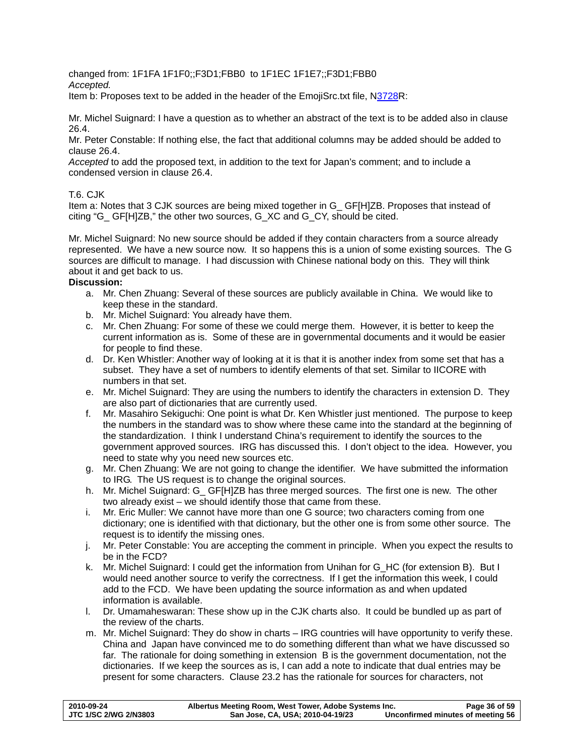changed from: 1F1FA 1F1F0;;F3D1;FBB0 to 1F1EC 1F1E7;;F3D1;FBB0

*Accepted.* 

Item b: Proposes text to be added in the header of the EmojiSrc.txt file, [N3728R](http://std.dkuug.dk/jtc1/sc2/wg2/docs/n3728.pdf):

Mr. Michel Suignard: I have a question as to whether an abstract of the text is to be added also in clause 26.4.

Mr. Peter Constable: If nothing else, the fact that additional columns may be added should be added to clause 26.4.

*Accepted* to add the proposed text, in addition to the text for Japan's comment; and to include a condensed version in clause 26.4.

# T.6. CJK

Item a: Notes that 3 CJK sources are being mixed together in G\_ GF[H]ZB. Proposes that instead of citing "G\_ GF[H]ZB," the other two sources, G\_XC and G\_CY, should be cited.

Mr. Michel Suignard: No new source should be added if they contain characters from a source already represented. We have a new source now. It so happens this is a union of some existing sources. The G sources are difficult to manage. I had discussion with Chinese national body on this. They will think about it and get back to us.

# **Discussion:**

- a. Mr. Chen Zhuang: Several of these sources are publicly available in China. We would like to keep these in the standard.
- b. Mr. Michel Suignard: You already have them.
- c. Mr. Chen Zhuang: For some of these we could merge them. However, it is better to keep the current information as is. Some of these are in governmental documents and it would be easier for people to find these.
- d. Dr. Ken Whistler: Another way of looking at it is that it is another index from some set that has a subset. They have a set of numbers to identify elements of that set. Similar to IICORE with numbers in that set.
- e. Mr. Michel Suignard: They are using the numbers to identify the characters in extension D. They are also part of dictionaries that are currently used.
- f. Mr. Masahiro Sekiguchi: One point is what Dr. Ken Whistler just mentioned. The purpose to keep the numbers in the standard was to show where these came into the standard at the beginning of the standardization. I think I understand China's requirement to identify the sources to the government approved sources. IRG has discussed this. I don't object to the idea. However, you need to state why you need new sources etc.
- g. Mr. Chen Zhuang: We are not going to change the identifier. We have submitted the information to IRG. The US request is to change the original sources.
- h. Mr. Michel Suignard: G GF[H]ZB has three merged sources. The first one is new. The other two already exist – we should identify those that came from these.
- i. Mr. Eric Muller: We cannot have more than one G source; two characters coming from one dictionary; one is identified with that dictionary, but the other one is from some other source. The request is to identify the missing ones.
- j. Mr. Peter Constable: You are accepting the comment in principle. When you expect the results to be in the FCD?
- k. Mr. Michel Suignard: I could get the information from Unihan for G\_HC (for extension B). But I would need another source to verify the correctness. If I get the information this week, I could add to the FCD. We have been updating the source information as and when updated information is available.
- l. Dr. Umamaheswaran: These show up in the CJK charts also. It could be bundled up as part of the review of the charts.
- m. Mr. Michel Suignard: They do show in charts IRG countries will have opportunity to verify these. China and Japan have convinced me to do something different than what we have discussed so far. The rationale for doing something in extension B is the government documentation, not the dictionaries. If we keep the sources as is, I can add a note to indicate that dual entries may be present for some characters. Clause 23.2 has the rationale for sources for characters, not

| 2010-09-24            | Albertus Meeting Room, West Tower, Adobe Systems Inc. | Page 36 of 59                     |
|-----------------------|-------------------------------------------------------|-----------------------------------|
| JTC 1/SC 2/WG 2/N3803 | San Jose, CA, USA; 2010-04-19/23                      | Unconfirmed minutes of meeting 56 |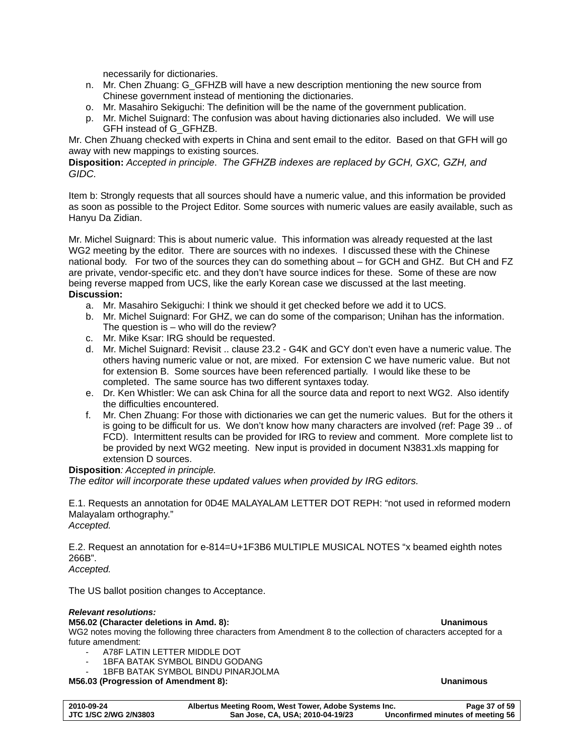necessarily for dictionaries.

- n. Mr. Chen Zhuang: G\_GFHZB will have a new description mentioning the new source from Chinese government instead of mentioning the dictionaries.
- o. Mr. Masahiro Sekiguchi: The definition will be the name of the government publication.
- p. Mr. Michel Suignard: The confusion was about having dictionaries also included. We will use GFH instead of G\_GFHZB.

Mr. Chen Zhuang checked with experts in China and sent email to the editor. Based on that GFH will go away with new mappings to existing sources.

**Disposition:** *Accepted in principle*. *The GFHZB indexes are replaced by GCH, GXC, GZH, and GIDC.* 

Item b: Strongly requests that all sources should have a numeric value, and this information be provided as soon as possible to the Project Editor. Some sources with numeric values are easily available, such as Hanyu Da Zidian.

Mr. Michel Suignard: This is about numeric value. This information was already requested at the last WG2 meeting by the editor. There are sources with no indexes. I discussed these with the Chinese national body. For two of the sources they can do something about – for GCH and GHZ. But CH and FZ are private, vendor-specific etc. and they don't have source indices for these. Some of these are now being reverse mapped from UCS, like the early Korean case we discussed at the last meeting. **Discussion:** 

- a. Mr. Masahiro Sekiguchi: I think we should it get checked before we add it to UCS.
- b. Mr. Michel Suignard: For GHZ, we can do some of the comparison; Unihan has the information. The question is – who will do the review?
- c. Mr. Mike Ksar: IRG should be requested.
- d. Mr. Michel Suignard: Revisit .. clause 23.2 G4K and GCY don't even have a numeric value. The others having numeric value or not, are mixed. For extension C we have numeric value. But not for extension B. Some sources have been referenced partially. I would like these to be completed. The same source has two different syntaxes today.
- e. Dr. Ken Whistler: We can ask China for all the source data and report to next WG2. Also identify the difficulties encountered.
- f. Mr. Chen Zhuang: For those with dictionaries we can get the numeric values. But for the others it is going to be difficult for us. We don't know how many characters are involved (ref: Page 39 .. of FCD). Intermittent results can be provided for IRG to review and comment. More complete list to be provided by next WG2 meeting. New input is provided in document [N3831.](http://www.dkuug.dk/JTC1/SC2/WG2/docs/n3831.xls)xls mapping for extension D sources.

### **Disposition***: Accepted in principle.*

*The editor will incorporate these updated values when provided by IRG editors.* 

E.1. Requests an annotation for 0D4E MALAYALAM LETTER DOT REPH: "not used in reformed modern Malayalam orthography." *Accepted.* 

E.2. Request an annotation for e-814=U+1F3B6 MULTIPLE MUSICAL NOTES "x beamed eighth notes 266B".

*Accepted.* 

The US ballot position changes to Acceptance.

#### *Relevant resolutions:*

#### **M56.02 (Character deletions in Amd. 8): Unanimous**

WG2 notes moving the following three characters from Amendment 8 to the collection of characters accepted for a future amendment:

- A78F LATIN LETTER MIDDLE DOT
- 1BFA BATAK SYMBOL BINDU GODANG
- 1BFB BATAK SYMBOL BINDU PINARJOLMA

**M56.03 (Progression of Amendment 8): Unanimous** 

# **2010-09-24 Albertus Meeting Room, West Tower, Adobe Systems Inc. Page 37 of 59**  San Jose, CA, USA; 2010-04-19/23 Unconfirmed minutes of meeting 56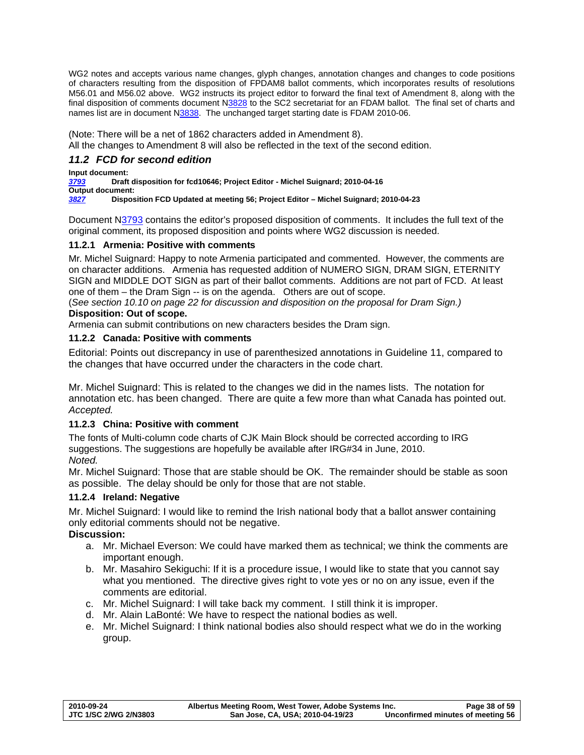<span id="page-37-0"></span>WG2 notes and accepts various name changes, glyph changes, annotation changes and changes to code positions of characters resulting from the disposition of FPDAM8 ballot comments, which incorporates results of resolutions M56.01 and M56.02 above. WG2 instructs its project editor to forward the final text of Amendment 8, along with the final disposition of comments document [N3828](http://www.dkuug.dk/jtc1/sc2/wg2/docs/N3828.pdf) to the SC2 secretariat for an FDAM ballot. The final set of charts and names list are in document N[3838](http://www.dkuug.dk/jtc1/sc2/wg2/docs/N3838.pdf). The unchanged target starting date is FDAM 2010-06.

(Note: There will be a net of 1862 characters added in Amendment 8).

All the changes to Amendment 8 will also be reflected in the text of the second edition.

# <span id="page-37-1"></span>*11.2 FCD for second edition*

**Input document:** 

*[3793](http://std.dkuug.dk/JTC1/SC2/WG2/docs/n3793.pdf)* **Draft disposition for fcd10646; Project Editor - Michel Suignard; 2010-04-16** 

**Output document:**  *[3827](http://www.dkuug.dk/JTC1/SC2/WG2/docs/n3827.pdf)* **Disposition FCD Updated at meeting 56; Project Editor – Michel Suignard; 2010-04-23** 

Document N[3793](http://std.dkuug.dk/JTC1/SC2/WG2/docs/n3793.pdf) contains the editor's proposed disposition of comments. It includes the full text of the original comment, its proposed disposition and points where WG2 discussion is needed.

# **11.2.1 Armenia: Positive with comments**

Mr. Michel Suignard: Happy to note Armenia participated and commented. However, the comments are on character additions. Armenia has requested addition of NUMERO SIGN, DRAM SIGN, ETERNITY SIGN and MIDDLE DOT SIGN as part of their ballot comments. Additions are not part of FCD. At least one of them – the Dram Sign -- is on the agenda. Others are out of scope.

(*See section [10.10](#page-21-1) on page [22](#page-21-1) for discussion and disposition on the proposal for Dram Sign.)*  **Disposition: Out of scope.** 

Armenia can submit contributions on new characters besides the Dram sign.

# **11.2.2 Canada: Positive with comments**

Editorial: Points out discrepancy in use of parenthesized annotations in Guideline 11, compared to the changes that have occurred under the characters in the code chart.

Mr. Michel Suignard: This is related to the changes we did in the names lists. The notation for annotation etc. has been changed. There are quite a few more than what Canada has pointed out. *Accepted.* 

# **11.2.3 China: Positive with comment**

The fonts of Multi-column code charts of CJK Main Block should be corrected according to IRG suggestions. The suggestions are hopefully be available after IRG#34 in June, 2010. *Noted.* 

Mr. Michel Suignard: Those that are stable should be OK. The remainder should be stable as soon as possible. The delay should be only for those that are not stable.

# **11.2.4 Ireland: Negative**

Mr. Michel Suignard: I would like to remind the Irish national body that a ballot answer containing only editorial comments should not be negative.

# **Discussion:**

- a. Mr. Michael Everson: We could have marked them as technical; we think the comments are important enough.
- b. Mr. Masahiro Sekiguchi: If it is a procedure issue, I would like to state that you cannot say what you mentioned. The directive gives right to vote yes or no on any issue, even if the comments are editorial.
- c. Mr. Michel Suignard: I will take back my comment. I still think it is improper.
- d. Mr. Alain LaBonté: We have to respect the national bodies as well.
- e. Mr. Michel Suignard: I think national bodies also should respect what we do in the working group.

| 2010-09-24                   | Albertus Meeting Room, West Tower, Adobe Systems Inc. | Page 38 of 59                     |
|------------------------------|-------------------------------------------------------|-----------------------------------|
| <b>JTC 1/SC 2/WG 2/N3803</b> | San Jose, CA, USA; 2010-04-19/23                      | Unconfirmed minutes of meeting 56 |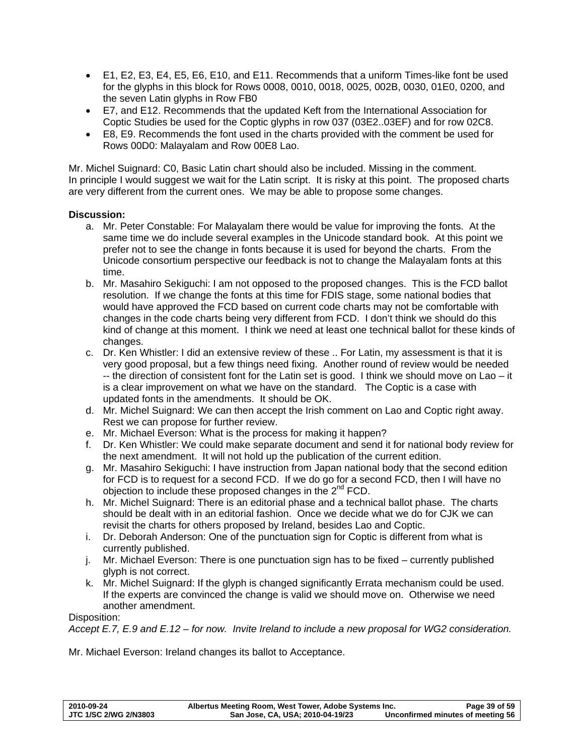- E1, E2, E3, E4, E5, E6, E10, and E11. Recommends that a uniform Times-like font be used for the glyphs in this block for Rows 0008, 0010, 0018, 0025, 002B, 0030, 01E0, 0200, and the seven Latin glyphs in Row FB0
- E7, and E12. Recommends that the updated Keft from the International Association for Coptic Studies be used for the Coptic glyphs in row 037 (03E2..03EF) and for row 02C8.
- E8, E9. Recommends the font used in the charts provided with the comment be used for Rows 00D0: Malayalam and Row 00E8 Lao.

Mr. Michel Suignard: C0, Basic Latin chart should also be included. Missing in the comment. In principle I would suggest we wait for the Latin script. It is risky at this point. The proposed charts are very different from the current ones. We may be able to propose some changes.

# **Discussion:**

- a. Mr. Peter Constable: For Malayalam there would be value for improving the fonts. At the same time we do include several examples in the Unicode standard book. At this point we prefer not to see the change in fonts because it is used for beyond the charts. From the Unicode consortium perspective our feedback is not to change the Malayalam fonts at this time.
- b. Mr. Masahiro Sekiguchi: I am not opposed to the proposed changes. This is the FCD ballot resolution. If we change the fonts at this time for FDIS stage, some national bodies that would have approved the FCD based on current code charts may not be comfortable with changes in the code charts being very different from FCD. I don't think we should do this kind of change at this moment. I think we need at least one technical ballot for these kinds of changes.
- c. Dr. Ken Whistler: I did an extensive review of these .. For Latin, my assessment is that it is very good proposal, but a few things need fixing. Another round of review would be needed -- the direction of consistent font for the Latin set is good. I think we should move on Lao – it is a clear improvement on what we have on the standard. The Coptic is a case with updated fonts in the amendments. It should be OK.
- d. Mr. Michel Suignard: We can then accept the Irish comment on Lao and Coptic right away. Rest we can propose for further review.
- e. Mr. Michael Everson: What is the process for making it happen?
- f. Dr. Ken Whistler: We could make separate document and send it for national body review for the next amendment. It will not hold up the publication of the current edition.
- g. Mr. Masahiro Sekiguchi: I have instruction from Japan national body that the second edition for FCD is to request for a second FCD. If we do go for a second FCD, then I will have no objection to include these proposed changes in the 2<sup>nd</sup> FCD.
- h. Mr. Michel Suignard: There is an editorial phase and a technical ballot phase. The charts should be dealt with in an editorial fashion. Once we decide what we do for CJK we can revisit the charts for others proposed by Ireland, besides Lao and Coptic.
- i. Dr. Deborah Anderson: One of the punctuation sign for Coptic is different from what is currently published.
- j. Mr. Michael Everson: There is one punctuation sign has to be fixed currently published glyph is not correct.
- k. Mr. Michel Suignard: If the glyph is changed significantly Errata mechanism could be used. If the experts are convinced the change is valid we should move on. Otherwise we need another amendment.

Disposition:

*Accept E.7, E.9 and E.12 – for now. Invite Ireland to include a new proposal for WG2 consideration.* 

Mr. Michael Everson: Ireland changes its ballot to Acceptance.

| 2010-09-24            | Albertus Meeting Room, West Tower, Adobe Systems Inc. | Page 39 of 59                     |
|-----------------------|-------------------------------------------------------|-----------------------------------|
| JTC 1/SC 2/WG 2/N3803 | San Jose, CA, USA; 2010-04-19/23                      | Unconfirmed minutes of meeting 56 |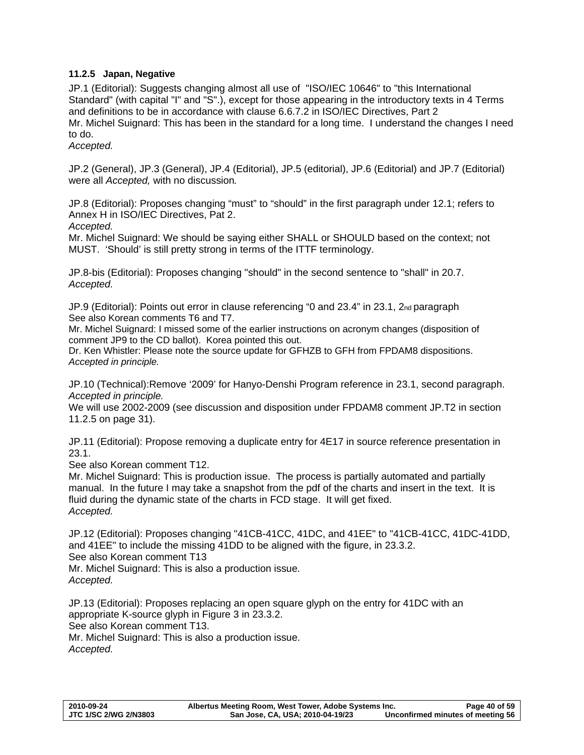# <span id="page-39-1"></span><span id="page-39-0"></span>**11.2.5 Japan, Negative**

JP.1 (Editorial): Suggests changing almost all use of "ISO/IEC 10646" to "this International Standard" (with capital "I" and "S".), except for those appearing in the introductory texts in 4 Terms and definitions to be in accordance with clause 6.6.7.2 in ISO/IEC Directives, Part 2 Mr. Michel Suignard: This has been in the standard for a long time. I understand the changes I need to do.

*Accepted.* 

JP.2 (General), JP.3 (General), JP.4 (Editorial), JP.5 (editorial), JP.6 (Editorial) and JP.7 (Editorial) were all *Accepted,* with no discussion*.* 

JP.8 (Editorial): Proposes changing "must" to "should" in the first paragraph under 12.1; refers to Annex H in ISO/IEC Directives, Pat 2.

*Accepted.*

Mr. Michel Suignard: We should be saying either SHALL or SHOULD based on the context; not MUST. 'Should' is still pretty strong in terms of the ITTF terminology.

JP.8-bis (Editorial): Proposes changing "should" in the second sentence to "shall" in 20.7. *Accepted.*

JP.9 (Editorial): Points out error in clause referencing "0 and 23.4" in 23.1, 2nd paragraph See also Korean comments T6 and T7.

Mr. Michel Suignard: I missed some of the earlier instructions on acronym changes (disposition of comment JP9 to the CD ballot). Korea pointed this out.

Dr. Ken Whistler: Please note the source update for GFHZB to GFH from FPDAM8 dispositions. *Accepted in principle.* 

JP.10 (Technical):Remove '2009' for Hanyo-Denshi Program reference in 23.1, second paragraph. *Accepted in principle.* 

We will use 2002-2009 (see discussion and disposition under FPDAM8 comment JP.T2 in section [11.2.5](#page-39-1) on page [31\)](#page-30-1).

JP.11 (Editorial): Propose removing a duplicate entry for 4E17 in source reference presentation in 23.1.

See also Korean comment T12.

Mr. Michel Suignard: This is production issue. The process is partially automated and partially manual. In the future I may take a snapshot from the pdf of the charts and insert in the text. It is fluid during the dynamic state of the charts in FCD stage. It will get fixed. *Accepted.*

JP.12 (Editorial): Proposes changing "41CB-41CC, 41DC, and 41EE" to "41CB-41CC, 41DC-41DD, and 41EE" to include the missing 41DD to be aligned with the figure, in 23.3.2. See also Korean comment T13

Mr. Michel Suignard: This is also a production issue. *Accepted.*

JP.13 (Editorial): Proposes replacing an open square glyph on the entry for 41DC with an appropriate K-source glyph in Figure 3 in 23.3.2. See also Korean comment T13. Mr. Michel Suignard: This is also a production issue. *Accepted.*

**2010-09-24 Albertus Meeting Room, West Tower, Adobe Systems Inc. Page 40 of 59**  San Jose, CA, USA; 2010-04-19/23 Unconfirmed minutes of meeting 56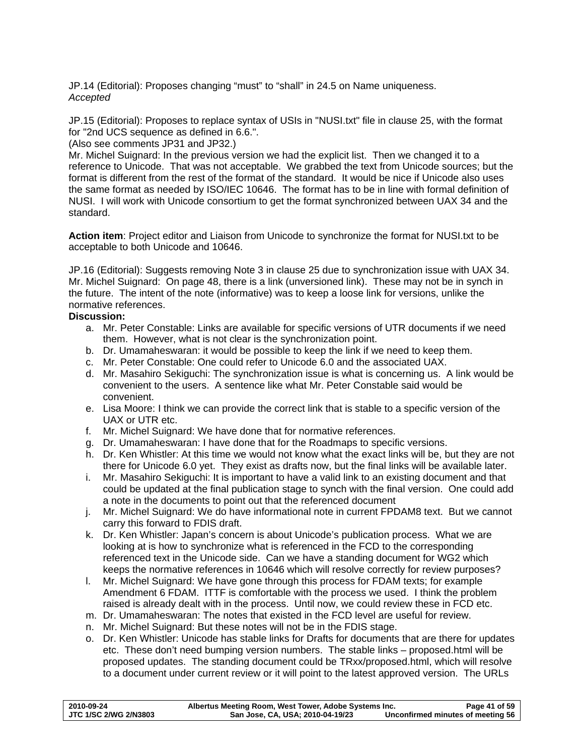JP.14 (Editorial): Proposes changing "must" to "shall" in 24.5 on Name uniqueness. *Accepted* 

JP.15 (Editorial): Proposes to replace syntax of USIs in "NUSI.txt" file in clause 25, with the format for "2nd UCS sequence as defined in 6.6.".

(Also see comments JP31 and JP32.)

Mr. Michel Suignard: In the previous version we had the explicit list. Then we changed it to a reference to Unicode. That was not acceptable. We grabbed the text from Unicode sources; but the format is different from the rest of the format of the standard. It would be nice if Unicode also uses the same format as needed by ISO/IEC 10646. The format has to be in line with formal definition of NUSI. I will work with Unicode consortium to get the format synchronized between UAX 34 and the standard.

**Action item**: Project editor and Liaison from Unicode to synchronize the format for NUSI.txt to be acceptable to both Unicode and 10646.

JP.16 (Editorial): Suggests removing Note 3 in clause 25 due to synchronization issue with UAX 34. Mr. Michel Suignard: On page 48, there is a link (unversioned link). These may not be in synch in the future. The intent of the note (informative) was to keep a loose link for versions, unlike the normative references.

# **Discussion:**

- a. Mr. Peter Constable: Links are available for specific versions of UTR documents if we need them. However, what is not clear is the synchronization point.
- b. Dr. Umamaheswaran: it would be possible to keep the link if we need to keep them.
- c. Mr. Peter Constable: One could refer to Unicode 6.0 and the associated UAX.
- d. Mr. Masahiro Sekiguchi: The synchronization issue is what is concerning us. A link would be convenient to the users. A sentence like what Mr. Peter Constable said would be convenient.
- e. Lisa Moore: I think we can provide the correct link that is stable to a specific version of the UAX or UTR etc.
- f. Mr. Michel Suignard: We have done that for normative references.
- g. Dr. Umamaheswaran: I have done that for the Roadmaps to specific versions.
- h. Dr. Ken Whistler: At this time we would not know what the exact links will be, but they are not there for Unicode 6.0 yet. They exist as drafts now, but the final links will be available later.
- i. Mr. Masahiro Sekiguchi: It is important to have a valid link to an existing document and that could be updated at the final publication stage to synch with the final version. One could add a note in the documents to point out that the referenced document
- j. Mr. Michel Suignard: We do have informational note in current FPDAM8 text. But we cannot carry this forward to FDIS draft.
- k. Dr. Ken Whistler: Japan's concern is about Unicode's publication process. What we are looking at is how to synchronize what is referenced in the FCD to the corresponding referenced text in the Unicode side. Can we have a standing document for WG2 which keeps the normative references in 10646 which will resolve correctly for review purposes?
- l. Mr. Michel Suignard: We have gone through this process for FDAM texts; for example Amendment 6 FDAM. ITTF is comfortable with the process we used. I think the problem raised is already dealt with in the process. Until now, we could review these in FCD etc.
- m. Dr. Umamaheswaran: The notes that existed in the FCD level are useful for review.
- n. Mr. Michel Suignard: But these notes will not be in the FDIS stage.
- o. Dr. Ken Whistler: Unicode has stable links for Drafts for documents that are there for updates etc. These don't need bumping version numbers. The stable links – proposed.html will be proposed updates. The standing document could be TRxx/proposed.html, which will resolve to a document under current review or it will point to the latest approved version. The URLs

| 2010-09-24                   | Albertus Meeting Room, West Tower, Adobe Systems Inc. | Page 41 of 59                     |
|------------------------------|-------------------------------------------------------|-----------------------------------|
| <b>JTC 1/SC 2/WG 2/N3803</b> | San Jose, CA, USA; 2010-04-19/23                      | Unconfirmed minutes of meeting 56 |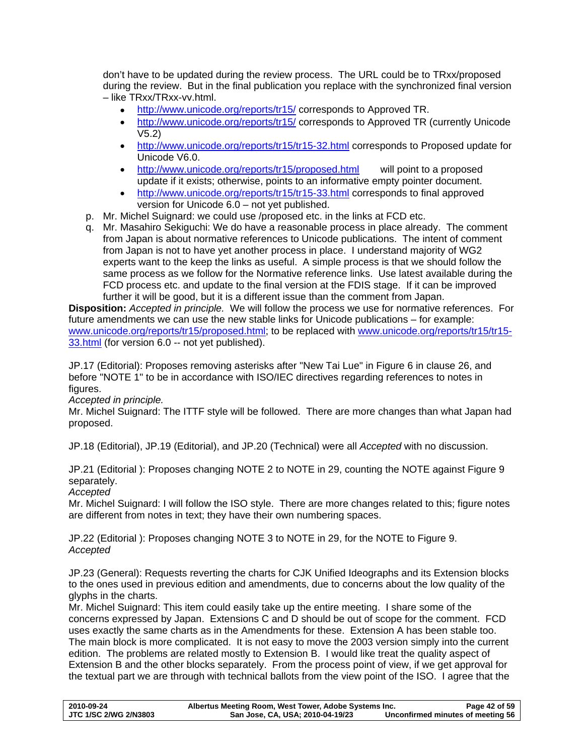don't have to be updated during the review process. The URL could be to TRxx/proposed during the review. But in the final publication you replace with the synchronized final version – like TRxx/TRxx-vv.html.

- <http://www.unicode.org/reports/tr15/> corresponds to Approved TR.
- <http://www.unicode.org/reports/tr15/> corresponds to Approved TR (currently Unicode V5.2)
- <http://www.unicode.org/reports/tr15/tr15-32.html> corresponds to Proposed update for Unicode V6.0.
- <http://www.unicode.org/reports/tr15/proposed.html>will point to a proposed update if it exists; otherwise, points to an informative empty pointer document.
- <http://www.unicode.org/reports/tr15/tr15-33.html> corresponds to final approved version for Unicode 6.0 – not yet published.
- p. Mr. Michel Suignard: we could use /proposed etc. in the links at FCD etc.
- q. Mr. Masahiro Sekiguchi: We do have a reasonable process in place already. The comment from Japan is about normative references to Unicode publications. The intent of comment from Japan is not to have yet another process in place. I understand majority of WG2 experts want to the keep the links as useful. A simple process is that we should follow the same process as we follow for the Normative reference links. Use latest available during the FCD process etc. and update to the final version at the FDIS stage. If it can be improved further it will be good, but it is a different issue than the comment from Japan.

**Disposition:** *Accepted in principle.* We will follow the process we use for normative references. For future amendments we can use the new stable links for Unicode publications – for example: [www.unicode.org/reports/tr15/proposed.html;](http://www.unicode.org/reports/tr15/proposed.html) to be replaced with [www.unicode.org/reports/tr15/tr15-](http://www.unicode.org/reports/tr15/tr15-33.html) [33.html](http://www.unicode.org/reports/tr15/tr15-33.html) (for version 6.0 -- not yet published).

JP.17 (Editorial): Proposes removing asterisks after "New Tai Lue" in Figure 6 in clause 26, and before "NOTE 1" to be in accordance with ISO/IEC directives regarding references to notes in figures.

*Accepted in principle.* 

Mr. Michel Suignard: The ITTF style will be followed. There are more changes than what Japan had proposed.

JP.18 (Editorial), JP.19 (Editorial), and JP.20 (Technical) were all *Accepted* with no discussion.

JP.21 (Editorial ): Proposes changing NOTE 2 to NOTE in 29, counting the NOTE against Figure 9 separately.

# *Accepted*

Mr. Michel Suignard: I will follow the ISO style. There are more changes related to this; figure notes are different from notes in text; they have their own numbering spaces.

JP.22 (Editorial ): Proposes changing NOTE 3 to NOTE in 29, for the NOTE to Figure 9. *Accepted* 

JP.23 (General): Requests reverting the charts for CJK Unified Ideographs and its Extension blocks to the ones used in previous edition and amendments, due to concerns about the low quality of the glyphs in the charts.

Mr. Michel Suignard: This item could easily take up the entire meeting. I share some of the concerns expressed by Japan. Extensions C and D should be out of scope for the comment. FCD uses exactly the same charts as in the Amendments for these. Extension A has been stable too. The main block is more complicated. It is not easy to move the 2003 version simply into the current edition. The problems are related mostly to Extension B. I would like treat the quality aspect of Extension B and the other blocks separately. From the process point of view, if we get approval for the textual part we are through with technical ballots from the view point of the ISO. I agree that the

| 2010-09-24                   | Albertus Meeting Room, West Tower, Adobe Systems Inc. | Page 42 of 59                     |
|------------------------------|-------------------------------------------------------|-----------------------------------|
| <b>JTC 1/SC 2/WG 2/N3803</b> | San Jose, CA, USA; 2010-04-19/23                      | Unconfirmed minutes of meeting 56 |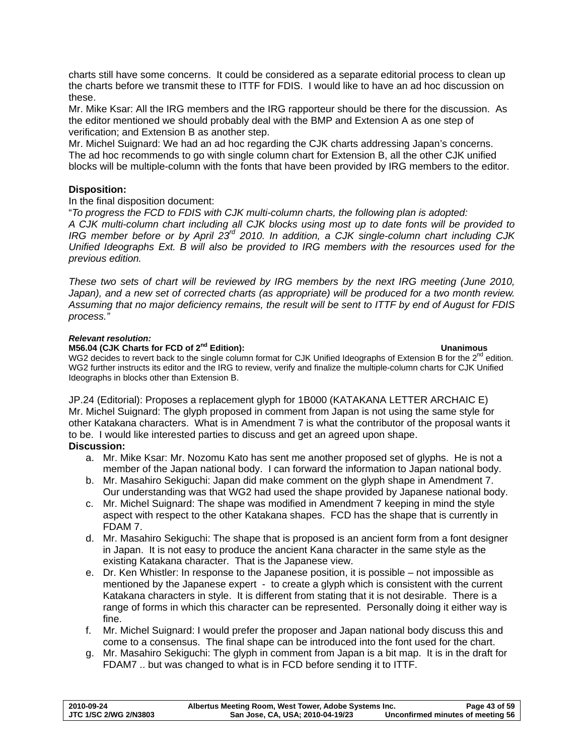charts still have some concerns. It could be considered as a separate editorial process to clean up the charts before we transmit these to ITTF for FDIS. I would like to have an ad hoc discussion on these.

Mr. Mike Ksar: All the IRG members and the IRG rapporteur should be there for the discussion. As the editor mentioned we should probably deal with the BMP and Extension A as one step of verification; and Extension B as another step.

Mr. Michel Suignard: We had an ad hoc regarding the CJK charts addressing Japan's concerns. The ad hoc recommends to go with single column chart for Extension B, all the other CJK unified blocks will be multiple-column with the fonts that have been provided by IRG members to the editor.

# **Disposition:**

## In the final disposition document:

"*To progress the FCD to FDIS with CJK multi-column charts, the following plan is adopted: A CJK multi-column chart including all CJK blocks using most up to date fonts will be provided to IRG member before or by April 23rd 2010. In addition, a CJK single-column chart including CJK Unified Ideographs Ext. B will also be provided to IRG members with the resources used for the previous edition.* 

*These two sets of chart will be reviewed by IRG members by the next IRG meeting (June 2010,*  Japan), and a new set of corrected charts (as appropriate) will be produced for a two month review. *Assuming that no major deficiency remains, the result will be sent to ITTF by end of August for FDIS process."* 

### *Relevant resolution:*

## **M56.04 (CJK Charts for FCD of 2nd Edition): Unanimous**

WG2 decides to revert back to the single column format for CJK Unified Ideographs of Extension B for the 2<sup>nd</sup> edition. WG2 further instructs its editor and the IRG to review, verify and finalize the multiple-column charts for CJK Unified Ideographs in blocks other than Extension B.

JP.24 (Editorial): Proposes a replacement glyph for 1B000 (KATAKANA LETTER ARCHAIC E) Mr. Michel Suignard: The glyph proposed in comment from Japan is not using the same style for other Katakana characters. What is in Amendment 7 is what the contributor of the proposal wants it to be. I would like interested parties to discuss and get an agreed upon shape. **Discussion:** 

- a. Mr. Mike Ksar: Mr. Nozomu Kato has sent me another proposed set of glyphs. He is not a member of the Japan national body. I can forward the information to Japan national body.
- b. Mr. Masahiro Sekiguchi: Japan did make comment on the glyph shape in Amendment 7. Our understanding was that WG2 had used the shape provided by Japanese national body.
- c. Mr. Michel Suignard: The shape was modified in Amendment 7 keeping in mind the style aspect with respect to the other Katakana shapes. FCD has the shape that is currently in FDAM 7.
- d. Mr. Masahiro Sekiguchi: The shape that is proposed is an ancient form from a font designer in Japan. It is not easy to produce the ancient Kana character in the same style as the existing Katakana character. That is the Japanese view.
- e. Dr. Ken Whistler: In response to the Japanese position, it is possible not impossible as mentioned by the Japanese expert - to create a glyph which is consistent with the current Katakana characters in style. It is different from stating that it is not desirable. There is a range of forms in which this character can be represented. Personally doing it either way is fine.
- f. Mr. Michel Suignard: I would prefer the proposer and Japan national body discuss this and come to a consensus. The final shape can be introduced into the font used for the chart.
- g. Mr. Masahiro Sekiguchi: The glyph in comment from Japan is a bit map. It is in the draft for FDAM7 .. but was changed to what is in FCD before sending it to ITTF.

| 2010-09-24            | Albertus Meeting Room, West Tower, Adobe Systems Inc. | Page 43 of 59                     |
|-----------------------|-------------------------------------------------------|-----------------------------------|
| JTC 1/SC 2/WG 2/N3803 | San Jose, CA, USA; 2010-04-19/23                      | Unconfirmed minutes of meeting 56 |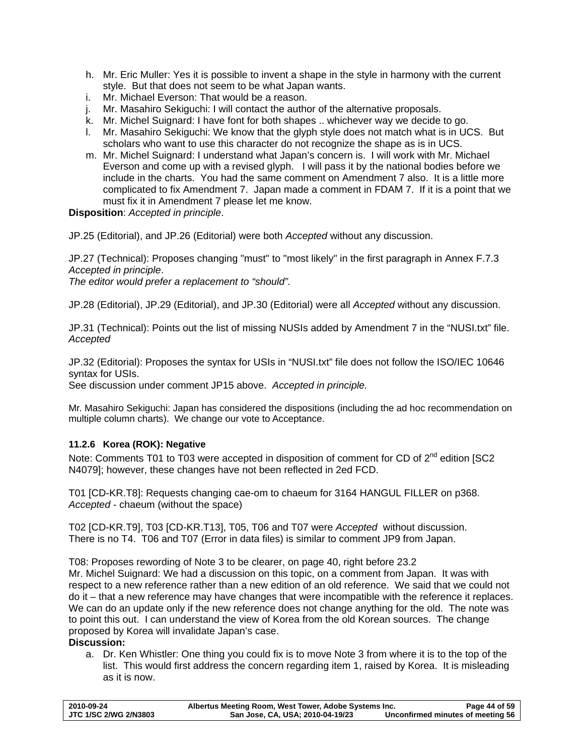- <span id="page-43-0"></span>h. Mr. Eric Muller: Yes it is possible to invent a shape in the style in harmony with the current style. But that does not seem to be what Japan wants.
- i. Mr. Michael Everson: That would be a reason.
- j. Mr. Masahiro Sekiguchi: I will contact the author of the alternative proposals.
- k. Mr. Michel Suignard: I have font for both shapes .. whichever way we decide to go.
- l. Mr. Masahiro Sekiguchi: We know that the glyph style does not match what is in UCS. But scholars who want to use this character do not recognize the shape as is in UCS.
- m. Mr. Michel Suignard: I understand what Japan's concern is. I will work with Mr. Michael Everson and come up with a revised glyph. I will pass it by the national bodies before we include in the charts. You had the same comment on Amendment 7 also. It is a little more complicated to fix Amendment 7. Japan made a comment in FDAM 7. If it is a point that we must fix it in Amendment 7 please let me know.

**Disposition**: *Accepted in principle*.

JP.25 (Editorial), and JP.26 (Editorial) were both *Accepted* without any discussion.

JP.27 (Technical): Proposes changing "must" to "most likely" in the first paragraph in Annex F.7.3 *Accepted in principle*.

*The editor would prefer a replacement to "should".* 

JP.28 (Editorial), JP.29 (Editorial), and JP.30 (Editorial) were all *Accepted* without any discussion.

JP.31 (Technical): Points out the list of missing NUSIs added by Amendment 7 in the "NUSI.txt" file. *Accepted* 

JP.32 (Editorial): Proposes the syntax for USIs in "NUSI.txt" file does not follow the ISO/IEC 10646 syntax for USIs.

See discussion under comment JP15 above. *Accepted in principle.*

Mr. Masahiro Sekiguchi: Japan has considered the dispositions (including the ad hoc recommendation on multiple column charts). We change our vote to Acceptance.

# **11.2.6 Korea (ROK): Negative**

Note: Comments T01 to T03 were accepted in disposition of comment for CD of 2<sup>nd</sup> edition ISC2 N4079]; however, these changes have not been reflected in 2ed FCD.

T01 [CD-KR.T8]: Requests changing cae-om to chaeum for 3164 HANGUL FILLER on p368. *Accepted* - chaeum (without the space)

T02 [CD-KR.T9], T03 [CD-KR.T13], T05, T06 and T07 were *Accepted* without discussion. There is no T4. T06 and T07 (Error in data files) is similar to comment JP9 from Japan.

T08: Proposes rewording of Note 3 to be clearer, on page 40, right before 23.2 Mr. Michel Suignard: We had a discussion on this topic, on a comment from Japan. It was with respect to a new reference rather than a new edition of an old reference. We said that we could not do it – that a new reference may have changes that were incompatible with the reference it replaces. We can do an update only if the new reference does not change anything for the old. The note was to point this out. I can understand the view of Korea from the old Korean sources. The change proposed by Korea will invalidate Japan's case.

# **Discussion:**

a. Dr. Ken Whistler: One thing you could fix is to move Note 3 from where it is to the top of the list. This would first address the concern regarding item 1, raised by Korea. It is misleading as it is now.

| 2010-09-24            | Albertus Meeting Room, West Tower, Adobe Systems Inc. |                                   | Page 44 of 59 |
|-----------------------|-------------------------------------------------------|-----------------------------------|---------------|
| JTC 1/SC 2/WG 2/N3803 | San Jose, CA, USA; 2010-04-19/23                      | Unconfirmed minutes of meeting 56 |               |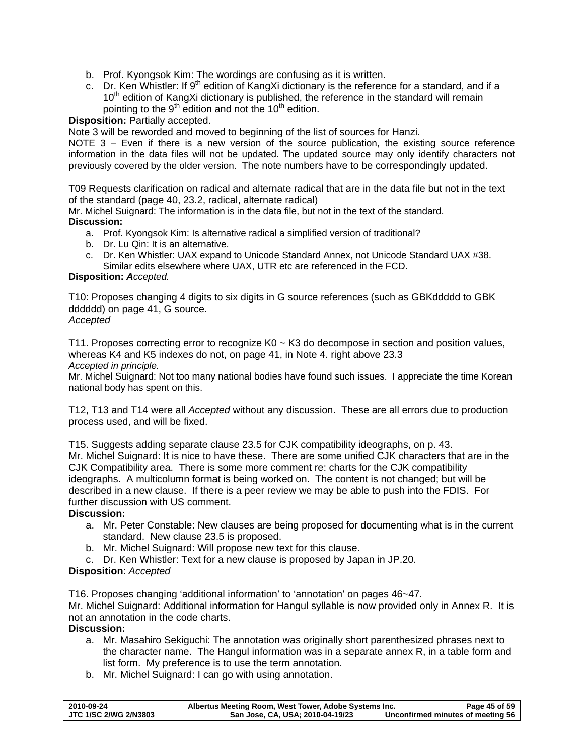- b. Prof. Kyongsok Kim: The wordings are confusing as it is written.
- c. Dr. Ken Whistler: If  $9<sup>th</sup>$  edition of KangXi dictionary is the reference for a standard, and if a  $10<sup>th</sup>$  edition of KangXi dictionary is published, the reference in the standard will remain pointing to the  $9<sup>th</sup>$  edition and not the 10<sup>th</sup> edition.

# **Disposition:** Partially accepted.

Note 3 will be reworded and moved to beginning of the list of sources for Hanzi.

NOTE 3 – Even if there is a new version of the source publication, the existing source reference information in the data files will not be updated. The updated source may only identify characters not previously covered by the older version. The note numbers have to be correspondingly updated.

T09 Requests clarification on radical and alternate radical that are in the data file but not in the text of the standard (page 40, 23.2, radical, alternate radical)

Mr. Michel Suignard: The information is in the data file, but not in the text of the standard. **Discussion:** 

- a. Prof. Kyongsok Kim: Is alternative radical a simplified version of traditional?
- b. Dr. Lu Qin: It is an alternative.
- c. Dr. Ken Whistler: UAX expand to Unicode Standard Annex, not Unicode Standard UAX #38. Similar edits elsewhere where UAX, UTR etc are referenced in the FCD.

## **Disposition:** *Accepted.*

T10: Proposes changing 4 digits to six digits in G source references (such as GBKddddd to GBK dddddd) on page 41, G source.

# *Accepted*

T11. Proposes correcting error to recognize K0 ~ K3 do decompose in section and position values, whereas K4 and K5 indexes do not, on page 41, in Note 4. right above 23.3 *Accepted in principle.* 

Mr. Michel Suignard: Not too many national bodies have found such issues. I appreciate the time Korean national body has spent on this.

T12, T13 and T14 were all *Accepted* without any discussion. These are all errors due to production process used, and will be fixed.

T15. Suggests adding separate clause 23.5 for CJK compatibility ideographs, on p. 43. Mr. Michel Suignard: It is nice to have these. There are some unified CJK characters that are in the CJK Compatibility area. There is some more comment re: charts for the CJK compatibility ideographs. A multicolumn format is being worked on. The content is not changed; but will be described in a new clause. If there is a peer review we may be able to push into the FDIS. For further discussion with US comment.

# **Discussion:**

- a. Mr. Peter Constable: New clauses are being proposed for documenting what is in the current standard. New clause 23.5 is proposed.
- b. Mr. Michel Suignard: Will propose new text for this clause.
- c. Dr. Ken Whistler: Text for a new clause is proposed by Japan in JP.20.

# **Disposition**: *Accepted*

T16. Proposes changing 'additional information' to 'annotation' on pages 46~47.

Mr. Michel Suignard: Additional information for Hangul syllable is now provided only in Annex R. It is not an annotation in the code charts.

## **Discussion:**

- a. Mr. Masahiro Sekiguchi: The annotation was originally short parenthesized phrases next to the character name. The Hangul information was in a separate annex R, in a table form and list form. My preference is to use the term annotation.
- b. Mr. Michel Suignard: I can go with using annotation.

| 2010-09-24                   | Albertus Meeting Room, West Tower, Adobe Systems Inc. | Page 45 of 59                     |
|------------------------------|-------------------------------------------------------|-----------------------------------|
| <b>JTC 1/SC 2/WG 2/N3803</b> | San Jose, CA, USA; 2010-04-19/23                      | Unconfirmed minutes of meeting 56 |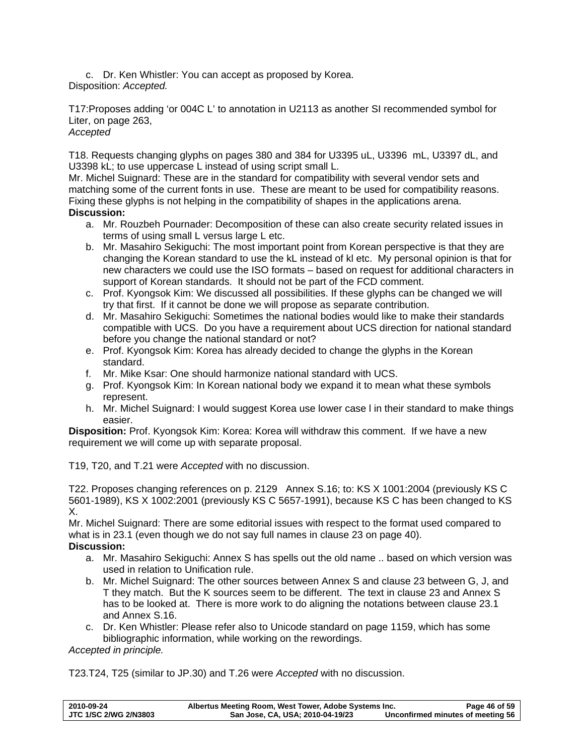c. Dr. Ken Whistler: You can accept as proposed by Korea. Disposition: *Accepted.* 

T17:Proposes adding 'or 004C L' to annotation in U2113 as another SI recommended symbol for Liter, on page 263,

# *Accepted*

T18. Requests changing glyphs on pages 380 and 384 for U3395 uL, U3396 mL, U3397 dL, and U3398 kL; to use uppercase L instead of using script small L.

Mr. Michel Suignard: These are in the standard for compatibility with several vendor sets and matching some of the current fonts in use. These are meant to be used for compatibility reasons. Fixing these glyphs is not helping in the compatibility of shapes in the applications arena. **Discussion:** 

- a. Mr. Rouzbeh Pournader: Decomposition of these can also create security related issues in terms of using small L versus large L etc.
- b. Mr. Masahiro Sekiguchi: The most important point from Korean perspective is that they are changing the Korean standard to use the kL instead of kl etc. My personal opinion is that for new characters we could use the ISO formats – based on request for additional characters in support of Korean standards. It should not be part of the FCD comment.
- c. Prof. Kyongsok Kim: We discussed all possibilities. If these glyphs can be changed we will try that first. If it cannot be done we will propose as separate contribution.
- d. Mr. Masahiro Sekiguchi: Sometimes the national bodies would like to make their standards compatible with UCS. Do you have a requirement about UCS direction for national standard before you change the national standard or not?
- e. Prof. Kyongsok Kim: Korea has already decided to change the glyphs in the Korean standard.
- f. Mr. Mike Ksar: One should harmonize national standard with UCS.
- g. Prof. Kyongsok Kim: In Korean national body we expand it to mean what these symbols represent.
- h. Mr. Michel Suignard: I would suggest Korea use lower case l in their standard to make things easier.

**Disposition:** Prof. Kyongsok Kim: Korea: Korea will withdraw this comment. If we have a new requirement we will come up with separate proposal.

T19, T20, and T.21 were *Accepted* with no discussion.

T22. Proposes changing references on p. 2129 Annex S.16; to: KS X 1001:2004 (previously KS C 5601-1989), KS X 1002:2001 (previously KS C 5657-1991), because KS C has been changed to KS X.

Mr. Michel Suignard: There are some editorial issues with respect to the format used compared to what is in 23.1 (even though we do not say full names in clause 23 on page 40). **Discussion:** 

- a. Mr. Masahiro Sekiguchi: Annex S has spells out the old name .. based on which version was used in relation to Unification rule.
- b. Mr. Michel Suignard: The other sources between Annex S and clause 23 between G, J, and T they match. But the K sources seem to be different. The text in clause 23 and Annex S has to be looked at. There is more work to do aligning the notations between clause 23.1 and Annex S.16.
- c. Dr. Ken Whistler: Please refer also to Unicode standard on page 1159, which has some bibliographic information, while working on the rewordings.

*Accepted in principle.* 

T23.T24, T25 (similar to JP.30) and T.26 were *Accepted* with no discussion.

| 2010-09-24            | Albertus Meeting Room, West Tower, Adobe Systems Inc. | Page 46 of 59                     |
|-----------------------|-------------------------------------------------------|-----------------------------------|
| JTC 1/SC 2/WG 2/N3803 | San Jose, CA, USA; 2010-04-19/23                      | Unconfirmed minutes of meeting 56 |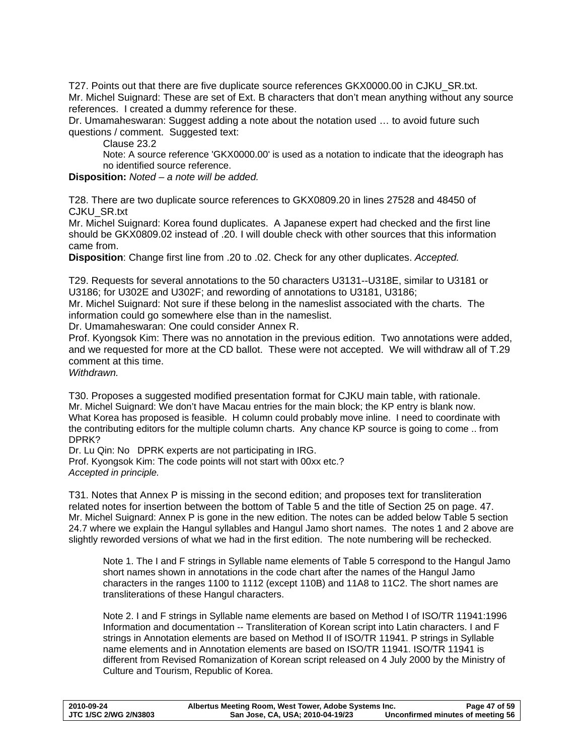T27. Points out that there are five duplicate source references GKX0000.00 in CJKU\_SR.txt. Mr. Michel Suignard: These are set of Ext. B characters that don't mean anything without any source references. I created a dummy reference for these.

Dr. Umamaheswaran: Suggest adding a note about the notation used … to avoid future such questions / comment. Suggested text:

Clause 23.2

Note: A source reference 'GKX0000.00' is used as a notation to indicate that the ideograph has no identified source reference.

**Disposition:** *Noted – a note will be added.*

T28. There are two duplicate source references to GKX0809.20 in lines 27528 and 48450 of CJKU\_SR.txt

Mr. Michel Suignard: Korea found duplicates. A Japanese expert had checked and the first line should be GKX0809.02 instead of .20. I will double check with other sources that this information came from.

**Disposition**: Change first line from .20 to .02. Check for any other duplicates. *Accepted.* 

T29. Requests for several annotations to the 50 characters U3131--U318E, similar to U3181 or U3186; for U302E and U302F; and rewording of annotations to U3181, U3186;

Mr. Michel Suignard: Not sure if these belong in the nameslist associated with the charts. The information could go somewhere else than in the nameslist.

Dr. Umamaheswaran: One could consider Annex R.

Prof. Kyongsok Kim: There was no annotation in the previous edition. Two annotations were added, and we requested for more at the CD ballot. These were not accepted. We will withdraw all of T.29 comment at this time.

*Withdrawn.*

T30. Proposes a suggested modified presentation format for CJKU main table, with rationale. Mr. Michel Suignard: We don't have Macau entries for the main block; the KP entry is blank now. What Korea has proposed is feasible. H column could probably move inline. I need to coordinate with the contributing editors for the multiple column charts. Any chance KP source is going to come .. from DPRK?

Dr. Lu Qin: No DPRK experts are not participating in IRG. Prof. Kyongsok Kim: The code points will not start with 00xx etc.? *Accepted in principle.*

T31. Notes that Annex P is missing in the second edition; and proposes text for transliteration related notes for insertion between the bottom of Table 5 and the title of Section 25 on page. 47. Mr. Michel Suignard: Annex P is gone in the new edition. The notes can be added below Table 5 section 24.7 where we explain the Hangul syllables and Hangul Jamo short names. The notes 1 and 2 above are slightly reworded versions of what we had in the first edition. The note numbering will be rechecked.

Note 1. The I and F strings in Syllable name elements of Table 5 correspond to the Hangul Jamo short names shown in annotations in the code chart after the names of the Hangul Jamo characters in the ranges 1100 to 1112 (except 110B) and 11A8 to 11C2. The short names are transliterations of these Hangul characters.

Note 2. I and F strings in Syllable name elements are based on Method I of ISO/TR 11941:1996 Information and documentation -- Transliteration of Korean script into Latin characters. I and F strings in Annotation elements are based on Method II of ISO/TR 11941. P strings in Syllable name elements and in Annotation elements are based on ISO/TR 11941. ISO/TR 11941 is different from Revised Romanization of Korean script released on 4 July 2000 by the Ministry of Culture and Tourism, Republic of Korea.

| 2010-09-24            | Albertus Meeting Room, West Tower, Adobe Systems Inc. | Page 47 of 59                     |
|-----------------------|-------------------------------------------------------|-----------------------------------|
| JTC 1/SC 2/WG 2/N3803 | San Jose, CA, USA; 2010-04-19/23                      | Unconfirmed minutes of meeting 56 |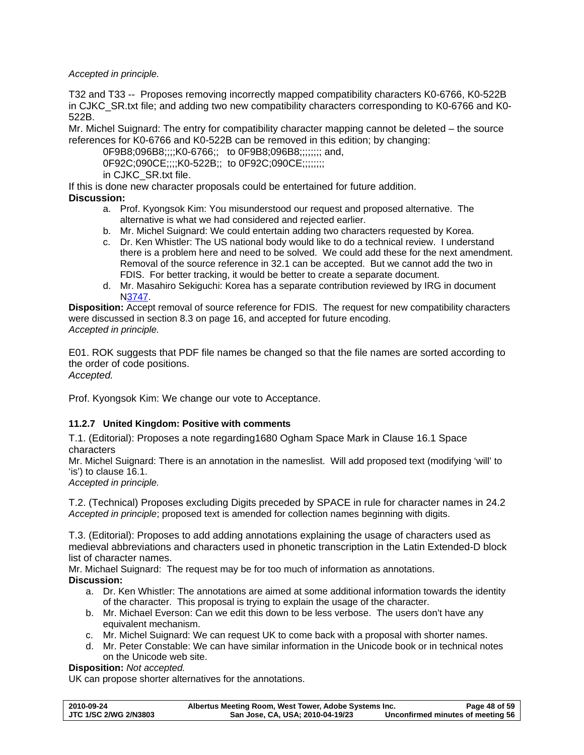<span id="page-47-0"></span>*Accepted in principle.* 

T32 and T33 -- Proposes removing incorrectly mapped compatibility characters K0-6766, K0-522B in CJKC\_SR.txt file; and adding two new compatibility characters corresponding to K0-6766 and K0- 522B.

Mr. Michel Suignard: The entry for compatibility character mapping cannot be deleted – the source references for K0-6766 and K0-522B can be removed in this edition; by changing:

0F9B8;096B8;;;;K0-6766;; to 0F9B8;096B8;;;;;;;; and, 0F92C;090CE;;;;K0-522B;; to 0F92C;090CE;;;;;;;; in CJKC\_SR.txt file.

If this is done new character proposals could be entertained for future addition. **Discussion:** 

- a. Prof. Kyongsok Kim: You misunderstood our request and proposed alternative. The alternative is what we had considered and rejected earlier.
- b. Mr. Michel Suignard: We could entertain adding two characters requested by Korea.
- c. Dr. Ken Whistler: The US national body would like to do a technical review. I understand there is a problem here and need to be solved. We could add these for the next amendment. Removal of the source reference in 32.1 can be accepted. But we cannot add the two in FDIS. For better tracking, it would be better to create a separate document.
- d. Mr. Masahiro Sekiguchi: Korea has a separate contribution reviewed by IRG in document [N3747.](http://www.dkuug.dk/JTC1/SC2/WG2/docs/n3747.pdf)

**Disposition:** Accept removal of source reference for FDIS. The request for new compatibility characters were discussed in section [8.3](#page-15-1) on page [16](#page-15-1), and accepted for future encoding. *Accepted in principle.* 

E01. ROK suggests that PDF file names be changed so that the file names are sorted according to the order of code positions. *Accepted.* 

Prof. Kyongsok Kim: We change our vote to Acceptance.

# **11.2.7 United Kingdom: Positive with comments**

T.1. (Editorial): Proposes a note regarding1680 Ogham Space Mark in Clause 16.1 Space characters

Mr. Michel Suignard: There is an annotation in the nameslist. Will add proposed text (modifying 'will' to 'is') to clause 16.1.

*Accepted in principle.* 

T.2. (Technical) Proposes excluding Digits preceded by SPACE in rule for character names in 24.2 *Accepted in principle*; proposed text is amended for collection names beginning with digits.

T.3. (Editorial): Proposes to add adding annotations explaining the usage of characters used as medieval abbreviations and characters used in phonetic transcription in the Latin Extended-D block list of character names.

Mr. Michael Suignard: The request may be for too much of information as annotations. **Discussion:** 

- a. Dr. Ken Whistler: The annotations are aimed at some additional information towards the identity of the character. This proposal is trying to explain the usage of the character.
- b. Mr. Michael Everson: Can we edit this down to be less verbose. The users don't have any equivalent mechanism.
- c. Mr. Michel Suignard: We can request UK to come back with a proposal with shorter names.
- d. Mr. Peter Constable: We can have similar information in the Unicode book or in technical notes on the Unicode web site.

# **Disposition:** *Not accepted.*

UK can propose shorter alternatives for the annotations.

| 2010-09-24            | Albertus Meeting Room, West Tower, Adobe Systems Inc. | Page 48 of 59                     |
|-----------------------|-------------------------------------------------------|-----------------------------------|
| JTC 1/SC 2/WG 2/N3803 | San Jose, CA, USA; 2010-04-19/23                      | Unconfirmed minutes of meeting 56 |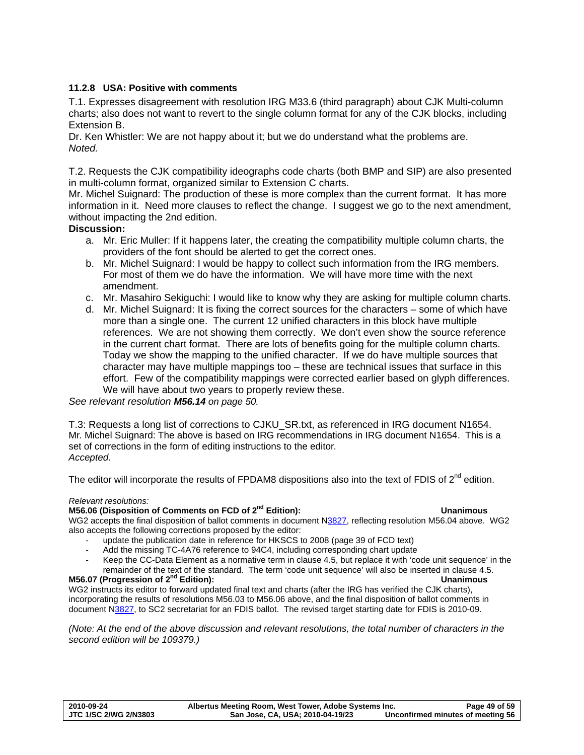# <span id="page-48-0"></span>**11.2.8 USA: Positive with comments**

T.1. Expresses disagreement with resolution IRG M33.6 (third paragraph) about CJK Multi-column charts; also does not want to revert to the single column format for any of the CJK blocks, including Extension B.

Dr. Ken Whistler: We are not happy about it; but we do understand what the problems are. *Noted.* 

T.2. Requests the CJK compatibility ideographs code charts (both BMP and SIP) are also presented in multi-column format, organized similar to Extension C charts.

Mr. Michel Suignard: The production of these is more complex than the current format. It has more information in it. Need more clauses to reflect the change. I suggest we go to the next amendment, without impacting the 2nd edition.

## **Discussion:**

- a. Mr. Eric Muller: If it happens later, the creating the compatibility multiple column charts, the providers of the font should be alerted to get the correct ones.
- b. Mr. Michel Suignard: I would be happy to collect such information from the IRG members. For most of them we do have the information. We will have more time with the next amendment.
- c. Mr. Masahiro Sekiguchi: I would like to know why they are asking for multiple column charts.
- d. Mr. Michel Suignard: It is fixing the correct sources for the characters some of which have more than a single one. The current 12 unified characters in this block have multiple references. We are not showing them correctly. We don't even show the source reference in the current chart format. There are lots of benefits going for the multiple column charts. Today we show the mapping to the unified character. If we do have multiple sources that character may have multiple mappings too – these are technical issues that surface in this effort. Few of the compatibility mappings were corrected earlier based on glyph differences. We will have about two vears to properly review these.

*See relevant resolution [M56.14](#page-49-1) on page [50.](#page-49-1)*

T.3: Requests a long list of corrections to CJKU\_SR.txt, as referenced in IRG document N1654. Mr. Michel Suignard: The above is based on IRG recommendations in IRG document N1654. This is a set of corrections in the form of editing instructions to the editor. *Accepted.* 

The editor will incorporate the results of FPDAM8 dispositions also into the text of FDIS of  $2^{nd}$  edition.

#### *Relevant resolutions:*

### **M56.06 (Disposition of Comments on FCD of 2nd Edition): Unanimous**

# WG2 accepts the final disposition of ballot comments in document N[3827,](http://www.dkuug.dk/jtc1/sc2/wg2/docs/N3827.pdf) reflecting resolution M56.04 above. WG2 also accepts the following corrections proposed by the editor:

- update the publication date in reference for HKSCS to 2008 (page 39 of FCD text)
- Add the missing TC-4A76 reference to 94C4, including corresponding chart update
- Keep the CC-Data Element as a normative term in clause 4.5, but replace it with 'code unit sequence' in the
- remainder of the text of the standard. The term 'code unit sequence' will also be inserted in clause 4.5. **M56.07 (Progression of 2nd Edition): Unanimous**

WG2 instructs its editor to forward updated final text and charts (after the IRG has verified the CJK charts), incorporating the results of resolutions M56.03 to M56.06 above, and the final disposition of ballot comments in document [N3827,](http://www.dkuug.dk/jtc1/sc2/wg2/docs/N3827.pdf) to SC2 secretariat for an FDIS ballot. The revised target starting date for FDIS is 2010-09.

*(Note: At the end of the above discussion and relevant resolutions, the total number of characters in the second edition will be 109379.)* 

| 2010-09-24                   | Albertus Meeting Room, West Tower, Adobe Systems Inc. | Page 49 of 59                     |
|------------------------------|-------------------------------------------------------|-----------------------------------|
| <b>JTC 1/SC 2/WG 2/N3803</b> | San Jose, CA, USA; 2010-04-19/23                      | Unconfirmed minutes of meeting 56 |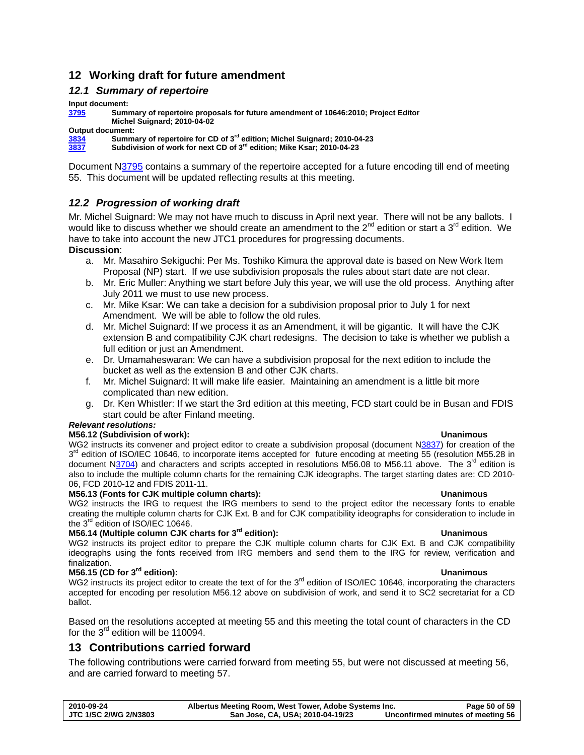# <span id="page-49-0"></span>**12 Working draft for future amendment**

# *12.1 Summary of repertoire*

**Input document:** 

**[3795](http://www.dkuug.dk/jtc1/sc2/wg2/docs/n3795.pdf) Summary of repertoire proposals for future amendment of 10646:2010; Project Editor Michel Suignard; 2010-04-02** 

**Output document:** 

**[3834](http://www.dkuug.dk/JTC1/SC2/WG2/docs/n3834.pdf) Summary of repertoire for CD of 3rd edition; Michel Suignard; 2010-04-23** 

**[3837](http://www.dkuug.dk/JTC1/SC2/WG2/docs/n3837.pdf) Subdivision of work for next CD of 3rd edition; Mike Ksar; 2010-04-23** 

Document N[3795](http://www.dkuug.dk/JTC1/SC2/WG2/docs/n3795.pdf) contains a summary of the repertoire accepted for a future encoding till end of meeting 55. This document will be updated reflecting results at this meeting.

# *12.2 Progression of working draft*

Mr. Michel Suignard: We may not have much to discuss in April next year. There will not be any ballots. I would like to discuss whether we should create an amendment to the  $2^{nd}$  edition or start a 3<sup>rd</sup> edition. We have to take into account the new JTC1 procedures for progressing documents. **Discussion**:

- a. Mr. Masahiro Sekiguchi: Per Ms. Toshiko Kimura the approval date is based on New Work Item
- Proposal (NP) start. If we use subdivision proposals the rules about start date are not clear. b. Mr. Eric Muller: Anything we start before July this year, we will use the old process. Anything after July 2011 we must to use new process.
- c. Mr. Mike Ksar: We can take a decision for a subdivision proposal prior to July 1 for next Amendment. We will be able to follow the old rules.
- d. Mr. Michel Suignard: If we process it as an Amendment, it will be gigantic. It will have the CJK extension B and compatibility CJK chart redesigns. The decision to take is whether we publish a full edition or just an Amendment.
- e. Dr. Umamaheswaran: We can have a subdivision proposal for the next edition to include the bucket as well as the extension B and other CJK charts.
- f. Mr. Michel Suignard: It will make life easier. Maintaining an amendment is a little bit more complicated than new edition.
- g. Dr. Ken Whistler: If we start the 3rd edition at this meeting, FCD start could be in Busan and FDIS start could be after Finland meeting.

# *Relevant resolutions:*

### **M56.12 (Subdivision of work): Unanimous**

WG2 instructs its convener and project editor to create a subdivision proposal (document [N3837](http://www.dkuug.dk/jtc1/sc2/wg2/docs/N3837.pdf)) for creation of the  $3<sup>rd</sup>$  edition of ISO/IEC 10646, to incorporate items accepted for future encoding at meeting 55 (resolution M55.28 in document N[3704\)](http://www.dkuug.dk/jtc1/sc2/wg2/docs/N3704.pdf) and characters and scripts accepted in resolutions M56.08 to M56.11 above. The  $3^{rd}$  edition is also to include the multiple column charts for the remaining CJK ideographs. The target starting dates are: CD 2010- 06, FCD 2010-12 and FDIS 2011-11.

### **M56.13 (Fonts for CJK multiple column charts): Unanimous**

WG2 instructs the IRG to request the IRG members to send to the project editor the necessary fonts to enable creating the multiple column charts for CJK Ext. B and for CJK compatibility ideographs for consideration to include in the  $3^{rd}$  edition of ISO/IEC 10646.

# <span id="page-49-1"></span>**M56.14 (Multiple column CJK charts for 3rd edition): Unanimous**

WG2 instructs its project editor to prepare the CJK multiple column charts for CJK Ext. B and CJK compatibility ideographs using the fonts received from IRG members and send them to the IRG for review, verification and finalization.

### **M56.15 (CD for 3rd edition): Unanimous**

WG2 instructs its project editor to create the text of for the 3<sup>rd</sup> edition of ISO/IEC 10646, incorporating the characters accepted for encoding per resolution M56.12 above on subdivision of work, and send it to SC2 secretariat for a CD ballot.

Based on the resolutions accepted at meeting 55 and this meeting the total count of characters in the CD for the  $3^{rd}$  edition will be 110094.

# **13 Contributions carried forward**

The following contributions were carried forward from meeting 55, but were not discussed at meeting 56, and are carried forward to meeting 57.

| 2010-09-24            | Albertus Meeting Room, West Tower, Adobe Systems Inc. | Page 50 of 59                     |
|-----------------------|-------------------------------------------------------|-----------------------------------|
| JTC 1/SC 2/WG 2/N3803 | San Jose, CA, USA; 2010-04-19/23                      | Unconfirmed minutes of meeting 56 |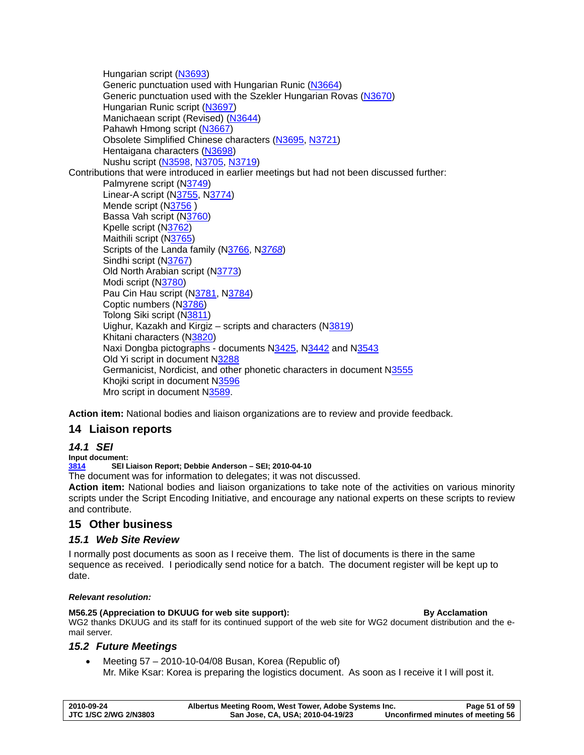<span id="page-50-0"></span>Hungarian script ([N3693](http://www.dkuug.dk/JTC1/SC2/WG2/docs/n3693.pdf)) Generic punctuation used with Hungarian Runic ([N3664](http://www.dkuug.dk/JTC1/SC2/WG2/docs/n3664.pdf)) Generic punctuation used with the Szekler Hungarian Rovas [\(N3670\)](http://www.dkuug.dk/JTC1/SC2/WG2/docs/n3670.pdf) Hungarian Runic script [\(N3697\)](http://www.dkuug.dk/JTC1/SC2/WG2/docs/n3697.pdf) Manichaean script (Revised) ([N3644](http://www.dkuug.dk/JTC1/SC2/WG2/docs/n3644.pdf)) Pahawh Hmong script ([N3667](http://www.dkuug.dk/JTC1/SC2/WG2/docs/n3667.pdf)) Obsolete Simplified Chinese characters [\(N3695,](http://www.dkuug.dk/JTC1/SC2/WG2/docs/n3695.pdf) [N3721\)](http://www.dkuug.dk/JTC1/SC2/WG2/docs/n3721.pdf) Hentaigana characters ([N3698](http://www.dkuug.dk/JTC1/SC2/WG2/docs/n3698.pdf)) Nushu script ([N3598](http://www.dkuug.dk/JTC1/SC2/WG2/docs/n3598.pdf), [N3705](http://www.dkuug.dk/JTC1/SC2/WG2/docs/n3705.pdf), [N3719](http://www.dkuug.dk/JTC1/SC2/WG2/docs/n3719.pdf)) Contributions that were introduced in earlier meetings but had not been discussed further: Palmyrene script (N[3749](http://www.dkuug.dk/jtc1/sc2/wg2/docs/n3749.pdf)) Linear-A script ([N3755,](http://www.dkuug.dk/jtc1/sc2/wg2/docs/n3755.pdf) [N3774\)](http://www.dkuug.dk/JTC1/SC2/WG2/docs/n3774.pdf) Mende script (N[3756](http://www.dkuug.dk/jtc1/sc2/wg2/docs/n3756.pdf) ) Bassa Vah script (N[3760\)](http://www.dkuug.dk/JTC1/SC2/WG2/docs/n3760.pdf) Kpelle script (N[3762](http://www.dkuug.dk/jtc1/sc2/wg2/docs/n3762.pdf)) Maithili script ([N3765](http://www.dkuug.dk/jtc1/sc2/wg2/docs/n3765.pdf)) Scripts of the Landa family ([N3766](http://www.dkuug.dk/jtc1/sc2/wg2/docs/n3766.pdf), N*[3768](http://www.dkuug.dk/JTC1/SC2/WG2/docs/n3768.pdf)*) Sindhi script (N[3767](http://www.dkuug.dk/jtc1/sc2/wg2/docs/n3767.pdf)) Old North Arabian script (N[3773\)](http://www.dkuug.dk/jtc1/sc2/wg2/docs/n3773.pdf) Modi script (N[3780\)](http://www.dkuug.dk/jtc1/sc2/wg2/docs/n3780.pdf) Pau Cin Hau script (N[3781,](http://www.dkuug.dk/jtc1/sc2/wg2/docs/n3781.pdf) N[3784\)](http://www.dkuug.dk/jtc1/sc2/wg2/docs/n3784.pdf) Coptic numbers ([N3786\)](http://www.dkuug.dk/JTC1/SC2/WG2/docs/n3786.pdf) Tolong Siki script ([N3811\)](http://www.dkuug.dk/JTC1/SC2/WG2/docs/n3811.pdf) Uighur, Kazakh and Kirgiz – scripts and characters ([N3819](http://www.dkuug.dk/JTC1/SC2/WG2/docs/n3819.pdf)) Khitani characters ([N3820](http://www.dkuug.dk/JTC1/SC2/WG2/docs/n3820.pdf)) Naxi Dongba pictographs - documents [N3425](http://www.dkuug.dk/jtc1/sc2/wg2/docs/n3425df), [N3442](http://www.dkuug.dk/jtc1/sc2/wg2/docs/n3442df) and N[3543](http://www.dkuug.dk/jtc1/sc2/wg2/docs/n3543.pdf) Old Yi script in document N[3288](http://std.dkuug.dk/jtc1/sc2/wg2/docs/n3288.pdf) Germanicist, Nordicist, and other phonetic characters in document N[3555](http://www.dkuug.dk/jtc1/sc2/wg2/docs/n3555.pdf) Khojki script in document [N3596](http://www.dkuug.dk/jtc1/sc2/wg2/docs/N3596.pdf) Mro script in document [N3589](http://www.dkuug.dk/jtc1/sc2/wg2/docs/N3589.pdf).

**Action item:** National bodies and liaison organizations are to review and provide feedback.

# **14 Liaison reports**

# *14.1 SEI*

**Input document:** 

**[3814](http://www.dkuug.dk/JTC1/SC2/WG2/docs/n3814.pdf) SEI Liaison Report; Debbie Anderson – SEI; 2010-04-10** 

The document was for information to delegates; it was not discussed.

**Action item:** National bodies and liaison organizations to take note of the activities on various minority scripts under the Script Encoding Initiative, and encourage any national experts on these scripts to review and contribute.

# **15 Other business**

# *15.1 Web Site Review*

I normally post documents as soon as I receive them. The list of documents is there in the same sequence as received. I periodically send notice for a batch. The document register will be kept up to date.

### *Relevant resolution:*

**M56.25 (Appreciation to DKUUG for web site support): By Acclamation**  WG2 thanks DKUUG and its staff for its continued support of the web site for WG2 document distribution and the email server.

# *15.2 Future Meetings*

• Meeting 57 – 2010-10-04/08 Busan, Korea (Republic of) Mr. Mike Ksar: Korea is preparing the logistics document. As soon as I receive it I will post it.

| 2010-09-24                   | Albertus Meeting Room, West Tower, Adobe Systems Inc. | Page 51 of 59                     |
|------------------------------|-------------------------------------------------------|-----------------------------------|
| <b>JTC 1/SC 2/WG 2/N3803</b> | San Jose, CA, USA; 2010-04-19/23                      | Unconfirmed minutes of meeting 56 |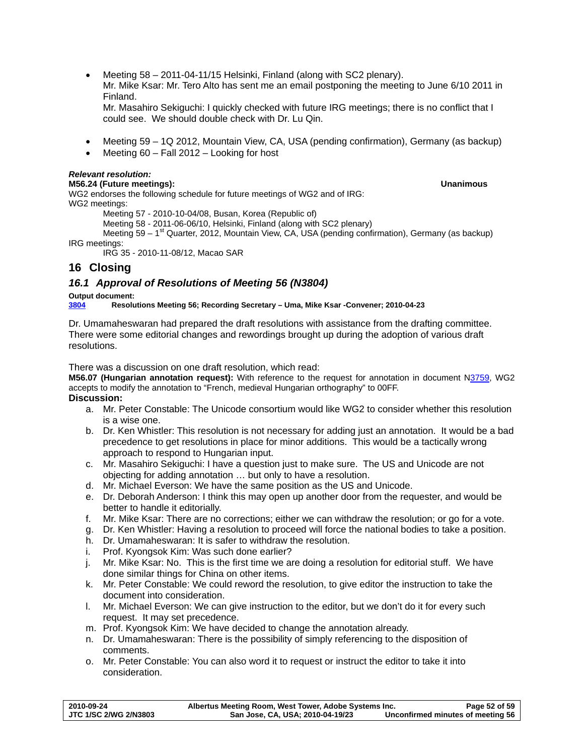**2010-09-24 Albertus Meeting Room, West Tower, Adobe Systems Inc. Page 52 of 59**  San Jose, CA, USA; 2010-04-19/23 Unconfirmed minutes of meeting 56

<span id="page-51-0"></span>• Meeting 58 – 2011-04-11/15 Helsinki, Finland (along with SC2 plenary). Mr. Mike Ksar: Mr. Tero Alto has sent me an email postponing the meeting to June 6/10 2011 in Finland.

Mr. Masahiro Sekiguchi: I quickly checked with future IRG meetings; there is no conflict that I could see. We should double check with Dr. Lu Qin.

- Meeting 59 1Q 2012, Mountain View, CA, USA (pending confirmation), Germany (as backup)
- Meeting 60 Fall 2012 Looking for host

# *Relevant resolution:*

# **M56.24 (Future meetings): Unanimous**

WG2 endorses the following schedule for future meetings of WG2 and of IRG: WG2 meetings:

Meeting 57 - 2010-10-04/08, Busan, Korea (Republic of)

Meeting 58 - 2011-06-06/10, Helsinki, Finland (along with SC2 plenary)

Meeting 59 –  $1<sup>st</sup>$  Quarter, 2012, Mountain View, CA, USA (pending confirmation), Germany (as backup) IRG meetings:

IRG 35 - 2010-11-08/12, Macao SAR

# **16 Closing**

# *16.1 Approval of Resolutions of Meeting 56 (N3804)*

**Output document: [3804](http://www.dkuug.dk/jtc1/sc2/wg2/docs/n3804.doc) Resolutions Meeting 56; Recording Secretary – Uma, Mike Ksar -Convener; 2010-04-23** 

Dr. Umamaheswaran had prepared the draft resolutions with assistance from the drafting committee. There were some editorial changes and rewordings brought up during the adoption of various draft resolutions.

There was a discussion on one draft resolution, which read:

**M56.07 (Hungarian annotation request):** With reference to the request for annotation in document [N3759](http://www.dkuug.dk/jtc1/sc2/wg2/docs/N3759.pdf), WG2 accepts to modify the annotation to "French, medieval Hungarian orthography" to 00FF.

# **Discussion:**

- a. Mr. Peter Constable: The Unicode consortium would like WG2 to consider whether this resolution is a wise one.
- b. Dr. Ken Whistler: This resolution is not necessary for adding just an annotation. It would be a bad precedence to get resolutions in place for minor additions. This would be a tactically wrong approach to respond to Hungarian input.
- c. Mr. Masahiro Sekiguchi: I have a question just to make sure. The US and Unicode are not objecting for adding annotation … but only to have a resolution.
- d. Mr. Michael Everson: We have the same position as the US and Unicode.
- e. Dr. Deborah Anderson: I think this may open up another door from the requester, and would be better to handle it editorially.
- f. Mr. Mike Ksar: There are no corrections; either we can withdraw the resolution; or go for a vote.
- g. Dr. Ken Whistler: Having a resolution to proceed will force the national bodies to take a position.
- h. Dr. Umamaheswaran: It is safer to withdraw the resolution.
- i. Prof. Kyongsok Kim: Was such done earlier?
- j. Mr. Mike Ksar: No. This is the first time we are doing a resolution for editorial stuff. We have done similar things for China on other items.
- k. Mr. Peter Constable: We could reword the resolution, to give editor the instruction to take the document into consideration.
- l. Mr. Michael Everson: We can give instruction to the editor, but we don't do it for every such request. It may set precedence.
- m. Prof. Kyongsok Kim: We have decided to change the annotation already.
- n. Dr. Umamaheswaran: There is the possibility of simply referencing to the disposition of comments.
- o. Mr. Peter Constable: You can also word it to request or instruct the editor to take it into consideration.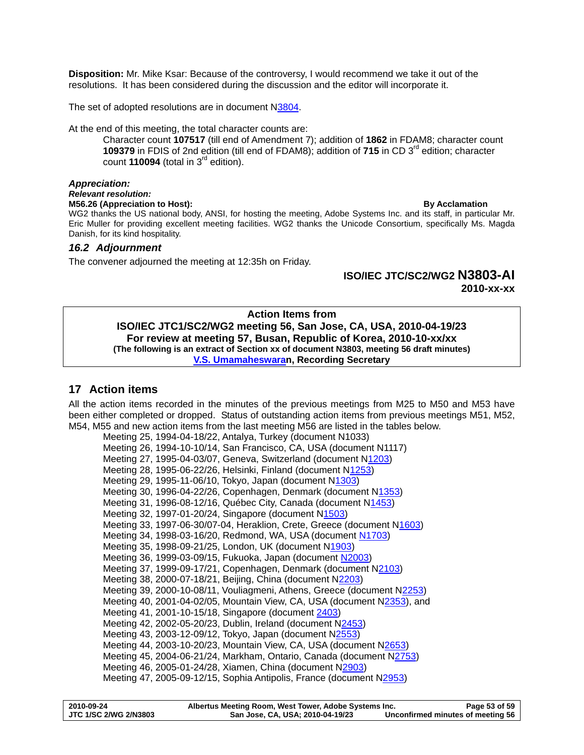<span id="page-52-0"></span>**Disposition:** Mr. Mike Ksar: Because of the controversy, I would recommend we take it out of the resolutions. It has been considered during the discussion and the editor will incorporate it.

The set of adopted resolutions are in document N[3804](http://std.dkuug.dk/jtc1/sc2/wg2/docs/N3804.doc).

At the end of this meeting, the total character counts are:

Character count **107517** (till end of Amendment 7); addition of **1862** in FDAM8; character count **109379** in FDIS of 2nd edition (till end of FDAM8); addition of 715 in CD 3<sup>rd</sup> edition; character count **110094** (total in  $3<sup>rd</sup>$  edition).

#### *Appreciation:*

*Relevant resolution:* 

**M56.26 (Appreciation to Host): By Acclamation By Acclamation By Acclamation** WG2 thanks the US national body, ANSI, for hosting the meeting, Adobe Systems Inc. and its staff, in particular Mr. Eric Muller for providing excellent meeting facilities. WG2 thanks the Unicode Consortium, specifically Ms. Magda Danish, for its kind hospitality.

#### *16.2 Adjournment*

The convener adjourned the meeting at 12:35h on Friday.

# **ISO/IEC JTC/SC2/WG2 N3803-AI**

**2010-xx-xx** 

### **Action Items from ISO/IEC JTC1/SC2/WG2 meeting 56, San Jose, CA, USA, 2010-04-19/23 For review at meeting 57, Busan, Republic of Korea, 2010-10-xx/xx (The following is an extract of Section xx of document N3803, meeting 56 draft minutes) [V.S. Umamaheswaran](mailto:umavs@ca.ibm.com), Recording Secretary**

# **17 Action items**

All the action items recorded in the minutes of the previous meetings from M25 to M50 and M53 have been either completed or dropped. Status of outstanding action items from previous meetings M51, M52, M54, M55 and new action items from the last meeting M56 are listed in the tables below.

```
Meeting 25, 1994-04-18/22, Antalya, Turkey (document N1033) 
Meeting 26, 1994-10-10/14, San Francisco, CA, USA (document N1117) 
Meeting 27, 1995-04-03/07, Geneva, Switzerland (document N1203) 
Meeting 28, 1995-06-22/26, Helsinki, Finland (document N1253) 
1303)
Meeting 30, 1996-04-22/26, Copenhagen, Denmark (document N1353) 
Meeting 31, 1996-08-12/16, Québec City, Canada (document N1453) 
N1503)
Meeting 33, 1997-06-30/07-04, Heraklion, Crete, Greece (document N1603) 
Meeting 34, 1998-03-16/20, Redmond, WA, USA (document N1703) 
Meeting 35, 1998-09-21/25, London, UK (document N1903) 
Meeting 36, 1999-03-09/15, Fukuoka, Japan (document N2003) 
Meeting 37, 1999-09-17/21, Copenhagen, Denmark (document N2103) 
Meeting 38, 2000-07-18/21, Beijing, China (document N2203) 
Meeting 39, 2000-10-08/11, Vouliagmeni, Athens, Greece (document N2253) 
Meeting 40, 2001-04-02/05, Mountain View, CA, USA (document N2353), and 
 2403)
Meeting 42, 2002-05-20/23, Dublin, Ireland (document N2453) 
Meeting 43, 2003-12-09/12, Tokyo, Japan (document N2553) 
N2653)
Meeting 45, 2004-06-21/24, Markham, Ontario, Canada (document N2753) 
Meeting 46, 2005-01-24/28, Xiamen, China (document N2903) 
Meeting 47, 2005-09-12/15, Sophia Antipolis, France (document N2953)
```

| 2010-09-24                   | Albertus Meeting Room, West Tower, Adobe Systems Inc. | Page 53 of 59                     |
|------------------------------|-------------------------------------------------------|-----------------------------------|
| <b>JTC 1/SC 2/WG 2/N3803</b> | San Jose, CA, USA; 2010-04-19/23                      | Unconfirmed minutes of meeting 56 |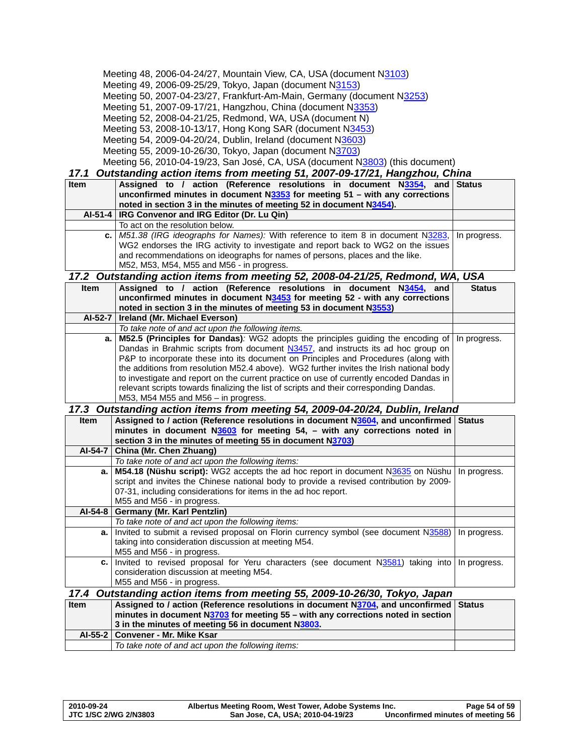<span id="page-53-0"></span>

| Meeting 48, 2006-04-24/27, Mountain View, CA, USA (document N3103)<br>Meeting 49, 2006-09-25/29, Tokyo, Japan (document N3153)<br>Meeting 50, 2007-04-23/27, Frankfurt-Am-Main, Germany (document N3253)<br>Meeting 51, 2007-09-17/21, Hangzhou, China (document N3353)<br>Meeting 52, 2008-04-21/25, Redmond, WA, USA (document N)<br>Meeting 53, 2008-10-13/17, Hong Kong SAR (document N3453)<br>Meeting 54, 2009-04-20/24, Dublin, Ireland (document N3603)<br>Meeting 55, 2009-10-26/30, Tokyo, Japan (document N3703)<br>Meeting 56, 2010-04-19/23, San José, CA, USA (document N3803) (this document)<br>Outstanding action items from meeting 51, 2007-09-17/21, Hangzhou, China<br>17.1 |                                                                                                                                                                         |               |  |
|--------------------------------------------------------------------------------------------------------------------------------------------------------------------------------------------------------------------------------------------------------------------------------------------------------------------------------------------------------------------------------------------------------------------------------------------------------------------------------------------------------------------------------------------------------------------------------------------------------------------------------------------------------------------------------------------------|-------------------------------------------------------------------------------------------------------------------------------------------------------------------------|---------------|--|
| <b>Item</b>                                                                                                                                                                                                                                                                                                                                                                                                                                                                                                                                                                                                                                                                                      | Assigned to / action (Reference resolutions in document N3354,<br>and                                                                                                   | <b>Status</b> |  |
|                                                                                                                                                                                                                                                                                                                                                                                                                                                                                                                                                                                                                                                                                                  | unconfirmed minutes in document N3353 for meeting 51 - with any corrections                                                                                             |               |  |
|                                                                                                                                                                                                                                                                                                                                                                                                                                                                                                                                                                                                                                                                                                  | noted in section 3 in the minutes of meeting 52 in document N3454).                                                                                                     |               |  |
|                                                                                                                                                                                                                                                                                                                                                                                                                                                                                                                                                                                                                                                                                                  | Al-51-4   IRG Convenor and IRG Editor (Dr. Lu Qin)                                                                                                                      |               |  |
|                                                                                                                                                                                                                                                                                                                                                                                                                                                                                                                                                                                                                                                                                                  | To act on the resolution below.                                                                                                                                         |               |  |
| c. I                                                                                                                                                                                                                                                                                                                                                                                                                                                                                                                                                                                                                                                                                             | M51.38 (IRG ideographs for Names): With reference to item 8 in document N3283,                                                                                          | In progress.  |  |
|                                                                                                                                                                                                                                                                                                                                                                                                                                                                                                                                                                                                                                                                                                  | WG2 endorses the IRG activity to investigate and report back to WG2 on the issues                                                                                       |               |  |
|                                                                                                                                                                                                                                                                                                                                                                                                                                                                                                                                                                                                                                                                                                  | and recommendations on ideographs for names of persons, places and the like.                                                                                            |               |  |
|                                                                                                                                                                                                                                                                                                                                                                                                                                                                                                                                                                                                                                                                                                  | M52, M53, M54, M55 and M56 - in progress.                                                                                                                               |               |  |
|                                                                                                                                                                                                                                                                                                                                                                                                                                                                                                                                                                                                                                                                                                  | 17.2 Outstanding action items from meeting 52, 2008-04-21/25, Redmond, WA, USA                                                                                          |               |  |
| Item                                                                                                                                                                                                                                                                                                                                                                                                                                                                                                                                                                                                                                                                                             | Assigned to / action (Reference resolutions in document N3454, and                                                                                                      | <b>Status</b> |  |
|                                                                                                                                                                                                                                                                                                                                                                                                                                                                                                                                                                                                                                                                                                  | unconfirmed minutes in document N3453 for meeting 52 - with any corrections                                                                                             |               |  |
|                                                                                                                                                                                                                                                                                                                                                                                                                                                                                                                                                                                                                                                                                                  | noted in section 3 in the minutes of meeting 53 in document N3553)                                                                                                      |               |  |
| AI-52-7                                                                                                                                                                                                                                                                                                                                                                                                                                                                                                                                                                                                                                                                                          | Ireland (Mr. Michael Everson)                                                                                                                                           |               |  |
|                                                                                                                                                                                                                                                                                                                                                                                                                                                                                                                                                                                                                                                                                                  | To take note of and act upon the following items.                                                                                                                       |               |  |
| а.                                                                                                                                                                                                                                                                                                                                                                                                                                                                                                                                                                                                                                                                                               | M52.5 (Principles for Dandas): WG2 adopts the principles guiding the encoding of                                                                                        | In progress.  |  |
|                                                                                                                                                                                                                                                                                                                                                                                                                                                                                                                                                                                                                                                                                                  | Dandas in Brahmic scripts from document N3457, and instructs its ad hoc group on<br>P&P to incorporate these into its document on Principles and Procedures (along with |               |  |
|                                                                                                                                                                                                                                                                                                                                                                                                                                                                                                                                                                                                                                                                                                  | the additions from resolution M52.4 above). WG2 further invites the Irish national body                                                                                 |               |  |
|                                                                                                                                                                                                                                                                                                                                                                                                                                                                                                                                                                                                                                                                                                  | to investigate and report on the current practice on use of currently encoded Dandas in                                                                                 |               |  |
|                                                                                                                                                                                                                                                                                                                                                                                                                                                                                                                                                                                                                                                                                                  | relevant scripts towards finalizing the list of scripts and their corresponding Dandas.                                                                                 |               |  |
|                                                                                                                                                                                                                                                                                                                                                                                                                                                                                                                                                                                                                                                                                                  | M53, M54 M55 and M56 - in progress.                                                                                                                                     |               |  |
| 17.3                                                                                                                                                                                                                                                                                                                                                                                                                                                                                                                                                                                                                                                                                             | Outstanding action items from meeting 54, 2009-04-20/24, Dublin, Ireland                                                                                                |               |  |
| Item                                                                                                                                                                                                                                                                                                                                                                                                                                                                                                                                                                                                                                                                                             | Assigned to / action (Reference resolutions in document N3604, and unconfirmed                                                                                          | <b>Status</b> |  |
|                                                                                                                                                                                                                                                                                                                                                                                                                                                                                                                                                                                                                                                                                                  | minutes in document $N3603$ for meeting 54, - with any corrections noted in                                                                                             |               |  |
|                                                                                                                                                                                                                                                                                                                                                                                                                                                                                                                                                                                                                                                                                                  | section 3 in the minutes of meeting 55 in document N3703)                                                                                                               |               |  |
| AI-54-7                                                                                                                                                                                                                                                                                                                                                                                                                                                                                                                                                                                                                                                                                          | China (Mr. Chen Zhuang)                                                                                                                                                 |               |  |
|                                                                                                                                                                                                                                                                                                                                                                                                                                                                                                                                                                                                                                                                                                  | To take note of and act upon the following items:                                                                                                                       |               |  |
| a.                                                                                                                                                                                                                                                                                                                                                                                                                                                                                                                                                                                                                                                                                               | M54.18 (Nüshu script): WG2 accepts the ad hoc report in document N3635 on Nüshu                                                                                         | In progress.  |  |
|                                                                                                                                                                                                                                                                                                                                                                                                                                                                                                                                                                                                                                                                                                  | script and invites the Chinese national body to provide a revised contribution by 2009-                                                                                 |               |  |
|                                                                                                                                                                                                                                                                                                                                                                                                                                                                                                                                                                                                                                                                                                  | 07-31, including considerations for items in the ad hoc report.                                                                                                         |               |  |
|                                                                                                                                                                                                                                                                                                                                                                                                                                                                                                                                                                                                                                                                                                  | M55 and M56 - in progress.                                                                                                                                              |               |  |
| AI-54-8                                                                                                                                                                                                                                                                                                                                                                                                                                                                                                                                                                                                                                                                                          | Germany (Mr. Karl Pentzlin)                                                                                                                                             |               |  |
|                                                                                                                                                                                                                                                                                                                                                                                                                                                                                                                                                                                                                                                                                                  | To take note of and act upon the following items:                                                                                                                       |               |  |
|                                                                                                                                                                                                                                                                                                                                                                                                                                                                                                                                                                                                                                                                                                  | a.   Invited to submit a revised proposal on Florin currency symbol (see document N3588)<br>taking into consideration discussion at meeting M54.                        | In progress.  |  |
|                                                                                                                                                                                                                                                                                                                                                                                                                                                                                                                                                                                                                                                                                                  | M55 and M56 - in progress.                                                                                                                                              |               |  |
| с.                                                                                                                                                                                                                                                                                                                                                                                                                                                                                                                                                                                                                                                                                               | Invited to revised proposal for Yeru characters (see document N3581) taking into                                                                                        | In progress.  |  |
|                                                                                                                                                                                                                                                                                                                                                                                                                                                                                                                                                                                                                                                                                                  | consideration discussion at meeting M54.                                                                                                                                |               |  |
|                                                                                                                                                                                                                                                                                                                                                                                                                                                                                                                                                                                                                                                                                                  | M55 and M56 - in progress.                                                                                                                                              |               |  |
| 17.4                                                                                                                                                                                                                                                                                                                                                                                                                                                                                                                                                                                                                                                                                             | Outstanding action items from meeting 55, 2009-10-26/30, Tokyo, Japan                                                                                                   |               |  |
| Item                                                                                                                                                                                                                                                                                                                                                                                                                                                                                                                                                                                                                                                                                             | Assigned to / action (Reference resolutions in document N3704, and unconfirmed                                                                                          | <b>Status</b> |  |
|                                                                                                                                                                                                                                                                                                                                                                                                                                                                                                                                                                                                                                                                                                  | minutes in document N3703 for meeting 55 - with any corrections noted in section                                                                                        |               |  |
|                                                                                                                                                                                                                                                                                                                                                                                                                                                                                                                                                                                                                                                                                                  | 3 in the minutes of meeting 56 in document N3803.                                                                                                                       |               |  |
| $AI-55-2$                                                                                                                                                                                                                                                                                                                                                                                                                                                                                                                                                                                                                                                                                        | Convener - Mr. Mike Ksar                                                                                                                                                |               |  |
|                                                                                                                                                                                                                                                                                                                                                                                                                                                                                                                                                                                                                                                                                                  | To take note of and act upon the following items:                                                                                                                       |               |  |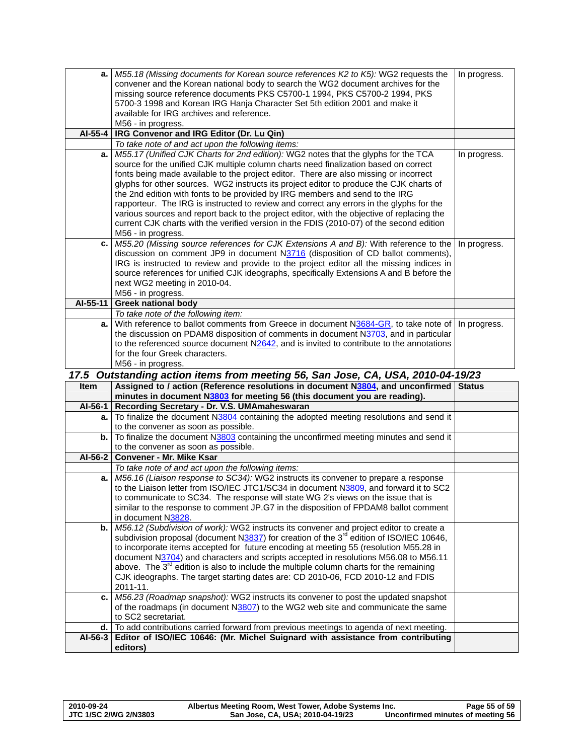<span id="page-54-0"></span>

|          | a.   M55.18 (Missing documents for Korean source references K2 to K5): WG2 requests the                                                                                                   | In progress.  |
|----------|-------------------------------------------------------------------------------------------------------------------------------------------------------------------------------------------|---------------|
|          | convener and the Korean national body to search the WG2 document archives for the                                                                                                         |               |
|          | missing source reference documents PKS C5700-1 1994, PKS C5700-2 1994, PKS                                                                                                                |               |
|          | 5700-3 1998 and Korean IRG Hanja Character Set 5th edition 2001 and make it                                                                                                               |               |
|          | available for IRG archives and reference.                                                                                                                                                 |               |
| AI-55-4  | M56 - in progress.<br>IRG Convenor and IRG Editor (Dr. Lu Qin)                                                                                                                            |               |
|          | To take note of and act upon the following items:                                                                                                                                         |               |
| a.       | M55.17 (Unified CJK Charts for 2nd edition): WG2 notes that the glyphs for the TCA                                                                                                        | In progress.  |
|          | source for the unified CJK multiple column charts need finalization based on correct                                                                                                      |               |
|          | fonts being made available to the project editor. There are also missing or incorrect                                                                                                     |               |
|          | glyphs for other sources. WG2 instructs its project editor to produce the CJK charts of                                                                                                   |               |
|          | the 2nd edition with fonts to be provided by IRG members and send to the IRG                                                                                                              |               |
|          | rapporteur. The IRG is instructed to review and correct any errors in the glyphs for the                                                                                                  |               |
|          | various sources and report back to the project editor, with the objective of replacing the                                                                                                |               |
|          | current CJK charts with the verified version in the FDIS (2010-07) of the second edition                                                                                                  |               |
|          | M56 - in progress.                                                                                                                                                                        |               |
|          | c. M55.20 (Missing source references for CJK Extensions A and B): With reference to the                                                                                                   | In progress.  |
|          | discussion on comment JP9 in document $N3716$ (disposition of CD ballot comments),                                                                                                        |               |
|          | IRG is instructed to review and provide to the project editor all the missing indices in<br>source references for unified CJK ideographs, specifically Extensions A and B before the      |               |
|          | next WG2 meeting in 2010-04.                                                                                                                                                              |               |
|          | M56 - in progress.                                                                                                                                                                        |               |
| AI-55-11 | <b>Greek national body</b>                                                                                                                                                                |               |
|          | To take note of the following item:                                                                                                                                                       |               |
| a.       | With reference to ballot comments from Greece in document N3684-GR, to take note of                                                                                                       | In progress.  |
|          | the discussion on PDAM8 disposition of comments in document N3703, and in particular                                                                                                      |               |
|          | to the referenced source document $N2642$ , and is invited to contribute to the annotations                                                                                               |               |
|          | for the four Greek characters.                                                                                                                                                            |               |
|          | M56 - in progress.                                                                                                                                                                        |               |
|          |                                                                                                                                                                                           |               |
|          | 17.5 Outstanding action items from meeting 56, San Jose, CA, USA, 2010-04-19/23                                                                                                           |               |
| Item     | Assigned to / action (Reference resolutions in document N3804, and unconfirmed                                                                                                            | <b>Status</b> |
|          | minutes in document N3803 for meeting 56 (this document you are reading).                                                                                                                 |               |
| AI-56-1  | Recording Secretary - Dr. V.S. UMAmaheswaran                                                                                                                                              |               |
| a. I     | To finalize the document N3804 containing the adopted meeting resolutions and send it                                                                                                     |               |
|          | to the convener as soon as possible.                                                                                                                                                      |               |
| b.       | To finalize the document N3803 containing the unconfirmed meeting minutes and send it<br>to the convener as soon as possible.                                                             |               |
| AI-56-2  | Convener - Mr. Mike Ksar                                                                                                                                                                  |               |
|          | To take note of and act upon the following items:                                                                                                                                         |               |
| а.       | M56.16 (Liaison response to SC34): WG2 instructs its convener to prepare a response                                                                                                       |               |
|          | to the Liaison letter from ISO/IEC JTC1/SC34 in document N3809, and forward it to SC2                                                                                                     |               |
|          | to communicate to SC34. The response will state WG 2's views on the issue that is                                                                                                         |               |
|          | similar to the response to comment JP.G7 in the disposition of FPDAM8 ballot comment                                                                                                      |               |
|          | in document N3828.                                                                                                                                                                        |               |
| b.       | M56.12 (Subdivision of work): WG2 instructs its convener and project editor to create a                                                                                                   |               |
|          | subdivision proposal (document N3837) for creation of the 3 <sup>rd</sup> edition of ISO/IEC 10646,                                                                                       |               |
|          | to incorporate items accepted for future encoding at meeting 55 (resolution M55.28 in                                                                                                     |               |
|          | document N3704) and characters and scripts accepted in resolutions M56.08 to M56.11<br>above. The 3 <sup>rd</sup> edition is also to include the multiple column charts for the remaining |               |
|          | CJK ideographs. The target starting dates are: CD 2010-06, FCD 2010-12 and FDIS                                                                                                           |               |
|          | 2011-11.                                                                                                                                                                                  |               |
| с.       | M56.23 (Roadmap snapshot): WG2 instructs its convener to post the updated snapshot                                                                                                        |               |
|          | of the roadmaps (in document N3807) to the WG2 web site and communicate the same                                                                                                          |               |
|          | to SC2 secretariat.                                                                                                                                                                       |               |
| d.       | To add contributions carried forward from previous meetings to agenda of next meeting.                                                                                                    |               |
| AI-56-3  | Editor of ISO/IEC 10646: (Mr. Michel Suignard with assistance from contributing<br>editors)                                                                                               |               |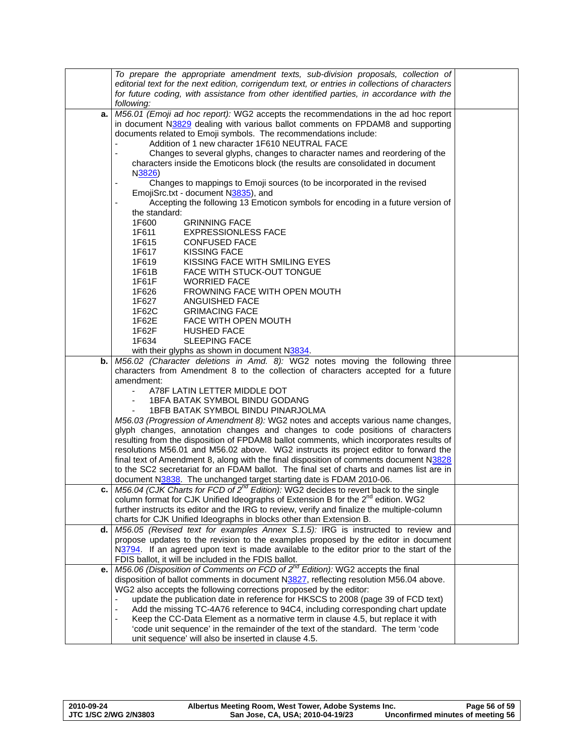|    | To prepare the appropriate amendment texts, sub-division proposals, collection of<br>editorial text for the next edition, corrigendum text, or entries in collections of characters<br>for future coding, with assistance from other identified parties, in accordance with the<br>following: |  |
|----|-----------------------------------------------------------------------------------------------------------------------------------------------------------------------------------------------------------------------------------------------------------------------------------------------|--|
| а. | M56.01 (Emoji ad hoc report): WG2 accepts the recommendations in the ad hoc report                                                                                                                                                                                                            |  |
|    | in document N3829 dealing with various ballot comments on FPDAM8 and supporting                                                                                                                                                                                                               |  |
|    | documents related to Emoji symbols. The recommendations include:                                                                                                                                                                                                                              |  |
|    | Addition of 1 new character 1F610 NEUTRAL FACE                                                                                                                                                                                                                                                |  |
|    | Changes to several glyphs, changes to character names and reordering of the                                                                                                                                                                                                                   |  |
|    | characters inside the Emoticons block (the results are consolidated in document                                                                                                                                                                                                               |  |
|    | N3826)                                                                                                                                                                                                                                                                                        |  |
|    | Changes to mappings to Emoji sources (to be incorporated in the revised                                                                                                                                                                                                                       |  |
|    | EmojiSrc.txt - document N3835), and                                                                                                                                                                                                                                                           |  |
|    | Accepting the following 13 Emoticon symbols for encoding in a future version of                                                                                                                                                                                                               |  |
|    | the standard:                                                                                                                                                                                                                                                                                 |  |
|    | 1F600<br><b>GRINNING FACE</b>                                                                                                                                                                                                                                                                 |  |
|    | 1F611<br><b>EXPRESSIONLESS FACE</b>                                                                                                                                                                                                                                                           |  |
|    | 1F615<br><b>CONFUSED FACE</b>                                                                                                                                                                                                                                                                 |  |
|    | 1F617<br><b>KISSING FACE</b>                                                                                                                                                                                                                                                                  |  |
|    | 1F619<br>KISSING FACE WITH SMILING EYES                                                                                                                                                                                                                                                       |  |
|    | 1F61B<br>FACE WITH STUCK-OUT TONGUE                                                                                                                                                                                                                                                           |  |
|    | 1F61F<br><b>WORRIED FACE</b>                                                                                                                                                                                                                                                                  |  |
|    | 1F626<br>FROWNING FACE WITH OPEN MOUTH                                                                                                                                                                                                                                                        |  |
|    | 1F627<br>ANGUISHED FACE                                                                                                                                                                                                                                                                       |  |
|    | 1F62C<br><b>GRIMACING FACE</b>                                                                                                                                                                                                                                                                |  |
|    | 1F62E<br>FACE WITH OPEN MOUTH                                                                                                                                                                                                                                                                 |  |
|    | 1F62F<br><b>HUSHED FACE</b>                                                                                                                                                                                                                                                                   |  |
|    | 1F634<br><b>SLEEPING FACE</b>                                                                                                                                                                                                                                                                 |  |
|    | with their glyphs as shown in document N3834.                                                                                                                                                                                                                                                 |  |
| b. | M56.02 (Character deletions in Amd. 8): WG2 notes moving the following three                                                                                                                                                                                                                  |  |
|    | characters from Amendment 8 to the collection of characters accepted for a future                                                                                                                                                                                                             |  |
|    | amendment:                                                                                                                                                                                                                                                                                    |  |
|    | A78F LATIN LETTER MIDDLE DOT                                                                                                                                                                                                                                                                  |  |
|    | 1BFA BATAK SYMBOL BINDU GODANG                                                                                                                                                                                                                                                                |  |
|    | 1BFB BATAK SYMBOL BINDU PINARJOLMA                                                                                                                                                                                                                                                            |  |
|    | M56.03 (Progression of Amendment 8): WG2 notes and accepts various name changes,                                                                                                                                                                                                              |  |
|    | glyph changes, annotation changes and changes to code positions of characters                                                                                                                                                                                                                 |  |
|    | resulting from the disposition of FPDAM8 ballot comments, which incorporates results of                                                                                                                                                                                                       |  |
|    | resolutions M56.01 and M56.02 above. WG2 instructs its project editor to forward the                                                                                                                                                                                                          |  |
|    | final text of Amendment 8, along with the final disposition of comments document N3828                                                                                                                                                                                                        |  |
|    | to the SC2 secretariat for an FDAM ballot. The final set of charts and names list are in                                                                                                                                                                                                      |  |
|    | document N3838. The unchanged target starting date is FDAM 2010-06.                                                                                                                                                                                                                           |  |
|    | c. M56.04 (CJK Charts for FCD of $2^{nd}$ Edition): WG2 decides to revert back to the single                                                                                                                                                                                                  |  |
|    | column format for CJK Unified Ideographs of Extension B for the 2 <sup>nd</sup> edition. WG2                                                                                                                                                                                                  |  |
|    | further instructs its editor and the IRG to review, verify and finalize the multiple-column                                                                                                                                                                                                   |  |
|    | charts for CJK Unified Ideographs in blocks other than Extension B.<br>d. $MS6.05$ (Revised text for examples Annex S.1.5): IRG is instructed to review and                                                                                                                                   |  |
|    | propose updates to the revision to the examples proposed by the editor in document                                                                                                                                                                                                            |  |
|    | N3794. If an agreed upon text is made available to the editor prior to the start of the                                                                                                                                                                                                       |  |
|    | FDIS ballot, it will be included in the FDIS ballot.                                                                                                                                                                                                                                          |  |
| е. | M56.06 (Disposition of Comments on FCD of 2 <sup>nd</sup> Edition): WG2 accepts the final                                                                                                                                                                                                     |  |
|    | disposition of ballot comments in document N3827, reflecting resolution M56.04 above.                                                                                                                                                                                                         |  |
|    | WG2 also accepts the following corrections proposed by the editor:                                                                                                                                                                                                                            |  |
|    | update the publication date in reference for HKSCS to 2008 (page 39 of FCD text)                                                                                                                                                                                                              |  |
|    | Add the missing TC-4A76 reference to 94C4, including corresponding chart update                                                                                                                                                                                                               |  |
|    | Keep the CC-Data Element as a normative term in clause 4.5, but replace it with<br>$\blacksquare$                                                                                                                                                                                             |  |
|    | 'code unit sequence' in the remainder of the text of the standard. The term 'code                                                                                                                                                                                                             |  |
|    | unit sequence' will also be inserted in clause 4.5.                                                                                                                                                                                                                                           |  |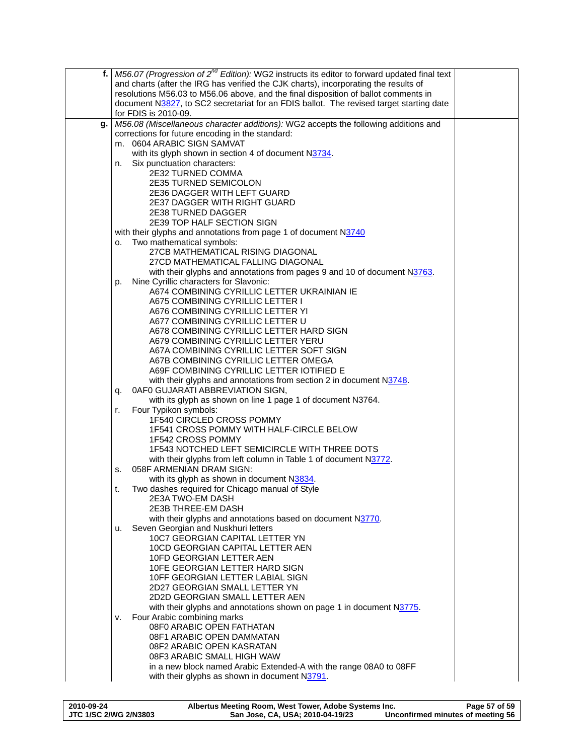|    | f.   M56.07 (Progression of $2^{nd}$ Edition): WG2 instructs its editor to forward updated final text |
|----|-------------------------------------------------------------------------------------------------------|
|    | and charts (after the IRG has verified the CJK charts), incorporating the results of                  |
|    | resolutions M56.03 to M56.06 above, and the final disposition of ballot comments in                   |
|    | document N3827, to SC2 secretariat for an FDIS ballot. The revised target starting date               |
|    | for FDIS is 2010-09.                                                                                  |
| g. | M56.08 (Miscellaneous character additions): WG2 accepts the following additions and                   |
|    | corrections for future encoding in the standard:                                                      |
|    | m. 0604 ARABIC SIGN SAMVAT                                                                            |
|    | with its glyph shown in section 4 of document N3734.                                                  |
|    | Six punctuation characters:<br>n.                                                                     |
|    | 2E32 TURNED COMMA                                                                                     |
|    | <b>2E35 TURNED SEMICOLON</b>                                                                          |
|    | <b>2E36 DAGGER WITH LEFT GUARD</b><br><b>2E37 DAGGER WITH RIGHT GUARD</b>                             |
|    | 2E38 TURNED DAGGER                                                                                    |
|    | 2E39 TOP HALF SECTION SIGN                                                                            |
|    | with their glyphs and annotations from page 1 of document N3740                                       |
|    | Two mathematical symbols:<br>о.                                                                       |
|    | 27CB MATHEMATICAL RISING DIAGONAL                                                                     |
|    | 27CD MATHEMATICAL FALLING DIAGONAL                                                                    |
|    | with their glyphs and annotations from pages 9 and 10 of document N3763.                              |
|    | Nine Cyrillic characters for Slavonic:<br>p.                                                          |
|    | A674 COMBINING CYRILLIC LETTER UKRAINIAN IE                                                           |
|    | A675 COMBINING CYRILLIC LETTER I                                                                      |
|    | A676 COMBINING CYRILLIC LETTER YI                                                                     |
|    | A677 COMBINING CYRILLIC LETTER U                                                                      |
|    | A678 COMBINING CYRILLIC LETTER HARD SIGN<br>A679 COMBINING CYRILLIC LETTER YERU                       |
|    | A67A COMBINING CYRILLIC LETTER SOFT SIGN                                                              |
|    | A67B COMBINING CYRILLIC LETTER OMEGA                                                                  |
|    | A69F COMBINING CYRILLIC LETTER IOTIFIED E                                                             |
|    | with their glyphs and annotations from section 2 in document N3748.                                   |
|    | 0AF0 GUJARATI ABBREVIATION SIGN,<br>q.                                                                |
|    | with its glyph as shown on line 1 page 1 of document N3764.                                           |
|    | Four Typikon symbols:<br>r.                                                                           |
|    | 1F540 CIRCLED CROSS POMMY                                                                             |
|    | 1F541 CROSS POMMY WITH HALF-CIRCLE BELOW                                                              |
|    | 1F542 CROSS POMMY                                                                                     |
|    | 1F543 NOTCHED LEFT SEMICIRCLE WITH THREE DOTS                                                         |
|    | with their glyphs from left column in Table 1 of document N3772.<br>058F ARMENIAN DRAM SIGN:<br>s.    |
|    | with its glyph as shown in document N3834.                                                            |
|    | Two dashes required for Chicago manual of Style<br>t.                                                 |
|    | 2E3A TWO-EM DASH                                                                                      |
|    | 2E3B THREE-EM DASH                                                                                    |
|    | with their glyphs and annotations based on document N3770.                                            |
|    | Seven Georgian and Nuskhuri letters<br>u.                                                             |
|    | 10C7 GEORGIAN CAPITAL LETTER YN                                                                       |
|    | 10CD GEORGIAN CAPITAL LETTER AEN                                                                      |
|    | 10FD GEORGIAN LETTER AEN                                                                              |
|    | 10FE GEORGIAN LETTER HARD SIGN<br>10FF GEORGIAN LETTER LABIAL SIGN                                    |
|    | 2D27 GEORGIAN SMALL LETTER YN                                                                         |
|    | 2D2D GEORGIAN SMALL LETTER AEN                                                                        |
|    | with their glyphs and annotations shown on page 1 in document N3775.                                  |
|    | Four Arabic combining marks<br>۷.                                                                     |
|    | 08F0 ARABIC OPEN FATHATAN                                                                             |
|    | 08F1 ARABIC OPEN DAMMATAN                                                                             |
|    | 08F2 ARABIC OPEN KASRATAN                                                                             |
|    | 08F3 ARABIC SMALL HIGH WAW                                                                            |
|    | in a new block named Arabic Extended-A with the range 08A0 to 08FF                                    |
|    | with their glyphs as shown in document N3791.                                                         |
|    |                                                                                                       |

| 2010-09-24            | Albertus Meeting Room, West Tower, Adobe Systems Inc. | Page 57 of 59                     |
|-----------------------|-------------------------------------------------------|-----------------------------------|
| JTC 1/SC 2/WG 2/N3803 | San Jose, CA, USA; 2010-04-19/23                      | Unconfirmed minutes of meeting 56 |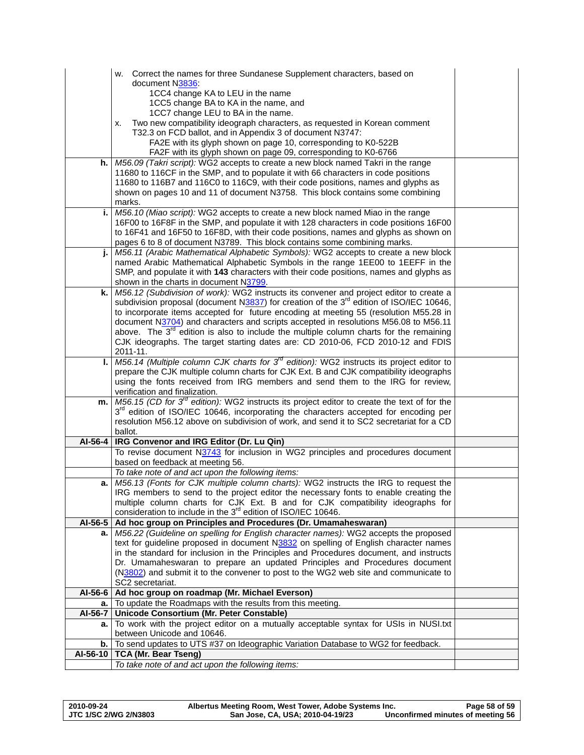|          | w. Correct the names for three Sundanese Supplement characters, based on                                                                                                                |  |
|----------|-----------------------------------------------------------------------------------------------------------------------------------------------------------------------------------------|--|
|          | document N3836:                                                                                                                                                                         |  |
|          | 1CC4 change KA to LEU in the name                                                                                                                                                       |  |
|          | 1CC5 change BA to KA in the name, and                                                                                                                                                   |  |
|          | 1CC7 change LEU to BA in the name.                                                                                                                                                      |  |
|          | Two new compatibility ideograph characters, as requested in Korean comment<br>х.                                                                                                        |  |
|          | T32.3 on FCD ballot, and in Appendix 3 of document N3747:                                                                                                                               |  |
|          | FA2E with its glyph shown on page 10, corresponding to K0-522B                                                                                                                          |  |
|          | FA2F with its glyph shown on page 09, corresponding to K0-6766                                                                                                                          |  |
|          | h. M56.09 (Takri script): WG2 accepts to create a new block named Takri in the range                                                                                                    |  |
|          | 11680 to 116CF in the SMP, and to populate it with 66 characters in code positions                                                                                                      |  |
|          | 11680 to 116B7 and 116C0 to 116C9, with their code positions, names and glyphs as<br>shown on pages 10 and 11 of document N3758. This block contains some combining                     |  |
|          | marks.                                                                                                                                                                                  |  |
| i.       | M56.10 (Miao script): WG2 accepts to create a new block named Miao in the range                                                                                                         |  |
|          | 16F00 to 16F8F in the SMP, and populate it with 128 characters in code positions 16F00                                                                                                  |  |
|          | to 16F41 and 16F50 to 16F8D, with their code positions, names and glyphs as shown on                                                                                                    |  |
|          | pages 6 to 8 of document N3789. This block contains some combining marks.                                                                                                               |  |
| j.       | M56.11 (Arabic Mathematical Alphabetic Symbols): WG2 accepts to create a new block                                                                                                      |  |
|          | named Arabic Mathematical Alphabetic Symbols in the range 1EE00 to 1EEFF in the                                                                                                         |  |
|          | SMP, and populate it with 143 characters with their code positions, names and glyphs as                                                                                                 |  |
|          | shown in the charts in document N3799.                                                                                                                                                  |  |
| k.       | M56.12 (Subdivision of work): WG2 instructs its convener and project editor to create a                                                                                                 |  |
|          | subdivision proposal (document N3837) for creation of the 3 <sup>rd</sup> edition of ISO/IEC 10646,                                                                                     |  |
|          | to incorporate items accepted for future encoding at meeting 55 (resolution M55.28 in                                                                                                   |  |
|          | document N3704) and characters and scripts accepted in resolutions M56.08 to M56.11                                                                                                     |  |
|          | above. The $3rd$ edition is also to include the multiple column charts for the remaining                                                                                                |  |
|          | CJK ideographs. The target starting dates are: CD 2010-06, FCD 2010-12 and FDIS                                                                                                         |  |
|          | 2011-11.                                                                                                                                                                                |  |
| ı.       | M56.14 (Multiple column CJK charts for $3^{rd}$ edition): WG2 instructs its project editor to<br>prepare the CJK multiple column charts for CJK Ext. B and CJK compatibility ideographs |  |
|          | using the fonts received from IRG members and send them to the IRG for review,                                                                                                          |  |
|          | verification and finalization.                                                                                                                                                          |  |
| m.       | $M56.15$ (CD for $3rd$ edition): WG2 instructs its project editor to create the text of for the                                                                                         |  |
|          | 3 <sup>rd</sup> edition of ISO/IEC 10646, incorporating the characters accepted for encoding per                                                                                        |  |
|          | resolution M56.12 above on subdivision of work, and send it to SC2 secretariat for a CD                                                                                                 |  |
|          | ballot.                                                                                                                                                                                 |  |
| AI-56-4  | IRG Convenor and IRG Editor (Dr. Lu Qin)                                                                                                                                                |  |
|          | To revise document N3743 for inclusion in WG2 principles and procedures document                                                                                                        |  |
|          | based on feedback at meeting 56.                                                                                                                                                        |  |
|          | To take note of and act upon the following items:                                                                                                                                       |  |
| а.       | M56.13 (Fonts for CJK multiple column charts): WG2 instructs the IRG to request the                                                                                                     |  |
|          | IRG members to send to the project editor the necessary fonts to enable creating the                                                                                                    |  |
|          | multiple column charts for CJK Ext. B and for CJK compatibility ideographs for<br>consideration to include in the 3 <sup>rd</sup> edition of ISO/IEC 10646.                             |  |
| AI-56-5  | Ad hoc group on Principles and Procedures (Dr. Umamaheswaran)                                                                                                                           |  |
| а.       | M56.22 (Guideline on spelling for English character names): WG2 accepts the proposed                                                                                                    |  |
|          | text for guideline proposed in document N3832 on spelling of English character names                                                                                                    |  |
|          | in the standard for inclusion in the Principles and Procedures document, and instructs                                                                                                  |  |
|          | Dr. Umamaheswaran to prepare an updated Principles and Procedures document                                                                                                              |  |
|          | (N3802) and submit it to the convener to post to the WG2 web site and communicate to                                                                                                    |  |
|          | SC2 secretariat.                                                                                                                                                                        |  |
| AI-56-6  | Ad hoc group on roadmap (Mr. Michael Everson)                                                                                                                                           |  |
| а.       | To update the Roadmaps with the results from this meeting.                                                                                                                              |  |
| AI-56-7  | Unicode Consortium (Mr. Peter Constable)                                                                                                                                                |  |
| а.       | To work with the project editor on a mutually acceptable syntax for USIs in NUSI.txt                                                                                                    |  |
|          | between Unicode and 10646.                                                                                                                                                              |  |
| b.       | To send updates to UTS #37 on Ideographic Variation Database to WG2 for feedback.                                                                                                       |  |
| AI-56-10 | TCA (Mr. Bear Tseng)                                                                                                                                                                    |  |
|          | To take note of and act upon the following items:                                                                                                                                       |  |